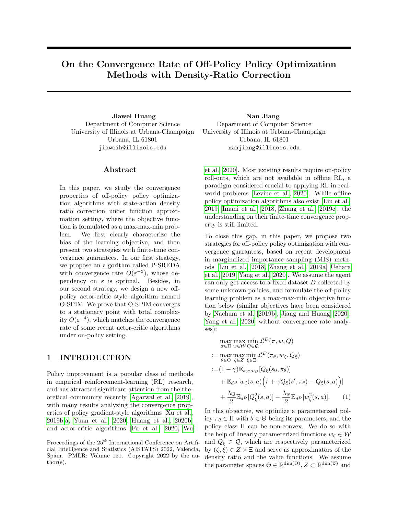# On the Convergence Rate of Off-Policy Policy Optimization Methods with Density-Ratio Correction

Jiawei Huang Nan Jiang Department of Computer Science University of Illinois at Urbana-Champaign Urbana, IL 61801 jiaweih@illinois.edu

### Abstract

In this paper, we study the convergence properties of off-policy policy optimization algorithms with state-action density ratio correction under function approximation setting, where the objective function is formulated as a max-max-min problem. We first clearly characterize the bias of the learning objective, and then present two strategies with finite-time convergence guarantees. In our first strategy, we propose an algorithm called P-SREDA with convergence rate  $O(\varepsilon^{-3})$ , whose dependency on  $\varepsilon$  is optimal. Besides, in our second strategy, we design a new offpolicy actor-critic style algorithm named O-SPIM. We prove that O-SPIM converges to a stationary point with total complexity  $O(\varepsilon^{-4})$ , which matches the convergence rate of some recent actor-critic algorithms under on-policy setting.

# 1 INTRODUCTION

Policy improvement is a popular class of methods in empirical reinforcement-learning (RL) research, and has attracted significant attention from the theoretical community recently [\[Agarwal et al., 2019\]](#page-9-0), with many results analyzing the convergence properties of policy gradient-style algorithms [\[Xu et al.,](#page-10-0) [2019b](#page-10-0)[,a,](#page-10-1) [Yuan et al., 2020,](#page-10-2) [Huang et al., 2020b\]](#page-9-1) and actor-critic algorithms [\[Fu et al., 2020,](#page-9-2) [Wu](#page-10-3)

Department of Computer Science University of Illinois at Urbana-Champaign Urbana, IL 61801 nanjiang@illinois.edu

[et al., 2020\]](#page-10-3). Most existing results require on-policy roll-outs, which are not available in offline RL, a paradigm considered crucial to applying RL in realworld problems [\[Levine et al., 2020\]](#page-9-3). While offline policy optimization algorithms also exist [\[Liu et al.,](#page-10-4) [2019,](#page-10-4) [Imani et al., 2018,](#page-9-4) [Zhang et al., 2019c\]](#page-10-5), the understanding on their finite-time convergence property is still limited.

To close this gap, in this paper, we propose two strategies for off-policy policy optimization with convergence guarantess, based on recent development in marginalized importance sampling (MIS) methods [\[Liu et al., 2018,](#page-10-6) [Zhang et al., 2019a,](#page-10-7) [Uehara](#page-10-8) [et al., 2019,](#page-10-8) [Yang et al., 2020\]](#page-10-9). We assume the agent can only get access to a fixed dataset D collected by some unknown policies, and formulate the off-policy learning problem as a max-max-min objective function below (similar objectives have been considered by [Nachum et al.](#page-10-10) [\[2019b\]](#page-10-10), [Jiang and Huang](#page-9-5) [\[2020\]](#page-9-5), [Yang et al.](#page-10-9) [\[2020\]](#page-10-9) without convergence rate analyses):

$$
\max_{\pi \in \Pi} \max_{w \in W} \min_{Q \in \mathcal{Q}} \mathcal{L}^{D}(\pi, w, Q)
$$
\n
$$
:= \max_{\theta \in \Theta} \max_{\zeta \in Z} \min_{\xi \in \Xi} \mathcal{L}^{D}(\pi_{\theta}, w_{\zeta}, Q_{\xi})
$$
\n
$$
:= (1 - \gamma) \mathbb{E}_{s_0 \sim \nu_D} [Q_{\xi}(s_0, \pi_{\theta})]
$$
\n
$$
+ \mathbb{E}_{d^D} [w_{\zeta}(s, a) (r + \gamma Q_{\xi}(s', \pi_{\theta}) - Q_{\xi}(s, a))]
$$
\n
$$
+ \frac{\lambda_Q}{2} \mathbb{E}_{d^D} [Q_{\xi}^2(s, a)] - \frac{\lambda_w}{2} \mathbb{E}_{d^D} [w_{\zeta}^2(s, a)]. \qquad (1)
$$

<span id="page-0-0"></span>In this objective, we optimize a parameterized policy  $\pi_{\theta} \in \Pi$  with  $\theta \in \Theta$  being its parameters, and the policy class Π can be non-convex. We do so with the help of linearly parameterized functions  $w_{\zeta} \in \mathcal{W}$ and  $Q_{\xi} \in \mathcal{Q}$ , which are respectively parameterized by  $(\zeta, \xi) \in Z \times \Xi$  and serve as approximators of the density ratio and the value functions. We assume the parameter spaces  $\Theta \in \mathbb{R}^{\dim(\Theta)}, Z \subset \mathbb{R}^{\dim(Z)}$  and

Proceedings of the  $25<sup>th</sup>$  International Conference on Artificial Intelligence and Statistics (AISTATS) 2022, Valencia, Spain. PMLR: Volume 151. Copyright 2022 by the author(s).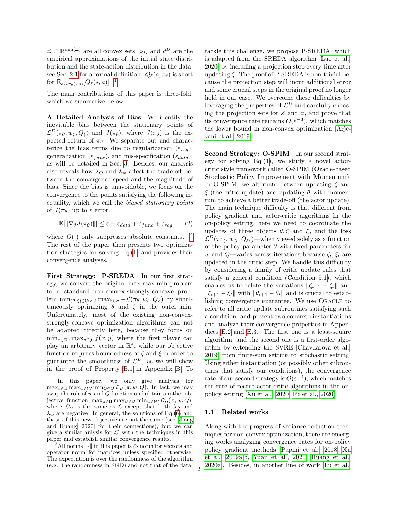$\Xi \subset \mathbb{R}^{\dim(\Xi)}$  are all convex sets.  $\nu_D$  and  $d^D$  are the empirical approximations of the initial state distribution and the state-action distribution in the data; see Sec. [2.1](#page-2-0) for a formal definition.  $Q_{\xi}(s, \pi_{\theta})$  is short for  $\mathbb{E}_{a \sim \pi_{\theta}(\cdot | s)}[Q_{\xi}(s, a)].$ <sup>[1](#page-1-0)</sup>

The main contributions of this paper is three-fold, which we summarize below:

A Detailed Analysis of Bias We identify the inevitable bias between the stationary points of  $\mathcal{L}^D(\pi_\theta, w_\zeta, Q_\xi)$  and  $J(\pi_\theta)$ , where  $J(\pi_\theta)$  is the expected return of  $\pi_{\theta}$ . We separate out and characterize the bias terms due to regularization ( $\varepsilon_{rea}$ ), generalization ( $\varepsilon_{func}$ ), and mis-specification ( $\varepsilon_{data}$ ), as will be detailed in Sec. [3.](#page-4-0) Besides, our analysis also reveals how  $\lambda_Q$  and  $\lambda_w$  affect the trade-off between the convergence speed and the magnitude of bias. Since the bias is unavoidable, we focus on the convergence to the points satisfying the following inequality, which we call the biased stationary points of  $J(\pi_{\theta})$  up to  $\varepsilon$  error.

<span id="page-1-2"></span>
$$
\mathbb{E}[\|\nabla_{\theta}J(\pi_{\theta})\|] \leq \varepsilon + \varepsilon_{data} + \varepsilon_{func} + \varepsilon_{reg} \qquad (2)
$$

where  $O(\cdot)$  only suppresses absolute constants. The rest of the paper then presents two optimization strategies for solving Eq.[\(1\)](#page-0-0) and provides their convergence analyses.

First Strategy: P-SREDA In our first strategy, we convert the original max-max-min problem to a standard non-convex-strongly-concave problem  $\min_{(\theta,\zeta)\in\Theta\times\mathbb{Z}} \max_{\xi\in\Xi} -\mathcal{L}(\pi_{\theta},w_{\zeta},Q_{\xi})$  by simultaneously optimizing  $\theta$  and  $\zeta$  in the outer min. Unfortunately, most of the existing non-convexstrongly-concave optimization algorithms can not be adapted directly here, because they focus on  $\min_{x \in \mathbb{R}^d} \max_{y \in \mathcal{Y}} f(x, y)$  where the first player can play an arbitrary vector in  $\mathbb{R}^d$ , while our objective function requires boundedness of  $\zeta$  and  $\xi$  in order to guarantee the smoothness of  $\mathcal{L}^D$ , as we will show in the proof of Property [B.1](#page-12-0) in Appendix [B.](#page-12-1) To tackle this challenge, we propose P-SREDA, which is adapted from the SREDA algorithm [\[Luo et al.,](#page-10-11) [2020\]](#page-10-11) by including a projection step every time after updating  $\zeta$ . The proof of P-SREDA is non-trivial because the projection step will incur additional error and some crucial steps in the original proof no longer hold in our case. We overcome these difficulties by leveraging the properties of  $\mathcal{L}^D$  and carefully choosing the projection sets for  $Z$  and  $\Xi$ , and prove that its convergence rate remains  $O(\varepsilon^{-3})$ , which matches the lower bound in non-convex optimization [\[Arje](#page-9-6)[vani et al., 2019\]](#page-9-6).

Second Strategy: O-SPIM In our second strategy for solving  $Eq.(1)$  $Eq.(1)$ , we study a novel actorcritic style framework called O-SPIM (Oracle-based Stochastic Policy Improvement with Momentum). In O-SPIM, we alternate between updating  $\zeta$  and ξ (the critic update) and updating  $θ$  with momentum to achieve a better trade-off (the actor update). The main technique difficulty is that different from policy gradient and actor-critic algorithms in the on-policy setting, here we need to coordinate the updates of three objects  $\theta$ ,  $\zeta$  and  $\xi$ , and the loss  $\mathcal{L}^D(\pi_{(\cdot)}, w_{\zeta_t}, Q_{\xi_t})$ —when viewed solely as a function of the policy parameter  $\theta$  with fixed parameters for w and Q—varies across iterations because  $\zeta_t, \xi_t$  are updated in the critic step. We handle this difficulty by considering a family of critic update rules that satisfy a general condition (Condition [5.1\)](#page-6-0), which enables us to relate the variations  $\|\zeta_{t+1} - \zeta_t\|$  and  $\|\xi_{t+1} - \xi_t\|$  with  $\|\theta_{t+1} - \theta_t\|$  and is crucial to establishing convergence guarantee. We use ORACLE to refer to all critic update subroutines satisfying such a condition, and present two concrete instantiations and analyze their convergence properties in Appendices [E.2](#page-30-0) and [E.3.](#page-35-0) The first one is a least-square algorithm, and the second one is a first-order algorithm by extending the SVRE [\[Chavdarova et al.,](#page-9-7) [2019\]](#page-9-7) from finite-sum setting to stochastic setting. Using either instantiation (or possibly other subroutines that satisfy our conditions), the convergence rate of our second strategy is  $O(\varepsilon^{-4})$ , which matches the rate of recent actor-critic algorithms in the onpolicy setting [\[Xu et al., 2020,](#page-10-12) [Fu et al., 2020\]](#page-9-2)

#### 1.1 Related works

Along with the progress of variance reduction techniques for non-convex optimization, there are emerging works analyzing convergence rates for on-policy policy gradient methods [\[Papini et al., 2018,](#page-10-13) [Xu](#page-10-1) [et al., 2019a](#page-10-1)[,b,](#page-10-0) [Yuan et al., 2020,](#page-10-2) [Huang et al.,](#page-9-8) [2020a\]](#page-9-8). Besides, in another line of work [\[Fu et al.,](#page-9-2) <sup>2</sup>

<span id="page-1-0"></span> $\ln$  this paper, we only give analysis for  $\max_{\pi \in \Pi} \max_{w \in \mathcal{W}} \min_{Q \in \mathcal{Q}} \mathcal{L}_D(\pi, w, Q)$ . In fact, we may swap the role of  $w$  and  $Q$  function and obtain another objective function  $\max_{\pi \in \Pi} \max_{Q \in \mathcal{Q}} \min_{w \in \mathcal{W}} \mathcal{L}'_D(\pi, w, Q),$ where  $\mathcal{L}'_D$  is the same as  $\mathcal L$  except that both  $\lambda_Q$  and  $\lambda_w$  are negative. In general, the solutions of Eq.[\(6\)](#page-4-1) and those of this new objective are not the same (see [\[Jiang](#page-9-5) [and Huang, 2020\]](#page-9-5) for their connections), but we can give a similar anlysis for  $\mathcal{L}'$  with the techniques in this paper and establish similar convergence results.

<span id="page-1-1"></span><sup>&</sup>lt;sup>2</sup>All norms  $\lVert \cdot \rVert$  in this paper is  $\ell_2$  norm for vectors and operator norm for matrices unless specified otherwise. The expectation is over the randomness of the algorithm (e.g., the randomness in SGD) and not that of the data.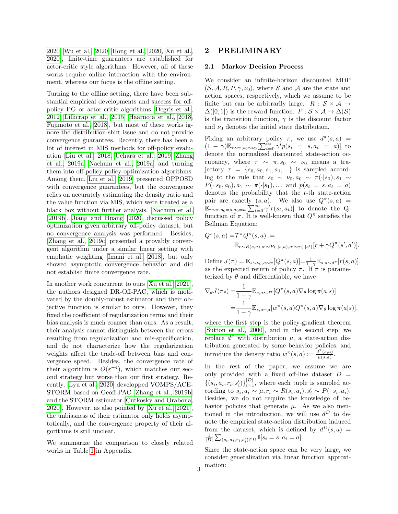[2020,](#page-9-2) [Wu et al., 2020,](#page-10-3) [Hong et al., 2020,](#page-9-9) [Xu et al.,](#page-10-12) [2020\]](#page-10-12), finite-time guarantees are established for actor-critic style algorithms. However, all of these works require online interaction with the environment, whereas our focus is the offline setting.

Turning to the offline setting, there have been substantial empirical developments and success for offpolicy PG or actor-critic algorithms [\[Degris et al.,](#page-9-10) [2012,](#page-9-10) [Lillicrap et al., 2015,](#page-9-11) [Haarnoja et al., 2018,](#page-9-12) [Fujimoto et al., 2018\]](#page-9-13), but most of these works ignore the distribution-shift issue and do not provide convergence guarantees. Recently, there has been a lot of interest in MIS methods for off-policy evaluation [\[Liu et al., 2018,](#page-10-6) [Uehara et al., 2019,](#page-10-8) [Zhang](#page-10-7) [et al., 2019a,](#page-10-7) [Nachum et al., 2019a\]](#page-10-14) and turning them into off-policy policy-optimization algorithms. Among them, [Liu et al.](#page-10-4) [\[2019\]](#page-10-4) presented OPPOSD with convergence guarantees, but the convergence relies on accurately estimating the density ratio and the value function via MIS, which were treated as a black box without further analysis. [Nachum et al.](#page-10-10) [\[2019b\]](#page-10-10), [Jiang and Huang](#page-9-5) [\[2020\]](#page-9-5) discussed policy optimization given arbitrary off-policy dataset, but no convergence analysis was performed. Besides, [\[Zhang et al., 2019c\]](#page-10-5) presented a provably convergent algorithm under a similar linear setting with emphatic weighting [\[Imani et al., 2018\]](#page-9-4), but only showed asymptotic convergence behavior and did not establish finite convergence rate.

In another work concurrent to ours [\[Xu et al., 2021\]](#page-10-15), the authors designed DR-Off-PAC, which is motivated by the doubly-robust estimator and their objective function is similar to ours. However, they fixed the coefficient of regularization terms and their bias analysis is much coarser than ours. As a result, their analysis cannot distinguish between the errors resulting from regularization and mis-specification, and do not characterize how the regularization weights affect the trade-off between bias and convergence speed. Besides, the convergence rate of their algorithm is  $O(\varepsilon^{-4})$ , which matches our second strategy but worse than our first strategy. Recently, [\[Lyu et al., 2020\]](#page-10-16) developped VOMPS/ACE-STORM based on Geoff-PAC [\[Zhang et al., 2019b\]](#page-10-17) and the STORM estimator [\[Cutkosky and Orabona,](#page-9-14) [2020\]](#page-9-14). However, as also pointed by [\[Xu et al., 2021\]](#page-10-15), the unbiasness of their estimator only holds asymptotically, and the convergence property of their algorithms is still unclear.

We summarize the comparison to closely related works in Table [1](#page-11-0) in Appendix.

## 2 PRELIMINARY

#### <span id="page-2-0"></span>2.1 Markov Decision Process

We consider an infinite-horizon discounted MDP  $(S, \mathcal{A}, R, P, \gamma, \nu_0)$ , where S and A are the state and action spaces, respectively, which we assume to be finite but can be arbitrarily large.  $R : S \times A \rightarrow$  $\Delta([0,1])$  is the reward function.  $P : \mathcal{S} \times \mathcal{A} \rightarrow \Delta(\mathcal{S})$ is the transition function,  $\gamma$  is the discount factor and  $\nu_0$  denotes the initial state distribution.

Fixing an arbitrary policy  $\pi$ , we use  $d^{\pi}(s, a)$  =  $(1 - \gamma) \mathbb{E}_{\tau \sim \pi, s_0 \sim \nu_0} \left[ \sum_{t=0}^{\infty} \gamma^t p(s_t = s, a_t = a) \right]$  to denote the normalized discounted state-action occupancy, where  $\tau \sim \pi$ ,  $s_0 \sim \nu_0$  means a trajectory  $\tau = \{s_0, a_0, s_1, a_1, ...\}$  is sampled according to the rule that  $s_0 \sim \nu_0, a_0 \sim \pi(\cdot|s_0), s_1 \sim$  $P(\cdot|s_0, a_0), a_1 \sim \pi(\cdot|s_1), ..., \text{ and } p(s_t = s, a_t = a)$ denotes the probability that the t-th state-action pair are exactly  $(s, a)$ . We also use  $Q^{\pi}(s, a)$  =  $\mathbb{E}_{\tau \sim \pi, s_0 = s, a_0 = a}$   $[\sum_{t=0}^{\infty} \gamma^t r(s_t, a_t)]$  to denote the Qfunction of  $\pi$ . It is well-known that  $Q^{\pi}$  satisfies the Bellman Equation:

$$
Q^{\pi}(s, a) = T^{\pi} Q^{\pi}(s, a) :=
$$
  

$$
\mathbb{E}_{r \sim R(s, a), s' \sim P(\cdot | s, a), a' \sim \pi(\cdot | s')} [r + \gamma Q^{\pi}(s', a')].
$$

Define  $J(\pi) = \mathbb{E}_{s \sim \nu_0, a \sim \pi} [Q^{\pi}(s, a)] = \frac{1}{1 - \gamma} \mathbb{E}_{s, a \sim d^{\pi}} [r(s, a)]$ as the expected return of policy  $\pi$ . If  $\pi$  is parameterized by  $\theta$  and differentiable, we have

$$
\nabla_{\theta} J(\pi_{\theta}) = \frac{1}{1 - \gamma} \mathbb{E}_{s, a \sim d^{\pi}} [Q^{\pi}(s, a) \nabla_{\theta} \log \pi(a|s)]
$$
  
= 
$$
\frac{1}{1 - \gamma} \mathbb{E}_{s, a \sim \mu} [w^{\pi}(s, a) Q^{\pi}(s, a) \nabla_{\theta} \log \pi(a|s)].
$$

where the first step is the policy-gradient theorem [\[Sutton et al., 2000\]](#page-10-18), and in the second step, we replace  $d^{\pi}$  with distribution  $\mu$ , a state-action distribution generated by some behavior policies, and introduce the density ratio  $w^{\pi}(s, a) := \frac{d^{\pi}(s, a)}{u(s, a)}$  $rac{u^{\shortparallel}(s,a)}{\mu(s,a)}$ .

In the rest of the paper, we assume we are only provided with a fixed off-line dataset  $D =$  $\{(s_i, a_i, r_i, s'_i)\}_{i=1}^{|D|}$ , where each tuple is sampled according to  $s_i, a_i \sim \mu, r_i \sim R(s_i, a_i), s'_i \sim P(\cdot | s_i, a_i)$ . Besides, we do not require the knowledge of behavior policies that generate  $\mu$ . As we also mentioned in the introduction, we will use  $d^D$  to denote the empirical state-action distribution induced from the dataset, which is defined by  $d^D(s, a) =$  $\frac{1}{|D|} \sum_{(s_i, a_i, r_i, s'_i) \in D} \mathbb{I}[s_i = s, a_i = a].$ 

Since the state-action space can be very large, we consider generalization via linear function approxi-3 mation: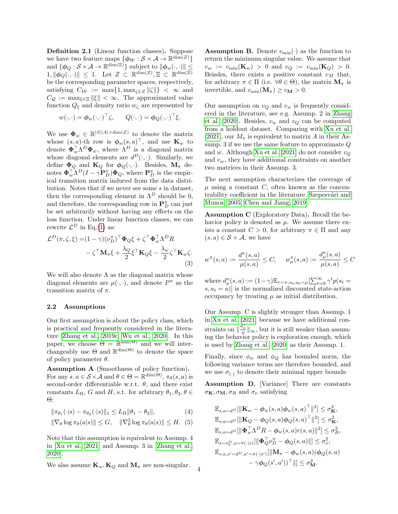<span id="page-3-0"></span>Definition 2.1 (Linear function classes). Suppose we have two feature maps  $\{\phi_W : \mathcal{S} \times \mathcal{A} \to \mathbb{R}^{\dim(Z)}\}$ and  $\{\boldsymbol{\phi}_Q : \mathcal{S} \times \mathcal{A} \to \mathbb{R}^{\dim(\Xi)}\}$  subject to  $\|\boldsymbol{\phi}_w(\cdot,\cdot)\| \leq$  $1, \|\phi_Q(\cdot, \cdot)\| \leq 1$ . Let  $Z \subset \mathbb{R}^{\dim(Z)}, \Xi \subset \mathbb{R}^{\dim(\Xi)}$ be the corresponding parameter spaces, respectively, satisfying  $C_{\mathcal{W}} := \max\{1, \max_{\zeta \in Z} ||\zeta||\} < \infty$  and  $C_{\mathcal{Q}} := \max_{\xi \in \Xi} ||\xi|| < \infty$ . The approximated value function  $Q_{\xi}$  and density ratio  $w_{\zeta}$  are represented by

$$
w(\cdot, \cdot) = \phi_w(\cdot, \cdot)^{\top} \zeta, \qquad Q(\cdot, \cdot) = \phi_Q(\cdot, \cdot)^{\top} \xi.
$$

We use  $\mathbf{\Phi}_w \in \mathbb{R}^{|S||A| \times \dim(Z)}$  to denote the matrix whose  $(s, a)$ -th row is  $\boldsymbol{\phi}_w(s, a)^\top$ , and use  $\mathbf{K}_w$  to denote  $\mathbf{\Phi}_w^{\top} \Lambda^D \mathbf{\Phi}_w$ , where  $\Lambda^D$  is a diagonal matrix whose diagonal elements are  $d^D(\cdot, \cdot)$ . Similarly, we define  $\Phi_Q$  and  $\mathbf{K}_Q$  for  $\phi_Q(\cdot,\cdot)$ . Besides,  $\mathbf{M}_{\pi}$  denotes  $\mathbf{\Phi}_w^{\top} \Lambda^D (I - \gamma \mathbf{P}_D^{\pi}) \mathbf{\Phi}_Q$ , where  $\mathbf{P}_D^{\pi}$  is the empirical transition matrix induced from the data distribution. Notes that if we never see some s in dataset, then the corresponding element in  $\Lambda^D$  should be 0, and therefore, the corresponding row in  ${\bf P}^{\pi}_D$  can just be set arbitrarily without having any effects on the loss function. Under linear function classes, we can rewrite  $\mathcal{L}^D$  in Eq.[\(1\)](#page-0-0) as:

$$
\mathcal{L}^{D}(\pi,\zeta,\xi) = (1-\gamma)(\nu_{D}^{\pi})^{\top} \Phi_{Q} \xi + \zeta^{\top} \Phi_{w}^{\top} \Lambda^{D} R \n- \zeta^{\top} \mathbf{M}_{\pi} \xi + \frac{\lambda_{Q}}{2} \xi^{\top} \mathbf{K}_{Q} \xi - \frac{\lambda_{w}}{2} \zeta^{\top} \mathbf{K}_{w} \zeta.
$$
\n(3)

We will also denote  $\Lambda$  as the diagonal matrix whose diagonal elements are  $\mu(\cdot, \cdot)$ , and denote  $P^{\pi}$  as the transition matrix of  $\pi$ .

### <span id="page-3-1"></span>2.2 Assumptions

Our first assumption is about the policy class, which is practical and frequently considered in the literature [\[Zhang et al., 2019c,](#page-10-5) [Wu et al., 2020\]](#page-10-3). In this paper, we choose  $\Theta = \mathbb{R}^{\dim(\Theta)}$  and we will interchangeably use  $\Theta$  and  $\mathbb{R}^{\dim(\Theta)}$  to denote the space of policy parameter  $\theta$ .

<span id="page-3-4"></span>Assumption A (Smoothness of policy function). For any  $s, a \in \mathcal{S} \times \mathcal{A}$  and  $\theta \in \Theta = \mathbb{R}^{\dim(\Theta)}, \pi_{\theta}(s, a)$  is second-order differentiable w.r.t.  $\theta$ , and there exist constants  $L_{\Pi}$ , G and H, s.t. for arbitrary  $\theta_1, \theta_2, \theta \in$ Θ:

$$
\|\pi_{\theta_1}(\cdot|s) - \pi_{\theta_2}(\cdot|s)\|_1 \le L_{\Pi} \|\theta_1 - \theta_2\|,\tag{4}
$$

$$
\|\nabla_{\theta}\log\pi_{\theta}(a|s)\| \leq G, \quad \|\nabla_{\theta}^2\log\pi_{\theta}(a|s)\| \leq H. \tag{5}
$$

Note that this assumption is equivalent to Assump. 4 in [\[Xu et al., 2021\]](#page-10-15) and Assump. 3 in [\[Zhang et al.,](#page-10-19) [2020\]](#page-10-19).

We also assume  $\mathbf{K}_w, \mathbf{K}_Q$  and  $\mathbf{M}_\pi$  are non-singular.

<span id="page-3-2"></span>**Assumption B.** Denote  $v_{\text{min}}(\cdot)$  as the function to return the minimum singular value. We assume that  $v_w := v_{\min}(\mathbf{K}_w) > 0$  and  $v_Q := v_{\min}(\mathbf{K}_Q) > 0$ . Beisdes, there exists a positive constant  $v_M$  that, for arbitrary  $\pi \in \Pi$  (i.e.  $\forall \theta \in \Theta$ ), the matrix  $\mathbf{M}_{\pi}$  is invertible, and  $v_{\min}(\mathbf{M}_{\pi}) \ge v_{\mathbf{M}} > 0$ .

Our assumption on  $v_Q$  and  $v_w$  is frequently considered in the literature, see e.g. Assump. 2 in [Zhang](#page-10-19) [et al.](#page-10-19) [\[2020\]](#page-10-19). Besides,  $v_w$  and  $v_Q$  can be computed from a holdout dataset. Comparing with [Xu et al.](#page-10-15) [\[2021\]](#page-10-15), our  $M_{\pi}$  is equivalent to matrix A in their Assump. 3 if we use the same feature to approximate Q and w. Although [Xu et al.](#page-10-15) [\[2021\]](#page-10-15) do not consider  $v<sub>O</sub>$ and  $v_w$ , they have additional constraints on another two matrices in their Assump. 3.

The next assumption characterizes the coverage of  $\mu$  using a constant  $C$ , often known as the concentrability coefficient in the literature Szepesvári and [Munos, 2005,](#page-10-20) [Chen and Jiang, 2019\]](#page-9-15).

<span id="page-3-3"></span>Assumption C (Exploratory Data). Recall the behavior policy is denoted as  $\mu$ . We assume there exists a constant  $C > 0$ , for arbitrary  $\pi \in \Pi$  and any  $(s, a) \in \mathcal{S} \times \mathcal{A}$ , we have

<span id="page-3-5"></span>
$$
w^{\pi}(s, a) := \frac{d^{\pi}(s, a)}{\mu(s, a)} \le C, \quad w^{\pi}_{\mu}(s, a) := \frac{d^{\pi}_{\mu}(s, a)}{\mu(s, a)} \le C
$$

where  $d_{\mu}^{\pi}(s, a) := (1 - \gamma) \mathbb{E}_{\tau \sim \pi, s_0, a_0 \sim \mu}[\sum_{t=0}^{\infty} \gamma^t p(s_t =$  $s, a_t = a$ ] is the normalized discounted state-action occupancy by treating  $\mu$  as initial distribution.

Our Assump. C is slightly stronger than Assump. 1 in [Xu et al.](#page-10-15) [\[2021\]](#page-10-15) because we have additional constraints on  $\|\frac{\tilde{d}_{\mu}^{\pi}}{\mu}\|_{\infty}$ , but it is still weaker than assuming the behavior policy is exploration enough, which is used by [Zhang et al.](#page-10-19) [\[2020\]](#page-10-19) as their Assump. 1.

Finally, since  $\phi_w$  and  $\phi_Q$  has bounded norm, the following variance terms are therefore bounded, and we use  $\sigma_{(.)}$  to denote their minimal upper bounds:

<span id="page-3-6"></span>Assumption D. [Variance] There are constants  $\sigma_{\mathbf{K}}, \sigma_{\mathbf{M}}, \sigma_R$  and  $\sigma_{\nu}$  satisfying

$$
\label{eq:4.1} \begin{aligned} \mathbb{E}_{s,a\sim d^D}[\|{\bf K}_w-\phi_w(s,a)\phi_w(s,a)^\top\|^2] &\leq \sigma_{{\bf K}}^2,\\ \mathbb{E}_{s,a\sim d^D}[\|{\bf K}_Q-\phi_Q(s,a)\phi_Q(s,a)^\top\|^2] &\leq \sigma_{{\bf K}}^2,\\ \mathbb{E}_{s,a\sim d^D}[\|{\pmb\Phi}_w^\top\Lambda^D R-\phi_w(s,a)r(s,a)\|^2] &\leq \sigma_{{\cal R}}^2,\\ \mathbb{E}_{s\sim \nu_0^D,a\sim \pi(\cdot|s)}[\|{\pmb\Phi}_Q^\top\nu_D^\pi-\phi_Q(s,a)\|] &\leq \sigma_\nu^2,\\ \mathbb{E}_{s,a,s'\sim d^D,a'\sim \pi(\cdot|s')}[\|{\bf M}_\pi-\phi_w(s,a)(\phi_Q(s,a)\\ &\quad -\gamma\phi_Q(s',a'))^\top\|] &\leq \sigma_{{\bf M}}^2. \end{aligned}
$$

4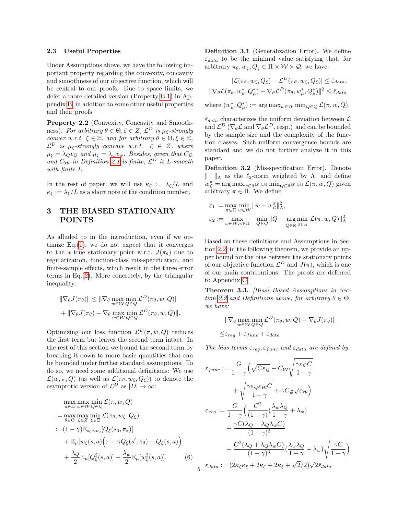#### 2.3 Useful Properties

Under Assumptions above, we have the following important property regarding the convexity, concavity and smoothness of our objective function, which will be central to our proofs. Due to space limits, we defer a more detailed version (Property [B.1\)](#page-12-0) in Appendix [B,](#page-12-1) in addition to some other useful properties and their proofs.

<span id="page-4-2"></span>Property 2.2 (Convexity, Concavity and Smoothness). For arbitrary  $\theta \in \Theta, \zeta \in Z$ ,  $\mathcal{L}^D$  is  $\mu_{\xi}$ -strongly convex w.r.t.  $\xi \in \Xi$ , and for arbitrary  $\theta \in \Theta, \xi \in \Xi$ ,  $\mathcal{L}^D$  is  $\mu_{\zeta}$ -strongly concave w.r.t.  $\zeta \in Z$ , where  $\mu_{\xi} = \lambda_{Q} v_{Q}$  and  $\mu_{\zeta} = \lambda_{w} v_{w}$ . Besides, given that  $C_{Q}$ and  $C_W$  in Definition [2.1](#page-3-0) is finite,  $\mathcal{L}^D$  is L-smooth with finite L.

In the rest of paper, we will use  $\kappa_{\zeta} := \lambda_{\zeta}/L$  and  $\kappa_{\xi} := \lambda_{\xi}/L$  as a short note of the condition number.

# <span id="page-4-0"></span>3 THE BIASED STATIONARY POINTS

As alluded to in the introduction, even if we optimize  $Eq.(1)$  $Eq.(1)$ , we do not expect that it converges to the a true stationary point w.r.t.  $J(\pi_{\theta})$  due to regularization, function-class mis-specification, and finite-sample effects, which result in the three error terms in Eq. $(2)$ . More concretely, by the triangular inequality,

$$
\|\nabla_{\theta} J(\pi_{\theta})\| \leq \|\nabla_{\theta} \max_{w \in \mathcal{W}} \min_{Q \in \mathcal{Q}} \mathcal{L}^{D}(\pi_{\theta}, w, Q)\|
$$
  
+ 
$$
\|\nabla_{\theta} J(\pi_{\theta}) - \nabla_{\theta} \max_{w \in \mathcal{W}} \min_{Q \in \mathcal{Q}} \mathcal{L}^{D}(\pi_{\theta}, w, Q)\|.
$$

Optimizing our loss function  $\mathcal{L}^D(\pi, w, Q)$  reduces the first term but leaves the second term intact. In the rest of this section we bound the second term by breaking it down to more basic quantities that can be bounded under further standard assumptions. To do so, we need some additional definitions: We use  $\mathcal{L}(w, \pi, Q)$  (as well as  $\mathcal{L}(\pi_{\theta}, w_{\zeta}, Q_{\xi})$ ) to denote the asymptotic version of  $\mathcal{L}^D$  as  $|D| \to \infty$ :

$$
\max_{\pi \in \Pi} \max_{w \in W} \min_{Q \in Q} \mathcal{L}(\pi, w, Q)
$$
\n
$$
:= \max_{\theta \in \Theta} \max_{\zeta \in Z} \min_{\xi \in \Xi} \mathcal{L}(\pi_{\theta}, w_{\zeta}, Q_{\xi})
$$
\n
$$
:= (1 - \gamma) \mathbb{E}_{s_0 \sim \nu_0} [Q_{\xi}(s_0, \pi_{\theta})]
$$
\n
$$
+ \mathbb{E}_{\mu} [w_{\zeta}(s, a) (r + \gamma Q_{\xi}(s', \pi_{\theta}) - Q_{\xi}(s, a))]
$$
\n
$$
+ \frac{\lambda_Q}{2} \mathbb{E}_{\mu} [Q_{\xi}^2(s, a)] - \frac{\lambda_w}{2} \mathbb{E}_{\mu} [w_{\zeta}^2(s, a)]. \tag{6}
$$

<span id="page-4-3"></span>Definition 3.1 (Generalization Error). We define  $\bar{\varepsilon}_{data}$  to be the minimal value satisfying that, for arbitrary  $\pi_{\theta}, w_{\zeta}, Q_{\xi} \in \Pi \times \mathcal{W} \times \mathcal{Q}$ , we have:

$$
|\mathcal{L}(\pi_{\theta}, w_{\zeta}, Q_{\xi}) - \mathcal{L}^{D}(\pi_{\theta}, w_{\zeta}, Q_{\xi})| \leq \bar{\varepsilon}_{data},
$$
  

$$
||\nabla_{\theta} \mathcal{L}(\pi_{\theta}, w_{\mu}^*, Q_{\mu}^*) - \nabla_{\theta} \mathcal{L}^{D}(\pi_{\theta}, w_{\mu}^*, Q_{\mu}^*)||^2 \leq \bar{\varepsilon}_{data}
$$

where  $(w^*_{\mu}, Q^*_{\mu}) := \arg \max_{w \in \mathcal{W}} \min_{Q \in \mathcal{Q}} \mathcal{L}(\pi, w, Q).$ 

 $\bar{\varepsilon}_{data}$  characterizes the uniform deviation between  $\mathcal{L}$ and  $\mathcal{L}^D$  ( $\nabla_{\theta} \mathcal{L}$  and  $\nabla_{\theta} \mathcal{L}^D$ , resp.) and can be bounded by the sample size and the complexity of the function classes. Such uniform convergence bounds are standard and we do not further analyze it in this paper.

<span id="page-4-4"></span>Definition 3.2 (Mis-specification Error). Denote  $\|\cdot\|_{\Lambda}$  as the  $\ell_2$ -norm weighted by  $\Lambda$ , and define  $w_{\mathcal{L}}^{\pi} = \arg \max_{w \in \mathbb{R}^{|\mathcal{S}||\mathcal{A}|}} \min_{Q \in \mathbb{R}^{|\mathcal{S}||\mathcal{A}|}} \mathcal{L}(\pi, w, Q)$  given arbitrary  $\pi \in \Pi$ . We define

$$
\begin{array}{l} {\varepsilon _1}: = \mathop {\max }\limits_{\pi \in \Pi } \mathop {\min }\limits_{w \in \mathcal{W}} \| w - w_{\mathcal{L}}^\pi \|_{{\Lambda }}^2, \\ {\varepsilon _2}: = \mathop {\max }\limits_{w \in \mathcal{W},\pi \in \Pi } \quad \mathop {\min }\limits_{Q \in \mathcal{Q}} \| Q - \mathop {\arg \min }\limits_{Q \in \mathbb{R}^{\left| {\mathcal{S}} \right| \left| {\mathcal{A}} \right|}} \mathcal{L}(\pi ,w,Q) \|_{{\Lambda }}^2 \end{array}
$$

Based on these definitions and Assumptions in Section [2.2,](#page-3-1) in the following theorem, we provide an upper bound for the bias between the stationary points of our objective function  $\mathcal{L}^D$  and  $J(\pi)$ , which is one of our main contributions. The proofs are deferred to Appendix [C.](#page-17-0)

<span id="page-4-5"></span>Theorem 3.3. [Bias] Based Assumptions in Sec-tion [2.2](#page-3-1) and Definitions above, for arbitrary  $\theta \in \Theta$ , we have:

$$
\|\nabla_{\theta} \max_{w \in \mathcal{W}} \min_{Q \in \mathcal{Q}} \mathcal{L}^{D}(\pi_{\theta}, w, Q) - \nabla_{\theta} J(\pi_{\theta})\|
$$
  

$$
\leq \varepsilon_{reg} + \varepsilon_{func} + \varepsilon_{data}
$$

The bias terms  $\varepsilon_{reg}, \varepsilon_{func}$  and  $\varepsilon_{data}$  are defined by

<span id="page-4-1"></span>
$$
\varepsilon_{func} := \frac{G}{1-\gamma} \Big( \sqrt{C\varepsilon_{\mathcal{Q}}} + C_{\mathcal{W}} \sqrt{\frac{\gamma \varepsilon_{\mathcal{Q}} C}{1-\gamma}} \n+ \sqrt{\frac{\gamma \varepsilon_{\mathcal{Q}} \varepsilon_{\mathcal{W}} C}{1-\gamma}} + \gamma C_{\mathcal{Q}} \sqrt{\varepsilon_{\mathcal{W}}} \Big) \n\varepsilon_{reg} := \frac{G}{1-\gamma} \Big( \frac{C^2}{(1-\gamma)} \big( \frac{\lambda_w \lambda_Q}{1-\gamma} + \lambda_w \big) \n+ \frac{\gamma C (\lambda_Q + \lambda_Q \lambda_w C)}{(1-\gamma)^3} \n+ \frac{C^2 (\lambda_Q + \lambda_Q \lambda_w C)}{(1-\gamma)^3} \big( \frac{\lambda_w \lambda_Q}{1-\gamma} + \lambda_w \big) \sqrt{\frac{\gamma C}{1-\gamma}} \Big) \n5^{\varepsilon_{data}} := (2\kappa_{\zeta} \kappa_{\xi} + 2\kappa_{\zeta} + 2\kappa_{\xi} + \sqrt{2}/2) \sqrt{2\bar{\varepsilon}_{data}}
$$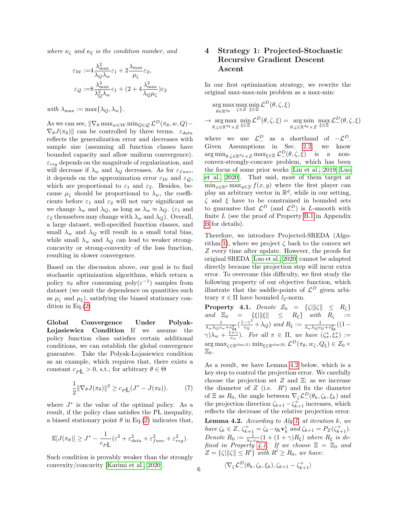where  $\kappa_{\zeta}$  and  $\kappa_{\xi}$  is the condition number, and

$$
\varepsilon_{\mathcal{W}} := 4 \frac{\lambda_{\max}^2}{\lambda_Q \lambda_w} \varepsilon_1 + 2 \frac{\lambda_{\max}}{\mu_{\zeta}} \varepsilon_2,
$$

$$
\varepsilon_{\mathcal{Q}} := 8 \frac{\lambda_{\max}^3}{\lambda_Q^2 \lambda_w} \varepsilon_1 + (2 + 4 \frac{\lambda_{\max}^2}{\lambda_Q \mu_{\zeta}}) \varepsilon_2
$$

with  $\lambda_{\text{max}} := \max\{\lambda_Q, \lambda_w\}.$ 

As we can see,  $\|\nabla_{\theta} \max_{w \in \mathcal{W}} \min_{Q \in \mathcal{Q}} \mathcal{L}^{D}(\pi_{\theta}, w, Q) \nabla_{\theta}J(\pi_{\theta})$  can be controlled by three terms.  $\varepsilon_{data}$ reflects the generalization error and decreases with sample size (assuming all function classes have bounded capacity and allow uniform convergence).  $\varepsilon_{req}$  depends on the magnitude of regularization, and will decrease if  $\lambda_w$  and  $\lambda_Q$  decreases. As for  $\varepsilon_{func}$ , it depends on the approximation error  $\varepsilon_{\mathcal{W}}$  and  $\varepsilon_{\mathcal{Q}}$ , which are proportional to  $\varepsilon_1$  and  $\varepsilon_2$ . Besides, because  $\mu_{\zeta}$  should be proportional to  $\lambda_{w}$ , the coefficients before  $\varepsilon_1$  and  $\varepsilon_2$  will not vary significant as we change  $\lambda_w$  and  $\lambda_Q$ , as long as  $\lambda_w \approx \lambda_Q$ . ( $\varepsilon_1$  and  $\varepsilon_2$  themselves may change with  $\lambda_w$  and  $\lambda_Q$ ). Overall, a large dataset, well-specified function classes, and small  $\lambda_w$  and  $\lambda_Q$  will result in a small total bias, while small  $\lambda_w$  and  $\lambda_Q$  can lead to weaker strongconcavity or strong-convexity of the loss function, resulting in slower convergence.

Based on the discussion above, our goal is to find stochastic optimization algorithms, which return a policy  $\pi_{\theta}$  after consuming  $\text{poly}(\varepsilon^{-1})$  samples from dataset (we omit the dependence on quantities such as  $\mu_{\zeta}$  and  $\mu_{\xi}$ ), satisfying the biased stationary condition in Eq. $(2)$ 

Global Convergence Under Polyak- Lojasiewicz Condition If we assume the policy function class satisfies certain additional conditions, we can establish the global convergence guarantee. Take the Polyak-Lojasiewicz condition as an example, which requires that, there exists a constant  $c_{P}$   $> 0$ , s.t., for arbitrary  $\theta \in \Theta$ 

$$
\frac{1}{2} \|\nabla_{\theta} J(\pi_{\theta})\|^2 \ge c_{P\mathcal{L}} (J^* - J(\pi_{\theta})). \tag{7}
$$

where  $J^*$  is the value of the optimal policy. As a result, if the policy class satisfies the PL inequality, a biased stationary point  $\theta$  in Eq.[\(2\)](#page-1-2) indicates that,

$$
\mathbb{E}[J(\pi_{\theta})] \ge J^* - \frac{1}{c_{PL}} (\varepsilon^2 + \varepsilon_{data}^2 + \varepsilon_{func}^2 + \varepsilon_{reg}^2).
$$

Such condition is provably weaker than the strongly convexity/concavity [\[Karimi et al., 2020\]](#page-9-16).

# 4 Strategy 1: Projected-Stochastic Recursive Gradient Descent Ascent

In our first optimization strategy, we rewrite the original max-max-min problem as a max-min:

$$
\argmax_{\theta \in \mathbb{R}^{d_{\theta}}} \max_{\zeta \in Z} \min_{\xi \in \Xi} \mathcal{L}^{D}(\theta, \zeta, \xi)
$$

 $\rightarrow$  arg max  $\theta,\zeta \in \mathbb{R}^{d_{\theta}} \times Z$  $\min_{\xi \in \Xi} \mathcal{L}^D(\theta, \zeta, \xi) = \argmin_{\theta \in \mathcal{L} \mathbb{R}^{d_{\theta}}}$  $\theta,\zeta \in \mathbb{R}^{d_{\theta}} \times Z$  $\max_{\xi \in \Xi} \mathcal{L}_{-}^{D}(\theta, \zeta, \xi)$ 

where we use  $\mathcal{L}^D_-$  as a shorthand of  $-\mathcal{L}^D$ . Given Assumptions in Sec. [2.2,](#page-3-1) we know  $\arg\min_{\theta,\zeta\in\mathbb{R}^{d_{\theta}}\times Z} \max_{\xi\in\Xi} \mathcal{L}_{-}^{D}(\theta,\zeta,\xi)$  is a nonconvex-strongly-concave problem, which has been the focus of some prior works [\[Lin et al., 2019,](#page-9-17) [Luo](#page-10-11) [et al., 2020\]](#page-10-11). That said, most of them target at  $\min_{x \in \mathbb{R}^d} \max_{y \in \mathcal{Y}} f(x, y)$  where the first player can play an arbitrary vector in  $\mathbb{R}^d$ , while in our setting,  $\zeta$  and  $\xi$  have to be constrained in bounded sets to guarantee that  $\mathcal{L}^D$  (and  $\mathcal{L}^D$ ) is L-smooth with finite L (see the proof of Property [B.1](#page-12-0) in Appendix [B](#page-12-1) for details).

Therefore, we introduce Projected-SREDA (Algo-rithm [1\)](#page-6-1), where we project  $\zeta$  back to the convex set Z every time after update. However, the proofs for original SREDA [\[Luo et al., 2020\]](#page-10-11) cannot be adapted directly because the projection step will incur extra error. To overcome this difficulty, we first study the following property of our objective function, which illustrate that the saddle-points of  $\mathcal{L}^D$  given arbitrary  $\pi \in \Pi$  have bounded  $l_2$ -norm.

<span id="page-5-1"></span>**Property 4.1.** Denote  $Z_0 = {\text{S}} ||{\text{S}}|| \leq R_{\zeta}$ and  $\Xi_0 = {\xi} \|\xi\| \leq R_{\xi}$  with  $R_{\zeta} :=$  $\frac{1}{\lambda_w \lambda_Q v_w + v_{\mathbf{M}}^2} \left( \frac{1 - \gamma^2}{v_Q} \right)$  $\frac{-\gamma^2}{v_Q} + \lambda_Q$ ) and  $R_\xi := \frac{1}{\lambda_w \lambda_Q v_Q + v_M^2}((1-\frac{1}{\lambda_Q})$  $\gamma\rightarrow \gamma\lambda_w + \frac{1+\gamma}{v_w}$ . For all  $\pi \in \Pi$ , we have  $(\zeta^*_{\pi}, \overline{\zeta^*_{\pi}}) :=$  $\arg\max_{\zeta \in \mathbb{R}^{\dim(Z)}} \min_{\xi \in \mathbb{R}^{\dim(\Xi)}} \mathcal{L}^{D}(\pi_{\theta}, w_{\zeta}, Q_{\xi}) \in Z_0 \times$  $\Xi_0$ .

As a result, we have Lemma [4.2](#page-5-0) below, which is a key step to control the projection error. We carefully choose the projection set  $Z$  and  $\Xi$ ; as we increase the diameter of  $Z$  (i.e.  $R'$ ) and fix the diameter of  $\Xi$  as  $R_0$ , the angle between  $\nabla_{\zeta} \mathcal{L}_{-}^D(\theta_k, \zeta_k, \xi_k)$  and the projection direction  $\zeta_{k+1} - \zeta_{k+1}^+$  increases, which reflects the decrease of the relative projection error. **Lemma 4.2.** According to Alg [1,](#page-6-1) at iteration  $k$ , we have  $\zeta_k \in Z$ ,  $\zeta_{k+1}^+ = \zeta_k - \eta_k \mathbf{v}_k^{\zeta}$  and  $\zeta_{k+1} = P_Z(\zeta_{k+1}^+).$ Denote  $R_0 := \frac{1}{\lambda_w v_w} (1 + (1 + \gamma)R_\xi)$  where  $R_\xi$  is de-fined in Property [4.1.](#page-5-1) If we choose  $\Xi = \Xi_0$  and  $Z = \{ \zeta | \|\zeta\| \le R' \}$  with  $R' \ge R_0$ , we have:

<span id="page-5-0"></span>
$$
\langle \nabla_{\zeta} \mathcal{L}_{-}^{D}(\theta_{k}, \zeta_{k}, \xi_{k}), \zeta_{k+1} - \zeta_{k+1}^{+} \rangle
$$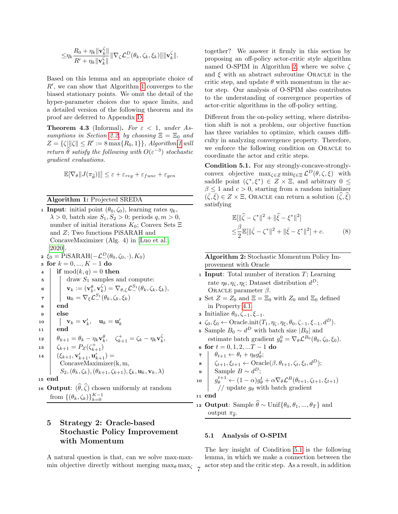$$
\leq \!\eta_k \frac{R_0 + \eta_k \|\mathbf{v}_k^{\zeta}\|}{R' + \eta_k \|\mathbf{v}_k^{\zeta}\|} \|\nabla_{\zeta} \mathcal{L}_-^D(\theta_k, \zeta_k, \xi_k)\| \|\mathbf{v}_k^{\zeta}\|.
$$

Based on this lemma and an appropriate choice of  $R'$ , we can show that Algorithm [1](#page-6-1) converges to the biased stationary points. We omit the detail of the hyper-parameter choices due to space limits, and a detailed version of the following theorem and its proof are deferred to Appendix [D.](#page-25-0)

**Theorem 4.3** (Informal). For  $\varepsilon < 1$ , under As-sumptions in Section [2.2,](#page-3-1) by choosing  $\Xi = \Xi_0$  and  $Z = \{ \zeta | ||\zeta|| \le R' := 8 \max\{R_0, 1\} \},$  $Z = \{ \zeta | ||\zeta|| \le R' := 8 \max\{R_0, 1\} \},$  $Z = \{ \zeta | ||\zeta|| \le R' := 8 \max\{R_0, 1\} \},$  Algorithm 1 will return  $\widehat{\theta}$  satisfy the following with  $O(\varepsilon^{-3})$  stochastic gradient evaluations.

$$
\mathbb{E}[\nabla_{\theta} || J(\pi_{\widehat{\theta}}) ||] \le \varepsilon + \varepsilon_{reg} + \varepsilon_{func} + \varepsilon_{gen}
$$

## Algorithm 1: Projected SREDA

<span id="page-6-1"></span>**1 Input:** initial point  $(\theta_0, \zeta_0)$ , learning rates  $\eta_k$ ,  $\lambda > 0$ , batch size  $S_1, S_2 > 0$ ; periods  $q, m > 0$ , number of initial iterations  $K_0$ ; Convex Sets  $\Xi$ and Z; Two functions PiSARAH and ConcaveMaximizer (Alg. 4) in [\[Luo et al.,](#page-10-11) [2020\]](#page-10-11). 2  $\xi_0 = \text{PiSARAH}(-\mathcal{L}_-^D(\theta_0, \zeta_0, \cdot), K_0)$ 3 for  $k = 0, ..., K - 1$  do 4 if  $mod(k, q) = 0$  then  $\mathfrak{s}$  | draw  $S_1$  samples and compute:  $\textbf{v}_k := (\textbf{v}_k^{\theta}, \textbf{v}_k^{\zeta}) = \nabla_{\theta, \zeta} \mathcal{L}^{S_1}_-(\theta_k, \zeta_k, \xi_k),$  $\mathbf{u}_k = \nabla_\xi \mathcal{L}^{S_1}_-(\theta_k, \zeta_k, \xi_k)$ <sup>8</sup> end <sup>9</sup> else  $\mathbf{u}_0 \quad \Big| \quad \Big| \quad \mathbf{v}_k = \mathbf{v}'_k, \quad \mathbf{u}_k = \mathbf{u}'_k$ <sup>11</sup> end 12  $\begin{aligned} \begin{array}{c} \theta_{k+1} = \theta_k - \eta_k \mathbf{v}_k^{\theta}, \quad \zeta_{k+1}^+ = \zeta_k - \eta_k \mathbf{v}_k^{\zeta}, \end{array} \end{array}$ 13  $\int \zeta_{k+1} = P_Z(\zeta_{k+1}^+)$  ${\bf u}_4 \quad | \quad (\xi_{k+1}, {\bf v}'_{k+1}, {\bf u}'_{k+1}) =$ ConcaveMaximizer(k, m,  $S_2$ ,  $(\theta_k, \zeta_k)$ ,  $(\theta_{k+1}, \zeta_{k+1})$ ,  $\xi_k$ ,  $\mathbf{u}_k$ ,  $\mathbf{v}_k$ ,  $\lambda$ ) <sup>15</sup> end 16 Output:  $(\widehat{\theta}, \widehat{\zeta})$  chosen uniformly at random from  $\{(\theta_k, \zeta_k)\}_{k=0}^{K-1}$ 

# 5 Strategy 2: Oracle-based Stochastic Policy Improvement with Momentum

A natural question is that, can we solve max-maxmin objective directly without merging  $\max_{\xi}$  together? We answer it firmly in this section by proposing an off-policy actor-critic style algorithm named O-SPIM in Algorithm [2,](#page-6-2) where we solve  $\zeta$ and  $\xi$  with an abstract subroutine Oracle in the critic step, and update  $\theta$  with momentum in the actor step. Our analysis of O-SPIM also contributes to the understanding of convergence properties of actor-critic algorithms in the off-policy setting.

Different from the on-policy setting, where distribution shift is not a problem, our objective function has three variables to optimize, which causes difficulty in analyzing convergence property. Therefore, we enforce the following condition on ORACLE to coordinate the actor and critic steps.

<span id="page-6-0"></span>Condition 5.1. For any strongly-concave-stronglyconvex objective  $\max_{\zeta \in Z} \min_{\xi \in \Xi} \mathcal{L}^D(\theta, \zeta, \xi)$  with saddle point  $(\zeta^*, \xi^*) \in Z \times \Xi$ , and arbitrary  $0 \leq$  $\beta \leq 1$  and  $c > 0$ , starting from a random initializer  $(\bar{\zeta}, \bar{\xi}) \in Z \times \Xi$ , ORACLE can return a solution  $(\widehat{\zeta}, \widehat{\xi})$ satisfying

$$
\mathbb{E}[\|\hat{\zeta} - \zeta^*\|^2 + \|\hat{\xi} - \xi^*\|^2] \n\leq \frac{\beta}{2} \mathbb{E}[\|\bar{\zeta} - \zeta^*\|^2 + \|\bar{\xi} - \xi^*\|^2] + c.
$$
\n(8)

Algorithm 2: Stochastic Momentum Policy Improvement with Oracle

- <span id="page-6-2"></span>1 Input: Total number of iteration  $T$ ; Learning rate  $\eta_{\theta}, \eta_{\zeta}, \eta_{\xi}$ ; Dataset distribution  $d^D$ ; ORACLE parameter  $\beta$ .
- 2 Set  $Z = Z_0$  and  $\Xi = \Xi_0$  with  $Z_0$  and  $\Xi_0$  defined in Property [4.1.](#page-5-1)
- **3** Initialize  $\theta_0, \zeta_{-1}, \xi_{-1}$ .
- $4 \zeta_0, \xi_0 \leftarrow$  Oracle.init $(T_1, \eta_{\zeta}, \eta_{\xi}, \theta_0, \zeta_{-1}, \xi_{-1}, d^D)$ .
- 5 Sample  $B_0 \sim d^D$  with batch size  $|B_0|$  and estimate batch gradient  $g_{\theta}^0 = \nabla_{\theta} \mathcal{L}^{B_0}(\theta_0, \zeta_0, \xi_0)$ .
- 6 for  $t = 0, 1, 2, ...T 1$  do 7  $\theta_{t+1} \leftarrow \theta_t + \eta_{\theta} g_{\theta}^t;$
- 
- $\mathbf{s} \mid \zeta_{t+1}, \xi_{t+1} \leftarrow \text{Oracle}(\beta, \theta_{t+1}, \zeta_t, \xi_t, d^D);$

$$
\bullet \quad \text{Sample } B \sim d^D;
$$

$$
\begin{array}{c|c} \text{10} & g_{\theta}^{t+1} \leftarrow (1-\alpha)g_{\theta}^t + \alpha \nabla_{\theta} \mathcal{L}^B(\theta_{t+1}, \zeta_{t+1}, \xi_{t+1}) \\ & // \text{ update } g_{\theta} \text{ with batch gradient} \end{array}
$$

$$
11 \text{ end}
$$

12 Output: Sample  $\hat{\theta} \sim$  Unif{ $\theta_0, \theta_1, ..., \theta_T$ } and output  $\pi_{\widehat{\theta}}$ .

### 5.1 Analysis of O-SPIM

The key insight of Condition [5.1](#page-6-0) is the following lemma, in which we make a connection between the actor step and the critic step. As a result, in addition <sup>7</sup>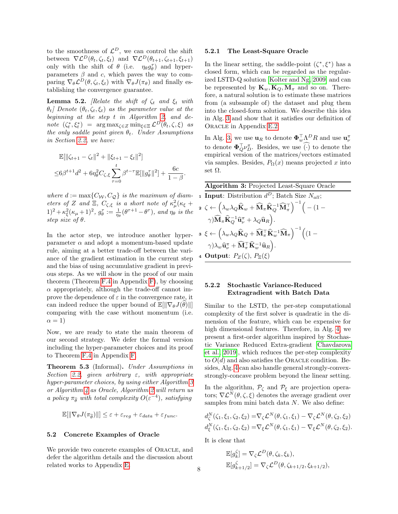to the smoothness of  $\mathcal{L}^D$ , we can control the shift between  $\nabla \mathcal{L}^D(\theta_t, \zeta_t, \xi_t)$  and  $\nabla \mathcal{L}^D(\theta_{t+1}, \zeta_{t+1}, \xi_{t+1})$ only with the shift of  $\theta$  (i.e.  $\eta_{\theta} g_{\theta}^{\tau}$ ) and hyperparameters  $\beta$  and c, which paves the way to comparing  $\nabla_{\theta} \mathcal{L}^{D}(\theta, \zeta_t, \xi_t)$  with  $\nabla_{\theta} J(\pi_{\theta})$  and finally establishing the convergence guarantee.

<span id="page-7-1"></span>**Lemma 5.2.** [Relate the shift of  $\zeta_t$  and  $\xi_t$  with  $\theta_t$  Denote  $(\theta_t, \zeta_t, \xi_t)$  as the parameter value at the beginning at the step t in Algorithm [2,](#page-6-2) and denote  $(\zeta_t^*, \xi_t^*) = \arg \max_{\zeta \in Z} \min_{\xi \in \Xi} \mathcal{L}^D(\theta_t, \zeta, \xi)$  as the only saddle point given  $\theta_t$ . Under Assumptions in Section [2.2,](#page-3-1) we have:

$$
\mathbb{E}[\|\zeta_{t+1} - \zeta_t\|^2 + \|\xi_{t+1} - \xi_t\|^2]
$$
  

$$
\leq 6\beta^{t+1}d^2 + 6\eta_\theta^2 C_{\zeta,\xi} \sum_{\tau=0}^t \beta^{t-\tau} \mathbb{E}[\|g_\theta^\tau\|^2] + \frac{6c}{1-\beta}.
$$

where  $d := \max\{C_{\mathcal{W}}, C_{\mathcal{Q}}\}$  is the maximum of diameters of Z and  $\Xi$ ,  $C_{\zeta,\xi}$  is a short note of  $\kappa^2_\mu(\kappa_\xi +$  $(1)^2 + \kappa_\xi^2(\kappa_\mu + 1)^2$ ,  $g_\theta^\tau := \frac{1}{\eta_\theta}(\theta^{\tau+1} - \theta^\tau)$ , and  $\eta_\theta$  is the step size of  $\theta$ .

In the actor step, we introduce another hyperparameter  $\alpha$  and adopt a momentum-based update rule, aiming at a better trade-off between the variance of the gradient estimation in the current step and the bias of using accumulative gradient in previous steps. As we will show in the proof of our main theorem (Theorem [F.4](#page-43-0) in Appendix [F\)](#page-39-0), by choosing  $\alpha$  appropriately, although the trade-off cannot improve the dependence of  $\varepsilon$  in the convergence rate, it can indeed reduce the upper bound of  $\mathbb{E}[\|\nabla_{\theta}J(\theta)\|]$ comparing with the case without momentum (i.e.  $\alpha = 1$ )

Now, we are ready to state the main theorem of our second strategy. We defer the formal version including the hyper-parameter choices and its proof to Theorem [F.4](#page-43-0) in Appendix [F.](#page-39-0)

Theorem 5.3 (Informal). Under Assumptions in Section [2.2,](#page-3-1) given arbitrary  $\varepsilon$ , with appropriate hyper-parameter choices, by using either Algorithm [3](#page-7-0) or Algorithm [4](#page-8-0) as Oracle, Algorithm [2](#page-6-2) will return us a policy  $\pi_{\widehat{\theta}}$  with total complexity  $O(\varepsilon^{-4})$ , satisfying

$$
\mathbb{E}[\|\nabla_{\theta}J(\pi_{\widehat{\theta}})\|\] \leq \varepsilon + \varepsilon_{reg} + \varepsilon_{data} + \varepsilon_{func}.
$$

#### 5.2 Concrete Examples of Oracle

We provide two concrete examples of ORACLE, and defer the algorithm details and the discussion about related works to Appendix [E.](#page-30-1)

#### 5.2.1 The Least-Square Oracle

In the linear setting, the saddle-point  $(\zeta^*, \xi^*)$  has a closed form, which can be regarded as the regularized LSTD-Q solution [\[Kolter and Ng, 2009\]](#page-9-18) and can be represented by  $\mathbf{K}_w, \mathbf{K}_Q, \mathbf{M}_\pi$  and so on. Therefore, a natural solution is to estimate these matrices from (a subsample of) the dataset and plug them into the closed-form solution. We describe this idea in Alg. [3](#page-7-0) and show that it satisfies our definition of Oracle in Appendix [E.2.](#page-30-0)

In Alg. [3,](#page-7-0) we use  $\mathbf{u}_R$  to denote  $\mathbf{\Phi}_w^{\top} \Lambda^D R$  and use  $\mathbf{u}_\nu^{\pi}$ to denote  $\Phi_{Q}^{\top} \nu_{D}^{\pi}$ . Besides, we use ( $\cdot$ ) to denote the empirical version of the matrices/vectors estimated via samples. Besides,  $P_{\Omega}(x)$  means projected x into set  $\Omega$ .

<span id="page-7-0"></span>

| <b>Algorithm 3: Projected Least-Square Oracle</b>                                                                                                                                                                               |
|---------------------------------------------------------------------------------------------------------------------------------------------------------------------------------------------------------------------------------|
| <b>1 Input</b> : Distribution $d^D$ ; Batch Size $N_{all}$ ;                                                                                                                                                                    |
| ${\bf 2}\;\zeta \leftarrow \left(\lambda_w \lambda_Q \widehat{\bf K}_w + \widehat{\bf M}_\pi \widehat{\bf K}_Q^{-1} \widehat{\bf M}_\pi^\top \right)^{-1} \Big(- (1-\varepsilon)$                                               |
| $\gamma) \widehat{{\mathbf{M}}}_\pi \widehat{{\mathbf{K}}}_{Q}^{-1} \widehat{{\mathbf{u}}}_{\nu}^\pi + \lambda_Q \widehat{{\mathbf{u}}}_{R} \Big).$                                                                             |
| $\begin{aligned} \mathbf{a}\ \ \xi \leftarrow \Big(\lambda_w\lambda_Q\widehat{\mathbf{K}}_Q+\widehat{\mathbf{M}}_\pi^\top\widehat{\mathbf{K}}_w^{-1}\widehat{\mathbf{M}}_\pi\Big)^{-1}\Big((1-\varepsilon)\Big), \end{aligned}$ |
| $\gamma) \lambda_w \widehat{\mathbf{u}}^{\pi}_\nu + \widehat{\mathbf{M}}^\top_\pi \widehat{\mathbf{K}}^{-1}_w \widehat{\mathbf{u}}_R \Big).$                                                                                    |
| 4 Output: $P_Z(\zeta), P_{\Xi}(\xi)$                                                                                                                                                                                            |

### 5.2.2 Stochastic Variance-Reduced Extragradient with Batch Data

Similar to the LSTD, the per-step computational complexity of the first solver is quadratic in the dimension of the feature, which can be expensive for high dimensional features. Therefore, in Alg. [4,](#page-8-0) we present a first-order algorithm inspired by Stochastic Variance Reduced Extra-gradient [\[Chavdarova](#page-9-7) [et al., 2019\]](#page-9-7), which reduces the per-step complexity to  $O(d)$  and also satisfies the ORACLE condition. Besides, Alg. [4](#page-8-0) can also handle general strongly-convexstrongly-concave problem beyond the linear setting.

In the algorithm,  $P_{\zeta}$  and  $P_{\xi}$  are projection operators;  $\nabla \mathcal{L}^{N}(\theta, \zeta, \xi)$  denotes the average gradient over samples from mini batch data N. We also define:

$$
d_{\zeta}^{N}(\zeta_{1}, \xi_{1}, \zeta_{2}, \xi_{2}) = \nabla_{\zeta} \mathcal{L}^{N}(\theta, \zeta_{1}, \xi_{1}) - \nabla_{\zeta} \mathcal{L}^{N}(\theta, \zeta_{2}, \xi_{2})
$$
  

$$
d_{\xi}^{N}(\zeta_{1}, \xi_{1}, \zeta_{2}, \xi_{2}) = \nabla_{\xi} \mathcal{L}^{N}(\theta, \zeta_{1}, \xi_{1}) - \nabla_{\xi} \mathcal{L}^{N}(\theta, \zeta_{2}, \xi_{2}).
$$

It is clear that

$$
\mathbb{E}[g_k^{\zeta}] = \nabla_{\zeta} \mathcal{L}^D(\theta, \zeta_k, \xi_k),
$$
  

$$
\mathbb{E}[g_{k+1/2}^{\zeta}] = \nabla_{\zeta} \mathcal{L}^D(\theta, \zeta_{k+1/2}, \xi_{k+1/2}),
$$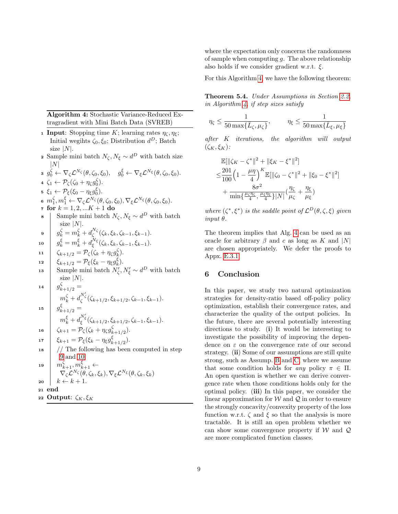Algorithm 4: Stochastic Variance-Reduced Extragradient with Mini Batch Data (SVREB)

- <span id="page-8-0"></span>1 Input: Stopping time K; learning rates  $\eta_{\zeta}, \eta_{\xi}$ ; Initial wegihts  $\zeta_0, \xi_0$ ; Distribution  $d^D$ ; Batch size  $|N|$ .
- **2** Sample mini batch  $N_{\zeta}, N_{\xi} \sim d^D$  with batch size  $|N|$
- $s \, g_0^{\zeta} \leftarrow \nabla_{\zeta} \mathcal{L}^{N_{\zeta}}(\theta, \zeta_0, \xi_0), \quad g_0^{\xi} \leftarrow \nabla_{\xi} \mathcal{L}^{N_{\xi}}(\theta, \zeta_0, \xi_0).$ 4  $\zeta_1 \leftarrow \mathcal{P}_{\zeta}(\zeta_0 + \eta_{\zeta} g_0^{\zeta}).$
- 5  $\xi_1 \leftarrow \mathcal{P}_{\xi}(\xi_0 \eta_{\xi} g_0^{\xi}).$
- 6  $m_1^{\zeta}, m_1^{\xi} \leftarrow \nabla_{\zeta} \mathcal{L}^{N_{\zeta}}(\theta, \zeta_0, \xi_0), \nabla_{\xi} \mathcal{L}^{N_{\xi}}(\theta, \zeta_0, \xi_0).$
- 7 for  $k = 1, 2, ... K + 1$  do
- 8 Sample mini batch  $N_\zeta$ ,  $N_\xi$  ∼ d<sup>D</sup> with batch size  $|N|$ .

<span id="page-8-1"></span>
$$
\mathbf{9} \quad g_k^{\zeta} = m_k^{\zeta} + d_{\zeta}^{N_{\zeta}}(\zeta_k, \xi_k, \zeta_{k-1}, \xi_{k-1}).
$$

<span id="page-8-2"></span>
$$
\mathbf{10} \quad g_k^{\xi} = m_k^{\xi} + d_{\xi}^{N_{\xi}}(\zeta_k, \xi_k, \zeta_{k-1}, \xi_{k-1}).
$$

- 11  $\zeta_{k+1/2} = \mathcal{P}_{\zeta}(\zeta_k + \eta_{\zeta} g_k^{\zeta}).$
- 12  $\Big| \xi_{k+1/2} = \mathcal{P}_{\xi} (\xi_k \eta_{\xi} g_k^{\xi}).$

13 Sample mini batch  $N'_\zeta, N'_\xi \sim d^D$  with batch size  $|N|$ .

14  
\n
$$
\begin{array}{c}\ng_{k+1/2}^{\zeta} = \\
m_k^{\zeta} + d_{\zeta}^{N_{\zeta}'}(\zeta_{k+1/2}, \zeta_{k+1/2}, \zeta_{k-1}, \xi_{k-1}). \\
g_{k+1/2}^{\xi} = \\
m_k^{\xi} + d_{\xi}^{N_{\xi}'}(\zeta_{k+1/2}, \zeta_{k+1/2}, \zeta_{k-1}, \xi_{k-1}). \\
\zeta_{k+1} = \mathcal{P}_{\zeta}(\zeta_k + \eta_{\zeta} g_{k+1/2}^{\zeta}). \\
17 \\
\zeta_{k+1} = \mathcal{P}_{\xi}(\xi_k - \eta_{\xi} g_{k+1/2}^{\xi}). \\
\text{18}\n\end{array}
$$
\n19  
\n18  
\n19  
\n10  
\n11  
\n11  
\n12  
\n13  
\n14  
\n15  
\n16  
\n17  
\n18  
\n19  
\n10  
\n11  
\n12  
\n13  
\n14  
\n15  
\n16  
\n17  
\n18  
\n19  
\n10  
\n10  
\n11  
\n12  
\n13  
\n14  
\n15  
\n16  
\n17  
\n18  
\n19  
\n10  
\n10  
\n11  
\n12  
\n13  
\n14  
\n15  
\n16  
\n17  
\n18  
\n19  
\n10  
\n10  
\n11  
\n12  
\n13  
\n14  
\n15  
\n16  
\n17  
\n18  
\n19  
\n10  
\n10  
\n11  
\n12  
\n13  
\n14  
\n15  
\n16  
\n17  
\n18  
\n19  
\n10  
\n10  
\n11  
\n12  
\n13  
\n14  
\n15  
\n16  
\n17  
\n18  
\n19  
\n10  
\n10  
\n11  
\n12  
\n13  
\n14  
\n15  
\n16  
\n17  
\n18  
\n19  
\n10  
\n10  
\n11  
\n12  
\n13  
\n14  
\n15  
\n16  
\n17  
\n18  
\n19

20  $k \leftarrow k + 1$ . <sup>21</sup> end

- 
- 22 Output:  $\zeta_K$ ,  $\xi_K$

where the expectation only concerns the randomness of sample when computing  $g$ . The above relationship also holds if we consider gradient w.r.t.  $\xi$ .

For this Algorithm [4,](#page-8-0) we have the following theorem:

Theorem 5.4. Under Assumptions in Section [2.2,](#page-3-1) in Algorithm [4,](#page-8-0) if step sizes satisfy

$$
\eta_{\zeta} \le \frac{1}{50 \max\{\bar{L}_{\zeta}, \mu_{\zeta}\}}, \qquad \eta_{\xi} \le \frac{1}{50 \max\{\bar{L}_{\xi}, \mu_{\xi}\}}
$$

after K iterations, the algorithm will output  $(\zeta_K, \xi_K)$ :

$$
\mathbb{E}[\|\zeta_K - \zeta^*\|^2 + \|\xi_K - \xi^*\|^2] \n\leq \frac{201}{100} \left(1 - \frac{\mu \eta}{4}\right)^K \mathbb{E}[\|\zeta_0 - \zeta^*\|^2 + \|\xi_0 - \xi^*\|^2] \n+ \frac{8\sigma^2}{\min\{\frac{\mu_{\zeta}\eta_{\zeta}}{4}, \frac{\mu_{\zeta}\eta_{\zeta}}{4}\}|N|} \left(\frac{\eta_{\zeta}}{\mu_{\zeta}} + \frac{\eta_{\xi}}{\mu_{\xi}}\right)
$$

where  $(\zeta^*, \xi^*)$  is the saddle point of  $\mathcal{L}^D(\theta, \zeta, \xi)$  given input θ.

The theorem implies that Alg. [4](#page-8-0) can be used as an oracle for arbitrary  $\beta$  and c as long as K and |N| are chosen appropriately. We defer the proofs to Appx. [E.3.1.](#page-35-1)

# 6 Conclusion

In this paper, we study two natural optimization strategies for density-ratio based off-policy policy optimization, establish their convergence rates, and characterize the quality of the output policies. In the future, there are several potentially interesting directions to study. (i) It would be interesting to investigate the possibility of improving the dependence on  $\varepsilon$  on the convergence rate of our second strategy. (ii) Some of our assumptions are still quite strong, such as Assump. [B](#page-3-2) and [C,](#page-3-3) where we assume that some condition holds for any policy  $\pi \in \Pi$ . An open question is whether we can derive convergence rate when those conditions holds only for the optimal policy. (iii) In this paper, we consider the linear approximation for  $W$  and  $Q$  in order to ensure the strongly concavity/convexity property of the loss function w.r.t.  $\zeta$  and  $\xi$  so that the analysis is more tractable. It is still an open problem whether we can show some convergence property if  $W$  and  $Q$ are more complicated function classes.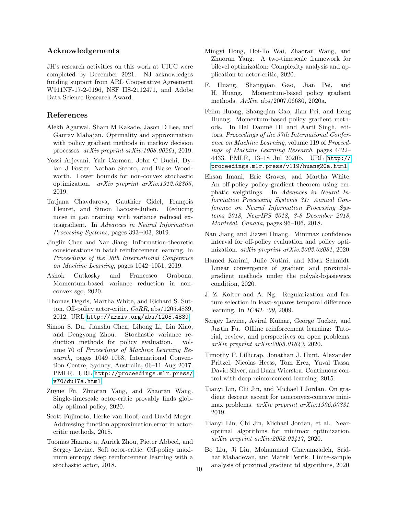### Acknowledgements

JH's research activities on this work at UIUC were completed by December 2021. NJ acknowledges funding support from ARL Cooperative Agreement W911NF-17-2-0196, NSF IIS-2112471, and Adobe Data Science Research Award.

### References

- <span id="page-9-0"></span>Alekh Agarwal, Sham M Kakade, Jason D Lee, and Gaurav Mahajan. Optimality and approximation with policy gradient methods in markov decision processes. arXiv preprint arXiv:1908.00261, 2019.
- <span id="page-9-6"></span>Yossi Arjevani, Yair Carmon, John C Duchi, Dylan J Foster, Nathan Srebro, and Blake Woodworth. Lower bounds for non-convex stochastic optimization. arXiv preprint arXiv:1912.02365, 2019.
- <span id="page-9-7"></span>Tatjana Chavdarova, Gauthier Gidel, François Fleuret, and Simon Lacoste-Julien. Reducing noise in gan training with variance reduced extragradient. In Advances in Neural Information Processing Systems, pages 393–403, 2019.
- <span id="page-9-15"></span>Jinglin Chen and Nan Jiang. Information-theoretic considerations in batch reinforcement learning. In Proceedings of the 36th International Conference on Machine Learning, pages 1042–1051, 2019.
- <span id="page-9-14"></span>Ashok Cutkosky and Francesco Orabona. Momentum-based variance reduction in nonconvex sgd, 2020.
- <span id="page-9-10"></span>Thomas Degris, Martha White, and Richard S. Sutton. Off-policy actor-critic. CoRR, abs/1205.4839, 2012. URL <http://arxiv.org/abs/1205.4839>.
- <span id="page-9-21"></span>Simon S. Du, Jianshu Chen, Lihong Li, Lin Xiao, and Dengyong Zhou. Stochastic variance reduction methods for policy evaluation. volume 70 of Proceedings of Machine Learning Research, pages 1049–1058, International Convention Centre, Sydney, Australia, 06–11 Aug 2017. PMLR. URL [http://proceedings.mlr.press/](http://proceedings.mlr.press/v70/du17a.html) [v70/du17a.html](http://proceedings.mlr.press/v70/du17a.html).
- <span id="page-9-2"></span>Zuyue Fu, Zhuoran Yang, and Zhaoran Wang. Single-timescale actor-critic provably finds globally optimal policy, 2020.
- <span id="page-9-13"></span>Scott Fujimoto, Herke van Hoof, and David Meger. Addressing function approximation error in actorcritic methods, 2018.
- <span id="page-9-12"></span>Tuomas Haarnoja, Aurick Zhou, Pieter Abbeel, and Sergey Levine. Soft actor-critic: Off-policy maximum entropy deep reinforcement learning with a stochastic actor, 2018.
- <span id="page-9-9"></span>Mingyi Hong, Hoi-To Wai, Zhaoran Wang, and Zhuoran Yang. A two-timescale framework for bilevel optimization: Complexity analysis and application to actor-critic, 2020.
- <span id="page-9-8"></span>F. Huang, Shangqian Gao, Jian Pei, and H. Huang. Momentum-based policy gradient methods. ArXiv, abs/2007.06680, 2020a.
- <span id="page-9-1"></span>Feihu Huang, Shangqian Gao, Jian Pei, and Heng Huang. Momentum-based policy gradient methods. In Hal Daumé III and Aarti Singh, editors, Proceedings of the 37th International Conference on Machine Learning, volume 119 of Proceedings of Machine Learning Research, pages 4422– 4433. PMLR, 13–18 Jul 2020b. URL [http://](http://proceedings.mlr.press/v119/huang20a.html) [proceedings.mlr.press/v119/huang20a.html](http://proceedings.mlr.press/v119/huang20a.html).
- <span id="page-9-4"></span>Ehsan Imani, Eric Graves, and Martha White. An off-policy policy gradient theorem using emphatic weightings. In Advances in Neural Information Processing Systems 31: Annual Conference on Neural Information Processing Systems 2018, NeurIPS 2018, 3-8 December 2018, Montréal, Canada, pages 96-106, 2018.
- <span id="page-9-5"></span>Nan Jiang and Jiawei Huang. Minimax confidence interval for off-policy evaluation and policy optimization. arXiv preprint arXiv:2002.02081, 2020.
- <span id="page-9-16"></span>Hamed Karimi, Julie Nutini, and Mark Schmidt. Linear convergence of gradient and proximalgradient methods under the polyak-lojasiewicz condition, 2020.
- <span id="page-9-18"></span>J. Z. Kolter and A. Ng. Regularization and feature selection in least-squares temporal difference learning. In ICML '09, 2009.
- <span id="page-9-3"></span>Sergey Levine, Aviral Kumar, George Tucker, and Justin Fu. Offline reinforcement learning: Tutorial, review, and perspectives on open problems. arXiv preprint arXiv:2005.01643, 2020.
- <span id="page-9-11"></span>Timothy P. Lillicrap, Jonathan J. Hunt, Alexander Pritzel, Nicolas Heess, Tom Erez, Yuval Tassa, David Silver, and Daan Wierstra. Continuous control with deep reinforcement learning, 2015.
- <span id="page-9-17"></span>Tianyi Lin, Chi Jin, and Michael I Jordan. On gradient descent ascent for nonconvex-concave minimax problems. arXiv preprint arXiv:1906.00331, 2019.
- <span id="page-9-19"></span>Tianyi Lin, Chi Jin, Michael Jordan, et al. Nearoptimal algorithms for minimax optimization. arXiv preprint arXiv:2002.02417, 2020.
- <span id="page-9-20"></span>Bo Liu, Ji Liu, Mohammad Ghavamzadeh, Sridhar Mahadevan, and Marek Petrik. Finite-sample analysis of proximal gradient td algorithms,  $2020$ .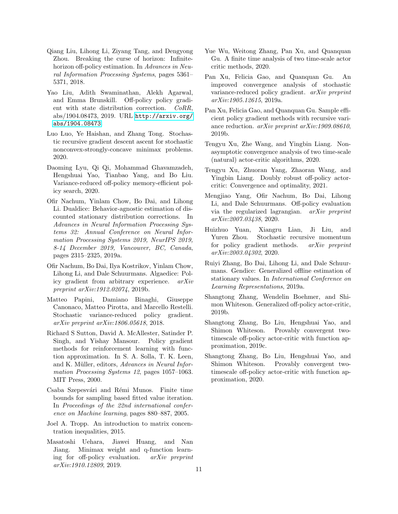- <span id="page-10-6"></span>Qiang Liu, Lihong Li, Ziyang Tang, and Dengyong Zhou. Breaking the curse of horizon: Infinitehorizon off-policy estimation. In Advances in Neural Information Processing Systems, pages 5361– 5371, 2018.
- <span id="page-10-4"></span>Yao Liu, Adith Swaminathan, Alekh Agarwal, and Emma Brunskill. Off-policy policy gradient with state distribution correction. CoRR, abs/1904.08473, 2019. URL [http://arxiv.org/](http://arxiv.org/abs/1904.08473) [abs/1904.08473](http://arxiv.org/abs/1904.08473).
- <span id="page-10-11"></span>Luo Luo, Ye Haishan, and Zhang Tong. Stochastic recursive gradient descent ascent for stochastic nonconvex-strongly-concave minimax problems. 2020.
- <span id="page-10-16"></span>Daoming Lyu, Qi Qi, Mohammad Ghavamzadeh, Hengshuai Yao, Tianbao Yang, and Bo Liu. Variance-reduced off-policy memory-efficient policy search, 2020.
- <span id="page-10-14"></span>Ofir Nachum, Yinlam Chow, Bo Dai, and Lihong Li. Dualdice: Behavior-agnostic estimation of discounted stationary distribution corrections. In Advances in Neural Information Processing Systems 32: Annual Conference on Neural Information Processing Systems 2019, NeurIPS 2019, 8-14 December 2019, Vancouver, BC, Canada, pages 2315–2325, 2019a.
- <span id="page-10-10"></span>Ofir Nachum, Bo Dai, Ilya Kostrikov, Yinlam Chow, Lihong Li, and Dale Schuurmans. Algaedice: Policy gradient from arbitrary experience. arXiv preprint arXiv:1912.02074, 2019b.
- <span id="page-10-13"></span>Matteo Papini, Damiano Binaghi, Giuseppe Canonaco, Matteo Pirotta, and Marcello Restelli. Stochastic variance-reduced policy gradient. arXiv preprint arXiv:1806.05618, 2018.
- <span id="page-10-18"></span>Richard S Sutton, David A. McAllester, Satinder P. Singh, and Yishay Mansour. Policy gradient methods for reinforcement learning with function approximation. In S. A. Solla, T. K. Leen, and K. Müller, editors, Advances in Neural Information Processing Systems 12, pages 1057–1063. MIT Press, 2000.
- <span id="page-10-20"></span>Csaba Szepesvári and Rémi Munos. Finite time bounds for sampling based fitted value iteration. In Proceedings of the 22nd international conference on Machine learning, pages 880–887, 2005.
- <span id="page-10-21"></span>Joel A. Tropp. An introduction to matrix concentration inequalities, 2015.
- <span id="page-10-8"></span>Masatoshi Uehara, Jiawei Huang, and Nan Jiang. Minimax weight and q-function learning for off-policy evaluation. arXiv preprint arXiv:1910.12809, 2019.
- <span id="page-10-3"></span>Yue Wu, Weitong Zhang, Pan Xu, and Quanquan Gu. A finite time analysis of two time-scale actor critic methods, 2020.
- <span id="page-10-1"></span>Pan Xu, Felicia Gao, and Quanquan Gu. An improved convergence analysis of stochastic variance-reduced policy gradient. arXiv preprint arXiv:1905.12615, 2019a.
- <span id="page-10-0"></span>Pan Xu, Felicia Gao, and Quanquan Gu. Sample efficient policy gradient methods with recursive variance reduction. arXiv preprint arXiv:1909.08610, 2019b.
- <span id="page-10-12"></span>Tengyu Xu, Zhe Wang, and Yingbin Liang. Nonasymptotic convergence analysis of two time-scale (natural) actor-critic algorithms, 2020.
- <span id="page-10-15"></span>Tengyu Xu, Zhuoran Yang, Zhaoran Wang, and Yingbin Liang. Doubly robust off-policy actorcritic: Convergence and optimality, 2021.
- <span id="page-10-9"></span>Mengjiao Yang, Ofir Nachum, Bo Dai, Lihong Li, and Dale Schuurmans. Off-policy evaluation via the regularized lagrangian. arXiv preprint arXiv:2007.03438, 2020.
- <span id="page-10-2"></span>Huizhuo Yuan, Xiangru Lian, Ji Liu, and Yuren Zhou. Stochastic recursive momentum for policy gradient methods. arXiv preprint arXiv:2003.04302, 2020.
- <span id="page-10-7"></span>Ruiyi Zhang, Bo Dai, Lihong Li, and Dale Schuurmans. Gendice: Generalized offline estimation of stationary values. In International Conference on Learning Representations, 2019a.
- <span id="page-10-17"></span>Shangtong Zhang, Wendelin Boehmer, and Shimon Whiteson. Generalized off-policy actor-critic, 2019b.
- <span id="page-10-5"></span>Shangtong Zhang, Bo Liu, Hengshuai Yao, and Shimon Whiteson. Provably convergent twotimescale off-policy actor-critic with function approximation, 2019c.
- <span id="page-10-19"></span>Shangtong Zhang, Bo Liu, Hengshuai Yao, and Shimon Whiteson. Provably convergent twotimescale off-policy actor-critic with function approximation, 2020.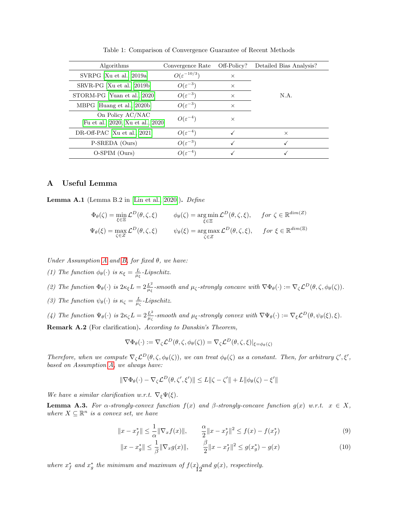<span id="page-11-0"></span>

| Algorithms                                             | Convergence Rate         | Off-Policy? | Detailed Bias Analysis? |
|--------------------------------------------------------|--------------------------|-------------|-------------------------|
| SVRPG [Xu et al., 2019a]                               | $O(\varepsilon^{-10/3})$ | $\times$    |                         |
| SRVR-PG [Xu et al., 2019b]                             | $O(\varepsilon^{-3})$    | $\times$    |                         |
| STORM-PG [Yuan et al., 2020]                           | $O(\varepsilon^{-3})$    | $\times$    | N.A.                    |
| MBPG [Huang et al., 2020b]                             | $O(\varepsilon^{-3})$    | $\times$    |                         |
| On Policy AC/NAC<br>[Fu et al., 2020, Xu et al., 2020] | $O(\varepsilon^{-4})$    | $\times$    |                         |
| DR-Off-PAC [Xu et al., 2021]                           | $O(\varepsilon^{-4})$    |             | $\times$                |
| P-SREDA (Ours)                                         | $O(\varepsilon^{-3})$    |             |                         |
| O-SPIM (Ours)                                          | $O(\varepsilon^{-4})$    |             |                         |

Table 1: Comparison of Convergence Guarantee of Recent Methods

# A Useful Lemma

<span id="page-11-1"></span>Lemma A.1 (Lemma B.2 in [\[Lin et al., 2020\]](#page-9-19)). Define

$$
\Phi_{\theta}(\zeta) = \min_{\xi \in \Xi} \mathcal{L}^{D}(\theta, \zeta, \xi) \qquad \phi_{\theta}(\zeta) = \arg_{\xi \in \Xi} \min \mathcal{L}^{D}(\theta, \zeta, \xi), \qquad \text{for } \zeta \in \mathbb{R}^{\dim(Z)}
$$
\n
$$
\Psi_{\theta}(\xi) = \max_{\zeta \in Z} \mathcal{L}^{D}(\theta, \zeta, \xi) \qquad \psi_{\theta}(\xi) = \arg_{\zeta \in Z} \max \mathcal{L}^{D}(\theta, \zeta, \xi), \qquad \text{for } \xi \in \mathbb{R}^{\dim(\Xi)}
$$

Under [A](#page-3-4)ssumption A and [B,](#page-3-2) for fixed  $\theta$ , we have:

(1) The function  $\phi_{\theta}(\cdot)$  is  $\kappa_{\xi} = \frac{L}{\mu_{\xi}}$ -Lipschitz.

(2) The function 
$$
\Phi_{\theta}(\cdot)
$$
 is  $2\kappa_{\xi}L = 2\frac{L^2}{\mu_{\xi}}$ -smooth and  $\mu_{\zeta}$ -strongly concave with  $\nabla \Phi_{\theta}(\cdot) := \nabla_{\zeta} \mathcal{L}^{D}(\theta, \zeta, \phi_{\theta}(\zeta))$ .

(3) The function  $\psi_{\theta}(\cdot)$  is  $\kappa_{\zeta} = \frac{L}{\mu_{\zeta}}$ -Lipschitz.

(4) The function 
$$
\Psi_{\theta}(\cdot)
$$
 is  $2\kappa_{\zeta}L = 2\frac{L^2}{\mu_{\zeta}}$ -smooth and  $\mu_{\xi}$ -strongly convex with  $\nabla \Psi_{\theta}(\cdot) := \nabla_{\xi}L^D(\theta, \psi_{\theta}(\xi), \xi)$ .

Remark A.2 (For clarification). According to Danskin's Theorem,

$$
\nabla \Phi_{\theta}(\cdot) := \nabla_{\zeta} \mathcal{L}^{D}(\theta, \zeta, \phi_{\theta}(\zeta)) = \nabla_{\zeta} \mathcal{L}^{D}(\theta, \zeta, \xi)|_{\xi = \phi_{\theta}(\zeta)}
$$

Therefore, when we compute  $\nabla_{\zeta} \mathcal{L}^D(\theta, \zeta, \phi_{\theta}(\zeta))$ , we can treat  $\phi_{\theta}(\zeta)$  as a constant. Then, for arbitrary  $\zeta', \xi',$ based on Assumption [A,](#page-3-4) we always have:

$$
\|\nabla\Phi_{\theta}(\cdot) - \nabla_{\zeta}\mathcal{L}^{D}(\theta,\zeta',\xi')\| \leq L\|\zeta - \zeta'\| + L\|\phi_{\theta}(\zeta) - \xi'\|
$$

We have a similar clarification w.r.t.  $\nabla_{\xi} \Psi(\xi)$ .

<span id="page-11-2"></span>**Lemma A.3.** For  $\alpha$ -strongly-convex function  $f(x)$  and  $\beta$ -strongly-concave function  $g(x)$  w.r.t.  $x \in X$ , where  $X \subseteq \mathbb{R}^n$  is a convex set, we have

$$
||x - x_f^*|| \le \frac{1}{\alpha} ||\nabla_x f(x)||, \qquad \frac{\alpha}{2} ||x - x_f^*||^2 \le f(x) - f(x_f^*)
$$
\n(9)

$$
||x - x_g^*|| \le \frac{1}{\beta} ||\nabla_x g(x)||, \qquad \frac{\beta}{2} ||x - x_f^*||^2 \le g(x_g^*) - g(x)
$$
 (10)

where  $x_f^*$  and  $x_g^*$  the minimum and maximum of  $f(x)$  and  $g(x)$ , respectively.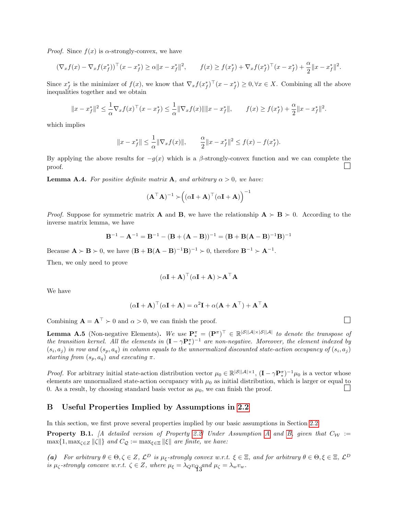*Proof.* Since  $f(x)$  is  $\alpha$ -strongly-convex, we have

$$
(\nabla_x f(x) - \nabla_x f(x_f^*))^{\top} (x - x_f^*) \ge \alpha \|x - x_f^*\|^2, \qquad f(x) \ge f(x_f^*) + \nabla_x f(x_f^*)^{\top} (x - x_f^*) + \frac{\alpha}{2} \|x - x_f^*\|^2.
$$

Since  $x_f^*$  is the minimizer of  $f(x)$ , we know that  $\nabla_x f(x_f^*)^\top (x - x_f^*) \geq 0, \forall x \in X$ . Combining all the above inequalities together and we obtain

$$
||x - x_f^*||^2 \le \frac{1}{\alpha} \nabla_x f(x)^\top (x - x_f^*) \le \frac{1}{\alpha} ||\nabla_x f(x)|| ||x - x_f^*||, \qquad f(x) \ge f(x_f^*) + \frac{\alpha}{2} ||x - x_f^*||^2.
$$

which implies

$$
||x - x_f^*|| \le \frac{1}{\alpha} ||\nabla_x f(x)||
$$
,  $\frac{\alpha}{2} ||x - x_f^*||^2 \le f(x) - f(x_f^*).$ 

By applying the above results for  $-g(x)$  which is a  $\beta$ -strongly-convex function and we can complete the proof.

<span id="page-12-2"></span>**Lemma A.4.** For positive definite matrix A, and arbitrary  $\alpha > 0$ , we have:

$$
(\mathbf{A}^\top \mathbf{A})^{-1} \succ \Big((\alpha \mathbf{I} + \mathbf{A})^\top (\alpha \mathbf{I} + \mathbf{A})\Big)^{-1}
$$

*Proof.* Suppose for symmetric matrix **A** and **B**, we have the relationship  $A \succ B \succ 0$ . According to the inverse matrix lemma, we have

$$
B^{-1} - A^{-1} = B^{-1} - (B + (A - B))^{-1} = (B + B(A - B)^{-1}B)^{-1}
$$

Because  $\mathbf{A} \succ \mathbf{B} \succ 0$ , we have  $(\mathbf{B} + \mathbf{B}(\mathbf{A} - \mathbf{B})^{-1}\mathbf{B})^{-1} \succ 0$ , therefore  $\mathbf{B}^{-1} \succ \mathbf{A}^{-1}$ .

Then, we only need to prove

$$
(\alpha \mathbf{I} + \mathbf{A})^{\top} (\alpha \mathbf{I} + \mathbf{A}) \succ \mathbf{A}^{\top} \mathbf{A}
$$

We have

$$
(\alpha \mathbf{I} + \mathbf{A})^{\top} (\alpha \mathbf{I} + \mathbf{A}) = \alpha^2 \mathbf{I} + \alpha (\mathbf{A} + \mathbf{A}^{\top}) + \mathbf{A}^{\top} \mathbf{A}
$$

Combining  $\mathbf{A} = \mathbf{A}^{\top} \succ 0$  and  $\alpha > 0$ , we can finish the proof.

<span id="page-12-3"></span>**Lemma A.5** (Non-negative Elements). We use  $\mathbf{P}_{*}^{\pi} = (\mathbf{P}^{\pi})^{\top} \in \mathbb{R}^{|\mathcal{S}||\mathcal{A}|\times |\mathcal{S}||\mathcal{A}|}$  to denote the transpose of the transition kernel. All the elements in  $(I - \gamma P_*^{\pi})^{-1}$  are non-negative. Moreover, the element indexed by  $(s_i, a_j)$  in row and  $(s_p, a_q)$  in column equals to the unnormalized discounted state-action occupancy of  $(s_i, a_j)$ starting from  $(s_p, a_q)$  and executing  $\pi$ .

*Proof.* For arbitrary initial state-action distribution vector  $\mu_0 \in \mathbb{R}^{|S||\mathcal{A}| \times 1}$ ,  $(\mathbf{I} - \gamma \mathbf{P}_{*}^{\pi})^{-1} \mu_0$  is a vector whose elements are unnormalized state-action occupancy with  $\mu_0$  as initial distribution, which is larger or equal to 0. As a result, by choosing standard basis vector as  $\mu_0$ , we can finish the proof 0. As a result, by choosing standard basis vector as  $\mu_0$ , we can finish the proof.

## <span id="page-12-1"></span>B Useful Properties Implied by Assumptions in [2.2](#page-3-1)

In this section, we first prove several properties implied by our basic assumptions in Section [2.2.](#page-3-1)

<span id="page-12-0"></span>**Property B.1.** [A detailed version of Property [2.2\]](#page-4-2) Under [A](#page-3-4)ssumption A and [B,](#page-3-2) given that  $C_W :=$  $\max\{1, \max_{\zeta \in Z} ||\zeta||\}$  and  $C_{\mathcal{Q}} := \max_{\zeta \in \Xi} ||\zeta||$  are finite, we have:

(a) For arbitrary  $\theta \in \Theta, \zeta \in Z$ ,  $\mathcal{L}^D$  is  $\mu_{\xi}$ -strongly convex w.r.t.  $\xi \in \Xi$ , and for arbitrary  $\theta \in \Theta, \xi \in \Xi$ ,  $\mathcal{L}^D$ is  $\mu_{\zeta}$ -strongly concave w.r.t.  $\zeta \in Z$ , where  $\mu_{\xi} = \lambda_{Q} v_{\zeta}$  and  $\mu_{\zeta} = \lambda_{w} v_{w}$ .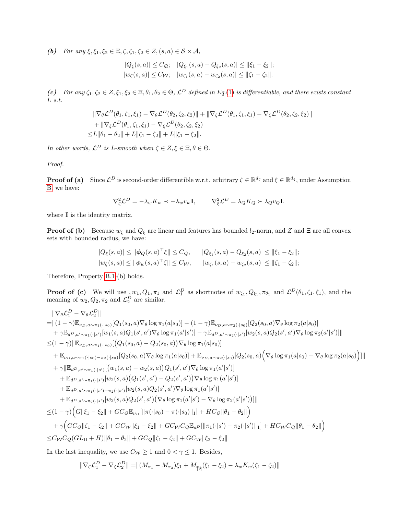(b) For any  $\xi, \xi_1, \xi_2 \in \Xi, \zeta, \zeta_1, \zeta_2 \in Z, (s, a) \in S \times \mathcal{A}$ ,

$$
|Q_{\xi}(s, a)| \leq C_{\mathcal{Q}}; \quad |Q_{\xi_1}(s, a) - Q_{\xi_2}(s, a)| \leq ||\xi_1 - \xi_2||;
$$
  

$$
|w_{\zeta}(s, a)| \leq C_{\mathcal{W}}; \quad |w_{\zeta_1}(s, a) - w_{\zeta_2}(s, a)| \leq ||\zeta_1 - \zeta_2||.
$$

(c) For any  $\zeta_1, \zeta_2 \in Z, \xi_1, \xi_2 \in \Xi, \theta_1, \theta_2 \in \Theta$ ,  $\mathcal{L}^D$  defined in Eq.[\(1\)](#page-0-0) is differentiable, and there exists constant  $L\ s.t.$ 

$$
\|\nabla_{\theta} \mathcal{L}^{D}(\theta_{1}, \zeta_{1}, \xi_{1}) - \nabla_{\theta} \mathcal{L}^{D}(\theta_{2}, \zeta_{2}, \xi_{2})\| + \|\nabla_{\zeta} \mathcal{L}^{D}(\theta_{1}, \zeta_{1}, \xi_{1}) - \nabla_{\zeta} \mathcal{L}^{D}(\theta_{2}, \zeta_{2}, \xi_{2})\| + \|\nabla_{\xi} \mathcal{L}^{D}(\theta_{1}, \zeta_{1}, \xi_{1}) - \nabla_{\xi} \mathcal{L}^{D}(\theta_{2}, \zeta_{2}, \xi_{2}) \leq L \|\theta_{1} - \theta_{2}\| + L \|\zeta_{1} - \zeta_{2}\| + L \|\xi_{1} - \xi_{2}\|.
$$

In other words,  $\mathcal{L}^D$  is L-smooth when  $\zeta \in Z, \xi \in \Xi, \theta \in \Theta$ .

Proof.

**Proof of (a)** Since  $\mathcal{L}^D$  is second-order differentible w.r.t. arbitrary  $\zeta \in \mathbb{R}^{d_{\zeta}}$  and  $\xi \in \mathbb{R}^{d_{\xi}}$ , under Assumption [B,](#page-3-2) we have:

$$
\nabla_{\zeta}^2 \mathcal{L}^D = -\lambda_w K_w \prec -\lambda_w v_w \mathbf{I}, \qquad \nabla_{\xi}^2 \mathcal{L}^D = \lambda_Q K_Q \succ \lambda_Q v_Q \mathbf{I}.
$$

where **I** is the identity matrix.

**Proof of (b)** Because  $w_{\zeta}$  and  $Q_{\xi}$  are linear and features has bounded  $l_2$ -norm, and Z and Ξ are all convex sets with bounded radius, we have:

$$
|Q_{\xi}(s, a)| \le ||\phi_Q(s, a)^\top \xi|| \le C_Q, \qquad |Q_{\xi_1}(s, a) - Q_{\xi_2}(s, a)| \le ||\xi_1 - \xi_2||;
$$
  

$$
|w_{\zeta}(s, a)| \le ||\phi_w(s, a)^\top \zeta|| \le C_W, \qquad |w_{\zeta_1}(s, a) - w_{\zeta_2}(s, a)| \le ||\zeta_1 - \zeta_2||;
$$

Therefore, Property [B.1-](#page-12-0)(b) holds.

**Proof of (c)** We will use  $, w_1, Q_1, \pi_1$  and  $\mathcal{L}_1^D$  as shortnotes of  $w_{\zeta_1}, Q_{\xi_1}, \pi_{\theta_1}$  and  $\mathcal{L}^D(\theta_1, \zeta_1, \xi_1)$ , and the meaning of  $w_2, Q_2, \pi_2$  and  $\mathcal{L}_2^D$  are similar.

$$
\|\nabla_{\theta} \mathcal{L}_{1}^{D} - \nabla_{\theta} \mathcal{L}_{2}^{D}\| \n= \|(1-\gamma)\mathbb{E}_{\nu_{D, a}\sim\pi_{1}(\cdot|s_{0})}[Q_{1}(s_{0}, a)\nabla_{\theta}\log\pi_{1}(a|s_{0})] - (1-\gamma)\mathbb{E}_{\nu_{D, a}\sim\pi_{2}(\cdot|s_{0})}[Q_{2}(s_{0}, a)\nabla_{\theta}\log\pi_{2}(a|s_{0})] \n+ \gamma\mathbb{E}_{d^{D}, a'\sim\pi_{1}(\cdot|s')}[w_{1}(s, a)Q_{1}(s', a')\nabla_{\theta}\log\pi_{1}(a'|s')] - \gamma\mathbb{E}_{d^{D}, a'\sim\pi_{2}(\cdot|s')}[w_{2}(s, a)Q_{2}(s', a')\nabla_{\theta}\log\pi_{2}(a'|s')]\| \n\leq (1-\gamma)\|\mathbb{E}_{\nu_{D}, a\sim\pi_{1}(\cdot|s_{0})}[Q_{1}(s_{0}, a) - Q_{2}(s_{0}, a))\nabla_{\theta}\log\pi_{1}(a|s_{0})] \n+ \mathbb{E}_{\nu_{D}, a\sim\pi_{1}(\cdot|s_{0})-\pi_{2}(\cdot|s_{0})}[Q_{2}(s_{0}, a)\nabla_{\theta}\log\pi_{1}(a|s_{0})] + \mathbb{E}_{\nu_{D}, a\sim\pi_{2}(\cdot|s_{0})}[Q_{2}(s_{0}, a)\left(\nabla_{\theta}\log\pi_{1}(a|s_{0}) - \nabla_{\theta}\log\pi_{2}(a|s_{0})\right)]\| \n+ \gamma\|\mathbb{E}_{d^{D}, a'\sim\pi_{1}(\cdot|s')}[w_{1}(s, a) - w_{2}(s, a)Q_{1}(s', a')\nabla_{\theta}\log\pi_{1}(a'|s')]\n+ \mathbb{E}_{d^{D}, a'\sim\pi_{1}(\cdot|s')}[w_{2}(s, a)Q_{2}(s', a')\nabla_{\theta}\log\pi_{1}(a'|s')]\n+ \mathbb{E}_{d^{D}, a'\sim\pi_{2}(\cdot|s')}[w_{2}(s, a)Q_{2}(s', a')\nabla_{\theta}\log\pi_{1}(a'|s')]\n+ \mathbb{E}_{d^{D}, a'\sim\pi_{2}(\cdot|
$$

In the last inequality, we use  $C_{\mathcal{W}} \geq 1$  and  $0 < \gamma \leq 1$ . Besides,

 $\|\nabla_{\zeta}\mathcal{L}_1^D - \nabla_{\zeta}\mathcal{L}_2^D\| = \|(M_{\pi_1} - M_{\pi_2})\xi_1 + M_{\tilde{\mathbb{T}}\tilde{A}}(\xi_1 - \xi_2) - \lambda_w K_w(\zeta_1 - \zeta_2)\|$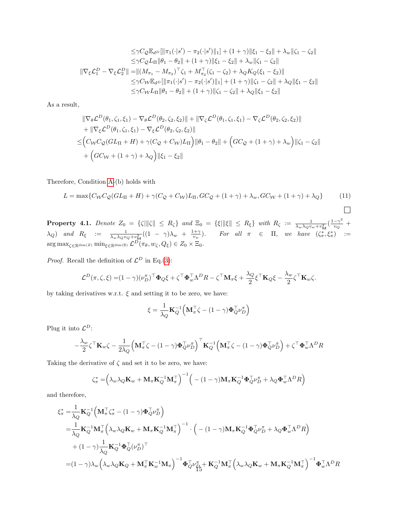$$
\leq \gamma C_{\mathcal{Q}} \mathbb{E}_{d} \log \left[ \|\pi_1(\cdot|s') - \pi_2(\cdot|s')\|_1 \right] + (1+\gamma) \|\xi_1 - \xi_2\| + \lambda_w \|\zeta_1 - \zeta_2\|
$$
  
\n
$$
\leq \gamma C_{\mathcal{Q}} L_{\Pi} \|\theta_1 - \theta_2\| + (1+\gamma) \|\xi_1 - \xi_2\| + \lambda_w \|\zeta_1 - \zeta_2\|
$$
  
\n
$$
\|\nabla_{\xi} \mathcal{L}_1^D - \nabla_{\xi} \mathcal{L}_2^D\| = \|(M_{\pi_1} - M_{\pi_2})^\top \zeta_1 + M_{\pi_2}^\top (\zeta_1 - \zeta_2) + \lambda_Q K_Q(\xi_1 - \xi_2)\|
$$
  
\n
$$
\leq \gamma C_{\mathcal{W}} \mathbb{E}_{d} \log \left[ \|\pi_1(\cdot|s') - \pi_2(\cdot|s')\|_1 \right] + (1+\gamma) \|\zeta_1 - \zeta_2\| + \lambda_Q \|\xi_1 - \xi_2\|
$$
  
\n
$$
\leq \gamma C_{\mathcal{W}} L_{\Pi} \|\theta_1 - \theta_2\| + (1+\gamma) \|\zeta_1 - \zeta_2\| + \lambda_Q \|\xi_1 - \xi_2\|
$$

As a result,

$$
\|\nabla_{\theta} \mathcal{L}^{D}(\theta_{1}, \zeta_{1}, \xi_{1}) - \nabla_{\theta} \mathcal{L}^{D}(\theta_{2}, \zeta_{2}, \xi_{2})\| + \|\nabla_{\zeta} \mathcal{L}^{D}(\theta_{1}, \zeta_{1}, \xi_{1}) - \nabla_{\zeta} \mathcal{L}^{D}(\theta_{2}, \zeta_{2}, \xi_{2})\| \n+ \|\nabla_{\xi} \mathcal{L}^{D}(\theta_{1}, \zeta_{1}, \xi_{1}) - \nabla_{\xi} \mathcal{L}^{D}(\theta_{2}, \zeta_{2}, \xi_{2})\| \n\leq (C_{W}C_{\mathcal{Q}}(GL_{\Pi} + H) + \gamma(C_{\mathcal{Q}} + C_{W})L_{\Pi}) \|\theta_{1} - \theta_{2}\| + (GC_{\mathcal{Q}} + (1 + \gamma) + \lambda_{w}) \|\zeta_{1} - \zeta_{2}\| \n+ (GC_{W} + (1 + \gamma) + \lambda_{Q}) \|\xi_{1} - \xi_{2}\|
$$

Therefore, Condition [A-](#page-3-4)(b) holds with

$$
L = \max\{C_{\mathcal{W}}C_{\mathcal{Q}}(GL_{\Pi} + H) + \gamma(C_{\mathcal{Q}} + C_{\mathcal{W}})L_{\Pi}, GC_{\mathcal{Q}} + (1 + \gamma) + \lambda_w, GC_{\mathcal{W}} + (1 + \gamma) + \lambda_Q\}
$$
(11)

<span id="page-14-0"></span> $\Box$ 

**Property 4.1.** Denote  $Z_0 = \{\zeta | \|\zeta\| \le R_\zeta\}$  and  $\Xi_0 = \{\xi | \|\xi\| \le R_\xi\}$  with  $R_\zeta := \frac{1}{\lambda_w \lambda_Q v_w + v_M^2} (\frac{1-\gamma^2}{v_Q})$  $\frac{-\gamma^-}{v_Q}$  +  $\lambda_Q$ ) and  $R_\xi$  :=  $\frac{1}{\lambda_w \lambda_Q v_Q + v_M^2}((1 - \gamma)\lambda_w + \frac{1 + \gamma}{v_w}).$  For all  $\pi \in \Pi$ , we have  $(\zeta^*_{\pi}, \xi^*_{\pi})$  :=  $\arg\max_{\zeta \in \mathbb{R}^{\dim(Z)}} \min_{\xi \in \mathbb{R}^{\dim(\Xi)}} \mathcal{L}^D(\pi_\theta, w_\zeta, Q_\xi) \in Z_0 \times \Xi_0.$ 

*Proof.* Recall the definition of  $\mathcal{L}^D$  in Eq.[\(3\)](#page-3-5):

$$
\mathcal{L}^D(\pi,\zeta,\xi) = (1-\gamma)(\nu_D^{\pi})^{\top} \Phi_Q \xi + \zeta^{\top} \Phi_w^{\top} \Lambda^D R - \zeta^{\top} \mathbf{M}_{\pi} \xi + \frac{\lambda_Q}{2} \xi^{\top} \mathbf{K}_Q \xi - \frac{\lambda_w}{2} \zeta^{\top} \mathbf{K}_w \zeta.
$$

by taking derivatives w.r.t.  $\xi$  and setting it to be zero, we have:

$$
\xi = \frac{1}{\lambda_Q} \mathbf{K}_Q^{-1} \Big( \mathbf{M}_\pi^\top \zeta - (1 - \gamma) \mathbf{\Phi}_Q^\top \nu_D^\pi \Big)
$$

Plug it into  $\mathcal{L}^D$ :

$$
-\frac{\lambda_w}{2} \zeta^\top \mathbf{K}_w \zeta - \frac{1}{2\lambda_Q} \Big(\mathbf{M}_\pi^\top \zeta - (1-\gamma) \pmb{\Phi}_Q^\top \nu_D^{\pi}\Big)^\top \mathbf{K}_Q^{-1} \Big(\mathbf{M}_\pi^\top \zeta - (1-\gamma) \pmb{\Phi}_Q^\top \nu_D^{\pi}\Big) + \zeta^\top \pmb{\Phi}_w^\top \Lambda^D R
$$

Taking the derivative of  $\zeta$  and set it to be zero, we have:

$$
\zeta_{\pi}^* = \left(\lambda_w \lambda_Q \mathbf{K}_w + \mathbf{M}_{\pi} \mathbf{K}_Q^{-1} \mathbf{M}_{\pi}^\top\right)^{-1} \left( \begin{array}{c} -\left(1 - \gamma\right) \mathbf{M}_{\pi} \mathbf{K}_Q^{-1} \boldsymbol{\Phi}_Q^\top \boldsymbol{\nu}_D^{\pi} + \lambda_Q \boldsymbol{\Phi}_w^\top \boldsymbol{\Lambda}^D \boldsymbol{R} \end{array} \right)
$$

and therefore,

$$
\begin{split} &\xi_{\pi}^*=\!\frac{1}{\lambda_Q}\mathbf{K}_Q^{-1}\!\left(\mathbf{M}_{\pi}^\top\zeta_{\pi}^*-(1-\gamma)\boldsymbol{\Phi}_Q^\top\nu_D^\pi\right)\\ &=\!\frac{1}{\lambda_Q}\mathbf{K}_Q^{-1}\mathbf{M}_{\pi}^\top\!\left(\lambda_w\lambda_Q\mathbf{K}_w+\mathbf{M}_{\pi}\mathbf{K}_Q^{-1}\mathbf{M}_{\pi}^\top\right)^{-1}\cdot\left(-(1-\gamma)\mathbf{M}_{\pi}\mathbf{K}_Q^{-1}\boldsymbol{\Phi}_Q^\top\nu_D^\pi+\lambda_Q\boldsymbol{\Phi}_w^\top\boldsymbol{\Lambda}^D\boldsymbol{R}\right)\\ &+(1-\gamma)\frac{1}{\lambda_Q}\mathbf{K}_Q^{-1}\boldsymbol{\Phi}_Q^\top(\nu_D^\pi)^\top\\ =&(1-\gamma)\lambda_w\Big(\lambda_w\lambda_Q\mathbf{K}_Q+\mathbf{M}_{\pi}^\top\mathbf{K}_w^{-1}\mathbf{M}_{\pi}\Big)^{-1}\boldsymbol{\Phi}_Q^\top\nu_{\rm B}^\pi+\mathbf{K}_Q^{-1}\mathbf{M}_{\pi}^\top\Big(\lambda_w\lambda_Q\mathbf{K}_w+\mathbf{M}_{\pi}\mathbf{K}_Q^{-1}\mathbf{M}_{\pi}^\top\Big)^{-1}\boldsymbol{\Phi}_w^\top\boldsymbol{\Lambda}^D\boldsymbol{R} \end{split}
$$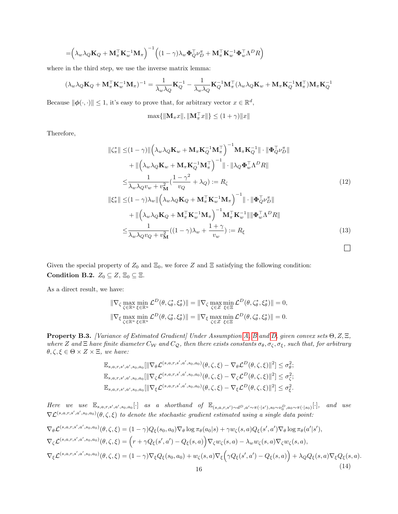$$
= \left(\lambda_w \lambda_Q \mathbf{K}_Q + \mathbf{M}_{\pi}^{\top} \mathbf{K}_w^{-1} \mathbf{M}_{\pi}\right)^{-1} \left((1 - \gamma) \lambda_w \boldsymbol{\Phi}_Q^{\top} \boldsymbol{\nu}_D^{\pi} + \mathbf{M}_{\pi}^{\top} \mathbf{K}_w^{-1} \boldsymbol{\Phi}_w^{\top} \boldsymbol{\Lambda}^D R\right)
$$

where in the third step, we use the inverse matrix lemma:

$$
(\lambda_w \lambda_Q \mathbf{K}_Q + \mathbf{M}_{\pi}^{\top} \mathbf{K}_w^{-1} \mathbf{M}_{\pi})^{-1} = \frac{1}{\lambda_w \lambda_Q} \mathbf{K}_Q^{-1} - \frac{1}{\lambda_w \lambda_Q} \mathbf{K}_Q^{-1} \mathbf{M}_{\pi}^{\top} (\lambda_w \lambda_Q \mathbf{K}_w + \mathbf{M}_{\pi} \mathbf{K}_Q^{-1} \mathbf{M}_{\pi}^{\top}) \mathbf{M}_{\pi} \mathbf{K}_Q^{-1}
$$

Because  $\|\phi(\cdot,\cdot)\| \leq 1$ , it's easy to prove that, for arbitrary vector  $x \in \mathbb{R}^d$ ,

$$
\max\{\|\mathbf{M}_\pi x\|,\|\mathbf{M}_\pi^\top x\|\}\leq (1+\gamma)\|x\|
$$

Therefore,

$$
\|\zeta_{\pi}^{*}\| \leq (1-\gamma)\| \left(\lambda_{w}\lambda_{Q}\mathbf{K}_{w} + \mathbf{M}_{\pi}\mathbf{K}_{Q}^{-1}\mathbf{M}_{\pi}^{\top}\right)^{-1}\mathbf{M}_{\pi}\mathbf{K}_{Q}^{-1}\| \cdot \|\mathbf{\Phi}_{Q}^{\top}\nu_{D}^{\pi}\| \n+ \| \left(\lambda_{w}\lambda_{Q}\mathbf{K}_{w} + \mathbf{M}_{\pi}\mathbf{K}_{Q}^{-1}\mathbf{M}_{\pi}^{\top}\right)^{-1}\| \cdot \|\lambda_{Q}\mathbf{\Phi}_{w}^{\top}\Lambda^{D}R\| \n\leq \frac{1}{\lambda_{w}\lambda_{Q}v_{w} + v_{\mathbf{M}}^{2}} \left(\frac{1-\gamma^{2}}{v_{Q}} + \lambda_{Q}\right) := R_{\zeta}
$$
\n
$$
\|\xi_{\pi}^{*}\| \leq (1-\gamma)\lambda_{w}\| \left(\lambda_{w}\lambda_{Q}\mathbf{K}_{Q} + \mathbf{M}_{\pi}^{\top}\mathbf{K}_{w}^{-1}\mathbf{M}_{\pi}\right)^{-1}\| \cdot \|\mathbf{\Phi}_{Q}^{\top}\nu_{D}^{\pi}\|
$$
\n(12)

$$
+ \| \left( \lambda_w \lambda_Q \mathbf{K}_Q + \mathbf{M}_\pi^\top \mathbf{K}_w^{-1} \mathbf{M}_\pi \right)^{-1} \mathbf{M}_\pi^\top \mathbf{K}_w^{-1} \| \| \mathbf{\Phi}_w^\top \Lambda^D R \|
$$
  

$$
\leq \frac{1}{\lambda_w \lambda_Q v_Q + v_\mathbf{M}^2} ((1 - \gamma) \lambda_w + \frac{1 + \gamma}{v_w}) := R_\xi
$$
 (13)

<span id="page-15-1"></span> $\Box$ 

Given the special property of  $Z_0$  and  $\Xi_0$ , we force Z and  $\Xi$  satisfying the following condition: Condition B.2.  $Z_0 \subseteq Z$ ,  $\Xi_0 \subseteq \Xi$ .

As a direct result, we have:

$$
\begin{aligned} \|\nabla_{\zeta} \max_{\zeta \in \mathbb{R}^u} \min_{\xi \in \mathbb{R}^u} \mathcal{L}^D(\theta, \zeta_{\theta}^*, \xi_{\theta}^*) \| &= \|\nabla_{\zeta} \max_{\zeta \in Z} \min_{\xi \in \Xi} \mathcal{L}^D(\theta, \zeta_{\theta}^*, \xi_{\theta}^*) \| = 0, \\ \|\nabla_{\xi} \max_{\zeta \in \mathbb{R}^u} \min_{\xi \in \mathbb{R}^u} \mathcal{L}^D(\theta, \zeta_{\theta}^*, \xi_{\theta}^*) \| &= \|\nabla_{\xi} \max_{\zeta \in Z} \min_{\xi \in \Xi} \mathcal{L}^D(\theta, \zeta_{\theta}^*, \xi_{\theta}^*) \| = 0. \end{aligned}
$$

<span id="page-15-0"></span>**Property [B](#page-3-2).3.** [Variance of Estimated Gradient] Under Assumption [A,](#page-3-4) B and [D,](#page-3-6) given convex sets  $\Theta$ , Z,  $\Xi$ , where Z and  $\Xi$  have finite diameter  $C_W$  and  $C_Q$ , then there exists constants  $\sigma_\theta, \sigma_\zeta, \sigma_\xi$ , such that, for arbitrary  $\theta, \zeta, \xi \in \Theta \times Z \times \Xi$ , we have:

$$
\mathbb{E}_{s,a,r,s',a',s_0,a_0}[\|\nabla_{\theta}\mathcal{L}^{(s,a,r,s',a',s_0,a_0)}(\theta,\zeta,\xi) - \nabla_{\theta}\mathcal{L}^D(\theta,\zeta,\xi)\|^2] \leq \sigma_{\theta}^2;
$$
  

$$
\mathbb{E}_{s,a,r,s',a',s_0,a_0}[\|\nabla_{\zeta}\mathcal{L}^{(s,a,r,s',a',s_0,a_0)}(\theta,\zeta,\xi) - \nabla_{\zeta}\mathcal{L}^D(\theta,\zeta,\xi)\|^2] \leq \sigma_{\zeta}^2;
$$
  

$$
\mathbb{E}_{s,a,r,s',a',s_0,a_0}[\|\nabla_{\xi}\mathcal{L}^{(s,a,r,s',a',s_0,a_0)}(\theta,\zeta,\xi) - \nabla_{\xi}\mathcal{L}^D(\theta,\zeta,\xi)\|^2] \leq \sigma_{\xi}^2.
$$

Here we use  $\mathbb{E}_{s,a,r,s',a',s_0,a_0}[\cdot]$  as a shorthand of  $\mathbb{E}_{(s,a,r,s')\sim d^D,a'\sim \pi(\cdot|s'),s_0\sim \nu_0^D,a_0\sim \pi(\cdot|s_0)}$ and use  $\nabla \mathcal{L}^{(s,a,r,s',a',s_0,a_0)}(\theta,\zeta,\xi)$  to denote the stochastic gradient estimated using a single data point:

$$
\nabla_{\theta} \mathcal{L}^{(s,a,r,s',a',s_0,a_0)}(\theta,\zeta,\xi) = (1-\gamma)Q_{\xi}(s_0,a_0)\nabla_{\theta}\log\pi_{\theta}(a_0|s) + \gamma w_{\zeta}(s,a)Q_{\xi}(s',a')\nabla_{\theta}\log\pi_{\theta}(a'|s'),
$$
  
\n
$$
\nabla_{\zeta} \mathcal{L}^{(s,a,r,s',a',s_0,a_0)}(\theta,\zeta,\xi) = (r+\gamma Q_{\xi}(s',a') - Q_{\xi}(s,a))\nabla_{\zeta} w_{\zeta}(s,a) - \lambda_w w_{\zeta}(s,a)\nabla_{\zeta} w_{\zeta}(s,a),
$$
  
\n
$$
\nabla_{\xi} \mathcal{L}^{(s,a,r,s',a',s_0,a_0)}(\theta,\zeta,\xi) = (1-\gamma)\nabla_{\xi} Q_{\xi}(s_0,a_0) + w_{\zeta}(s,a)\nabla_{\xi} \left(\gamma Q_{\xi}(s',a') - Q_{\xi}(s,a)\right) + \lambda_Q Q_{\xi}(s,a)\nabla_{\xi} Q_{\xi}(s,a).
$$
\n(14)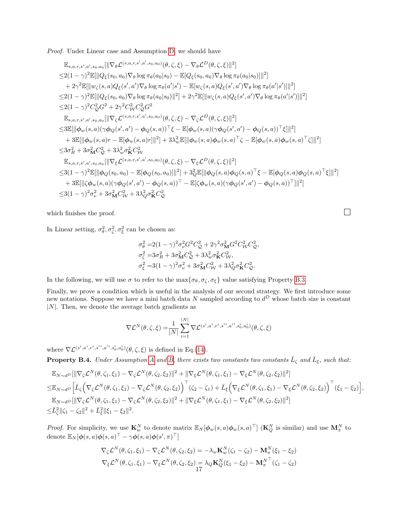Proof. Under Linear case and Assumption [D,](#page-3-6) we should have

$$
\mathbb{E}_{s,a,r,s',a',s_{0},a_{0}}[\|\nabla_{\theta}\mathcal{L}^{(s,a,r,s',a',s_{0},a_{0})}(\theta,\zeta,\xi)-\nabla_{\theta}\mathcal{L}^{D}(\theta,\zeta,\xi)\|^{2}] \n\leq 2(1-\gamma)^{2}\mathbb{E}[\|Q_{\xi}(s_{0},a_{0})\nabla_{\theta}\log\pi_{\theta}(a_{0}|s_{0})-\mathbb{E}[Q_{\xi}(s_{0},a_{0})\nabla_{\theta}\log\pi_{\theta}(a_{0}|s_{0})]\|^{2}] \n+2\gamma^{2}\mathbb{E}[\|w_{\zeta}(s,a)Q_{\xi}(s',a')\nabla_{\theta}\log\pi_{\theta}(a'|s')-\mathbb{E}[w_{\zeta}(s,a)Q_{\xi}(s',a')\nabla_{\theta}\log\pi_{\theta}(a'|s')]\|^{2}] \n\leq 2(1-\gamma)^{2}\mathbb{E}[\|Q_{\xi}(s_{0},a_{0})\nabla_{\theta}\log\pi_{\theta}(a_{0}|s_{0})\|^{2}] + 2\gamma^{2}\mathbb{E}[\|w_{\zeta}(s,a)Q_{\xi}(s',a')\nabla_{\theta}\log\pi_{\theta}(a'|s')]\|^{2}] \n\leq 2(1-\gamma)^{2}C_{Q}^{2}G^{2} + 2\gamma^{2}C_{W}^{2}C_{Q}^{2}G^{2} \n\mathbb{E}_{s,a,r,s',a',s_{0},a_{0}}[\|\nabla_{\zeta}\mathcal{L}^{(s,a,r,s',a',s_{0},a_{0})}(\theta,\zeta,\xi)-\nabla_{\zeta}\mathcal{L}^{D}(\theta,\zeta,\xi)\|^{2}] \n+3\mathbb{E}[\|\phi_{w}(s,a)(\gamma\phi_{Q}(s',a')-\phi_{Q}(s,a))\|^{2}] + 3\lambda_{w}^{2}\mathbb{E}[\|\phi_{w}(s,a)(\gamma\phi_{Q}(s',a')-\phi_{Q}(s,a))\|^{2}] \n+3\mathbb{E}[\|\phi_{w}(s,a)r-\mathbb{E}[\phi_{w}(s,a)r]\|^{2}] + 3\lambda_{w}^{2}\mathbb{E}[\|\phi_{w}(s,a)\phi_{w}(s,a)\|^{2}] \n\leq 3\sigma_{R}^{2} + 3
$$

which finishes the proof.

In Linear setting,  $\sigma_{\theta}^2, \sigma_{\zeta}^2, \sigma_{\xi}^2$  can be chosen as:

$$
\begin{split} \sigma_\theta^2=&2(1-\gamma)^2\sigma_\nu^2G^2C_\mathcal{Q}^2+2\gamma^2\sigma_\mathbf{M}^2G^2C_\mathcal{W}^2C_\mathcal{Q}^2,\\ \sigma_\zeta^2=&3\sigma_R^2+3\sigma_\mathbf{M}^2C_\mathcal{Q}^2+3\lambda_w^2\sigma_\mathbf{K}^2C_\mathcal{W}^2,\\ \sigma_\xi^2=&3(1-\gamma)^2\sigma_\nu^2+3\sigma_\mathbf{M}^2C_\mathcal{W}^2+3\lambda_Q^2\sigma_\mathbf{K}^2C_\mathcal{Q}^2. \end{split}
$$

In the following, we will use  $\sigma$  to refer to the  $\max{\lbrace \sigma_\theta, \sigma_\zeta, \sigma_\xi \rbrace}$  value satisfying Property [B.3.](#page-15-0)

Finally, we prove a condition which is useful in the analysis of our second strategy. We first introduce some new notations. Suppose we have a mini batch data N sampled according to  $d^D$  whose batch size is constant  $|N|$ . Then, we denote the average batch gradients as

$$
\nabla \mathcal{L}^N(\theta, \zeta, \xi) = \frac{1}{|N|} \sum_{i=1}^{|N|} \nabla \mathcal{L}^{(s^i, a^i, r^i, s'^i, a'^i, s^i_0, a^i_0)}(\theta, \zeta, \xi)
$$

where  $\nabla \mathcal{L}^{(s^i, a^i, r^i, s'^i, a'^i, s^i_0, a^i_0)}(\theta, \zeta, \xi)$  is defined in Eq.[\(14\)](#page-15-1).

<span id="page-16-0"></span>**Property B.4.** Under [A](#page-3-4)ssumption A and [B,](#page-3-2) there exists two constants two constants  $\bar{L}_{\zeta}$  and  $\bar{L}_{\xi}$ , such that:

$$
\mathbb{E}_{N \sim d^{D}} [\|\nabla_{\zeta} \mathcal{L}^{N}(\theta, \zeta_{1}, \xi_{1}) - \nabla_{\zeta} \mathcal{L}^{N}(\theta, \zeta_{2}, \xi_{2})\|^{2} + \|\nabla_{\xi} \mathcal{L}^{N}(\theta, \zeta_{1}, \xi_{1}) - \nabla_{\xi} \mathcal{L}^{N}(\theta, \zeta_{2}, \xi_{2})\|^{2}] \n\leq \mathbb{E}_{N \sim d^{D}} [\bar{L}_{\zeta} (\nabla_{\zeta} \mathcal{L}^{N}(\theta, \zeta_{1}, \xi_{1}) - \nabla_{\zeta} \mathcal{L}^{N}(\theta, \zeta_{2}, \xi_{2}))^{\top} (\zeta_{2} - \zeta_{1}) + \bar{L}_{\xi} (\nabla_{\xi} \mathcal{L}^{N}(\theta, \zeta_{1}, \xi_{1}) - \nabla_{\xi} \mathcal{L}^{N}(\theta, \zeta_{2}, \xi_{2}))^{\top} (\xi_{1} - \xi_{2})],\n\mathbb{E}_{N \sim d^{D}} [\|\nabla_{\zeta} \mathcal{L}^{N}(\theta, \zeta_{1}, \xi_{1}) - \nabla_{\zeta} \mathcal{L}^{N}(\theta, \zeta_{2}, \xi_{2})\|^{2} + \|\nabla_{\xi} \mathcal{L}^{N}(\theta, \zeta_{1}, \xi_{1}) - \nabla_{\xi} \mathcal{L}^{N}(\theta, \zeta_{2}, \xi_{2})\|^{2}] \n\leq \bar{L}_{\zeta}^{2} \|\zeta_{1} - \zeta_{2}\|^{2} + \bar{L}_{\xi}^{2} \|\xi_{1} - \xi_{2}\|^{2}.
$$

*Proof.* For simplicity, we use  $\mathbf{K}_w^N$  to denote matrix  $\mathbb{E}_N[\phi_w(s, a)\phi_w(s, a)^\top]$   $(\mathbf{K}_Q^N$  is similar) and use  $\mathbf{M}_\pi^N$  to denote  $\mathbb{E}_N[\boldsymbol{\phi}(s,a)\boldsymbol{\phi}(s,a)^\top-\gamma \boldsymbol{\phi}(s,a)\boldsymbol{\phi}(s',\pi)^\top]$ 

$$
\nabla_{\zeta} \mathcal{L}^N(\theta, \zeta_1, \xi_1) - \nabla_{\zeta} \mathcal{L}^N(\theta, \zeta_2, \xi_2) = -\lambda_w \mathbf{K}_w^N(\zeta_1 - \zeta_2) - \mathbf{M}_\pi^N(\xi_1 - \xi_2)
$$
  

$$
\nabla_{\xi} \mathcal{L}^N(\theta, \zeta_1, \xi_1) - \nabla_{\xi} \mathcal{L}^N(\theta, \zeta_2, \xi_2) = \lambda_Q \mathbf{K}_Q^N(\xi_1 - \xi_2) - \mathbf{M}_\pi^{N^\top}(\zeta_1 - \zeta_2)
$$

$$
\Box
$$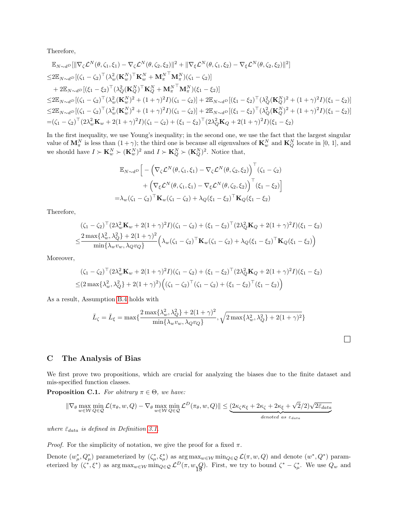Therefore,

$$
\mathbb{E}_{N \sim d^{D}} [\|\nabla_{\zeta} \mathcal{L}^{N}(\theta, \zeta_{1}, \xi_{1}) - \nabla_{\zeta} \mathcal{L}^{N}(\theta, \zeta_{2}, \xi_{2})\|^{2} + \|\nabla_{\xi} \mathcal{L}^{N}(\theta, \zeta_{1}, \xi_{2}) - \nabla_{\xi} \mathcal{L}^{N}(\theta, \zeta_{2}, \xi_{2})\|^{2}] \n\leq 2 \mathbb{E}_{N \sim d^{D}} [(\zeta_{1} - \zeta_{2})^{\top} (\lambda_{w}^{2} (\mathbf{K}_{w}^{N})^{\top} \mathbf{K}_{w}^{N} + \mathbf{M}_{\pi}^{N^{\top}} \mathbf{M}_{\pi}^{N})(\zeta_{1} - \zeta_{2})] \n+ 2 \mathbb{E}_{N \sim d^{D}} [(\xi_{1} - \xi_{2})^{\top} (\lambda_{Q}^{2} (\mathbf{K}_{Q}^{N})^{\top} \mathbf{K}_{Q}^{N} + \mathbf{M}_{\pi}^{N^{\top}} \mathbf{M}_{\pi}^{N})(\xi_{1} - \xi_{2})] \n\leq 2 \mathbb{E}_{N \sim d^{D}} [(\zeta_{1} - \zeta_{2})^{\top} (\lambda_{w}^{2} (\mathbf{K}_{w}^{N})^{2} + (1 + \gamma)^{2} I)(\zeta_{1} - \zeta_{2})] + 2 \mathbb{E}_{N \sim d^{D}} [(\xi_{1} - \xi_{2})^{\top} (\lambda_{Q}^{2} (\mathbf{K}_{Q}^{N})^{2} + (1 + \gamma)^{2} I)(\xi_{1} - \xi_{2})] \n\leq 2 \mathbb{E}_{N \sim d^{D}} [(\zeta_{1} - \zeta_{2})^{\top} (\lambda_{w}^{2} (\mathbf{K}_{w}^{N})^{2} + (1 + \gamma)^{2} I)(\zeta_{1} - \zeta_{2})] + 2 \mathbb{E}_{N \sim d^{D}} [(\xi_{1} - \xi_{2})^{\top} (\lambda_{Q}^{2} (\mathbf{K}_{Q}^{N})^{2} + (1 + \gamma)^{2} I)(\xi_{1} - \xi_{2})] \n= (\zeta_{1} - \zeta_{2})^{\top} (2 \lambda_{w}^{2} \mathbf{K}_{w} + 2(1 + \gamma
$$

In the first inequality, we use Young's inequality; in the second one, we use the fact that the largest singular value of  $\mathbf{M}_{\pi}^{N}$  is less than  $(1+\gamma)$ ; the third one is because all eigenvalues of  $\mathbf{K}_{w}^{N}$  and  $\mathbf{K}_{Q}^{N}$  locate in [0, 1], and we should have  $I \succ \mathbf{K}_w^N \succ (\mathbf{K}_w^N)^2$  and  $I \succ \mathbf{K}_Q^N \succ (\mathbf{K}_Q^N)^2$ . Notice that,

$$
\mathbb{E}_{N \sim d} \mathbb{P} \Big[ - \Big( \nabla_{\zeta} \mathcal{L}^{N}(\theta, \zeta_{1}, \xi_{1}) - \nabla_{\zeta} \mathcal{L}^{N}(\theta, \zeta_{2}, \xi_{2}) \Big)^{\top} (\zeta_{1} - \zeta_{2}) \n+ \Big( \nabla_{\xi} \mathcal{L}^{N}(\theta, \zeta_{1}, \xi_{1}) - \nabla_{\xi} \mathcal{L}^{N}(\theta, \zeta_{2}, \xi_{2}) \Big)^{\top} (\xi_{1} - \xi_{2}) \Big] \n= \lambda_{w} (\zeta_{1} - \zeta_{2})^{\top} \mathbf{K}_{w} (\zeta_{1} - \zeta_{2}) + \lambda_{Q} (\xi_{1} - \xi_{2})^{\top} \mathbf{K}_{Q} (\xi_{1} - \xi_{2})
$$

Therefore,

$$
\begin{split} & (\zeta_1 - \zeta_2)^{\top} (2\lambda_w^2 \mathbf{K}_w + 2(1+\gamma)^2 I)(\zeta_1 - \zeta_2) + (\xi_1 - \xi_2)^{\top} (2\lambda_Q^2 \mathbf{K}_Q + 2(1+\gamma)^2 I)(\xi_1 - \xi_2) \\ \leq & \frac{2 \max\{\lambda_w^2, \lambda_Q^2\} + 2(1+\gamma)^2}{\min\{\lambda_w v_w, \lambda_Q v_Q\}} \Big( \lambda_w (\zeta_1 - \zeta_2)^{\top} \mathbf{K}_w (\zeta_1 - \zeta_2) + \lambda_Q (\xi_1 - \xi_2)^{\top} \mathbf{K}_Q (\xi_1 - \xi_2) \Big) \end{split}
$$

Moreover,

$$
(\zeta_1 - \zeta_2)^{\top} (2\lambda_w^2 \mathbf{K}_w + 2(1+\gamma)^2 I)(\zeta_1 - \zeta_2) + (\xi_1 - \xi_2)^{\top} (2\lambda_Q^2 \mathbf{K}_Q + 2(1+\gamma)^2 I)(\xi_1 - \xi_2)
$$
  
 
$$
\leq (2 \max{\lambda_w^2, \lambda_Q^2} + 2(1+\gamma)^2) ((\zeta_1 - \zeta_2)^{\top} (\zeta_1 - \zeta_2) + (\xi_1 - \xi_2)^{\top} (\xi_1 - \xi_2))
$$

As a result, Assumption [B.4](#page-16-0) holds with

$$
\bar{L}_{\zeta} = \bar{L}_{\xi} = \max\{\frac{2\max\{\lambda_w^2, \lambda_Q^2\} + 2(1+\gamma)^2}{\min\{\lambda_w v_w, \lambda_Q v_Q\}}, \sqrt{2\max\{\lambda_w^2, \lambda_Q^2\} + 2(1+\gamma)^2}\}
$$

 $\Box$ 

### <span id="page-17-0"></span>C The Analysis of Bias

We first prove two propositions, which are crucial for analyzing the biases due to the finite dataset and mis-specified function classes.

<span id="page-17-1"></span>**Proposition C.1.** For abitrary  $\pi \in \Theta$ , we have:

$$
\|\nabla_{\theta} \max_{w \in \mathcal{W}} \min_{Q \in \mathcal{Q}} \mathcal{L}(\pi_{\theta}, w, Q) - \nabla_{\theta} \max_{w \in \mathcal{W}} \min_{Q \in \mathcal{Q}} \mathcal{L}^{D}(\pi_{\theta}, w, Q)\| \leq \underbrace{(2\kappa_{\zeta}\kappa_{\xi} + 2\kappa_{\zeta} + 2\kappa_{\xi} + \sqrt{2}/2)\sqrt{2\bar{\varepsilon}_{data}}}_{denoted as \varepsilon_{data}}
$$

where  $\bar{\varepsilon}_{data}$  is defined in Definition [3.1.](#page-4-3)

*Proof.* For the simplicity of notation, we give the proof for a fixed  $\pi$ .

Denote  $(w^*_{\mu}, Q^*_{\mu})$  parameterized by  $(\zeta^*_{\mu}, \xi^*_{\mu})$  as  $\arg \max_{w \in \mathcal{W}} \min_{Q \in \mathcal{Q}} \mathcal{L}(\pi, w, Q)$  and denote  $(w^*, Q^*)$  parameterized by  $(\zeta^*, \xi^*)$  as  $\arg \max_{w \in \mathcal{W}} \min_{Q \in \mathcal{Q}} \mathcal{L}^D(\pi, w_{1Q})$ . First, we try to bound  $\zeta^* - \zeta^*_{\mu}$ . We use  $Q_w$  and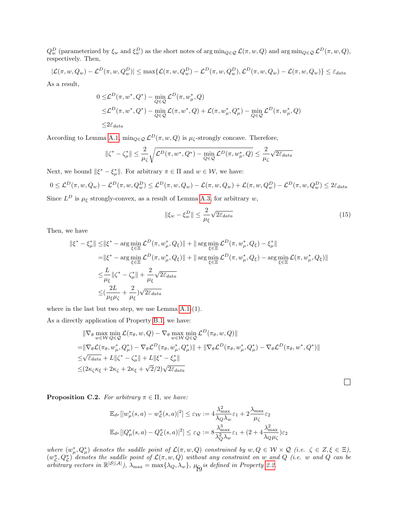$Q_w^D$  (parameterized by  $\xi_w$  and  $\xi_w^D$ ) as the short notes of  $\arg \min_{Q \in \mathcal{Q}} \mathcal{L}(\pi, w, Q)$  and  $\arg \min_{Q \in \mathcal{Q}} \mathcal{L}^D(\pi, w, Q)$ , respectively. Then,

$$
|\mathcal{L}(\pi, w, Q_w) - \mathcal{L}^D(\pi, w, Q_w^D)| \le \max\{\mathcal{L}(\pi, w, Q_w^D) - \mathcal{L}^D(\pi, w, Q_w^D), \mathcal{L}^D(\pi, w, Q_w) - \mathcal{L}(\pi, w, Q_w)\} \le \bar{\varepsilon}_{data}
$$

As a result,

$$
0 \leq \mathcal{L}^D(\pi, w^*, Q^*) - \min_{Q \in \mathcal{Q}} \mathcal{L}^D(\pi, w^*_\mu, Q)
$$
  
 
$$
\leq \mathcal{L}^D(\pi, w^*, Q^*) - \min_{Q \in \mathcal{Q}} \mathcal{L}(\pi, w^*, Q) + \mathcal{L}(\pi, w^*_\mu, Q^*_\mu) - \min_{Q \in \mathcal{Q}} \mathcal{L}^D(\pi, w^*_\mu, Q)
$$
  
 
$$
\leq 2\bar{\varepsilon}_{data}
$$

According to Lemma [A.1,](#page-11-1)  $\min_{Q \in \mathcal{Q}} \mathcal{L}^D(\pi, w, Q)$  is  $\mu_{\zeta}$ -strongly concave. Therefore,

$$
\|\zeta^* - \zeta^*_\mu\| \le \frac{2}{\mu_\zeta} \sqrt{\mathcal{L}^D(\pi, w^*, Q^*) - \min_{Q \in \mathcal{Q}} \mathcal{L}^D(\pi, w^*_\mu, Q)} \le \frac{2}{\mu_\zeta} \sqrt{2\bar{\varepsilon}_{data}}
$$

Next, we bound  $\|\xi^* - \xi^*_{\mu}\|$ . For arbitrary  $\pi \in \Pi$  and  $w \in \mathcal{W}$ , we have:

$$
0 \leq \mathcal{L}^D(\pi, w, Q_w) - \mathcal{L}^D(\pi, w, Q_w^D) \leq \mathcal{L}^D(\pi, w, Q_w) - \mathcal{L}(\pi, w, Q_w) + \mathcal{L}(\pi, w, Q_w^D) - \mathcal{L}^D(\pi, w, Q_w^D) \leq 2\bar{\varepsilon}_{data}
$$

Since  $L^D$  is  $\mu_{\xi}$  strongly-convex, as a result of Lemma [A.3,](#page-11-2) for arbitrary w,

$$
\|\xi_w - \xi_w^D\| \le \frac{2}{\mu_{\xi}} \sqrt{2\bar{\varepsilon}_{data}}\tag{15}
$$

Then, we have

$$
\begin{split} \|\xi^* - \xi^*_{\mu}\| &\leq \|\xi^* - \arg\min_{\xi \in \Xi} \mathcal{L}^D(\pi, w^*_{\mu}, Q_{\xi})\| + \|\arg\min_{\xi \in \Xi} \mathcal{L}^D(\pi, w^*_{\mu}, Q_{\xi}) - \xi^*_{\mu}\| \\ &= \|\xi^* - \arg\min_{\xi \in \Xi} \mathcal{L}^D(\pi, w^*_{\mu}, Q_{\xi})\| + \|\arg\min_{\xi \in \Xi} \mathcal{L}^D(\pi, w^*_{\mu}, Q_{\xi}) - \arg\min_{\xi \in \Xi} \mathcal{L}(\pi, w^*_{\mu}, Q_{\xi})\| \\ &\leq & \frac{L}{\mu_{\xi}} \|\zeta^* - \zeta^*_{\mu}\| + \frac{2}{\mu_{\xi}} \sqrt{2 \bar{\varepsilon}_{data}} \\ &\leq & (\frac{2L}{\mu_{\xi}\mu_{\zeta}} + \frac{2}{\mu_{\xi}}) \sqrt{2 \bar{\varepsilon}_{data}} \end{split}
$$

where in the last but two step, we use Lemma [A.1-](#page-11-1)(1).

As a directly application of Property [B.1,](#page-12-0) we have:

$$
\|\nabla_{\theta} \max_{w \in \mathcal{W}} \min_{Q \in \mathcal{Q}} \mathcal{L}(\pi_{\theta}, w, Q) - \nabla_{\theta} \max_{w \in \mathcal{W}} \min_{Q \in \mathcal{Q}} \mathcal{L}^{D}(\pi_{\theta}, w, Q)\|
$$
\n
$$
= \|\nabla_{\theta} \mathcal{L}(\pi_{\theta}, w_{\mu}^{*}, Q_{\mu}^{*}) - \nabla_{\theta} \mathcal{L}^{D}(\pi_{\theta}, w_{\mu}^{*}, Q_{\mu}^{*})\| + \|\nabla_{\theta} \mathcal{L}^{D}(\pi_{\theta}, w_{\mu}^{*}, Q_{\mu}^{*}) - \nabla_{\theta} \mathcal{L}^{D}(\pi_{\theta}, w^{*}, Q^{*})\|
$$
\n
$$
\leq \sqrt{\bar{\varepsilon}_{data}} + L\|\zeta^{*} - \zeta_{\mu}^{*}\| + L\|\xi^{*} - \xi_{\mu}^{*}\|
$$
\n
$$
\leq (2\kappa_{\zeta}\kappa_{\xi} + 2\kappa_{\zeta} + 2\kappa_{\xi} + \sqrt{2}/2)\sqrt{2\bar{\varepsilon}_{data}}
$$

 $\Box$ 

<span id="page-18-0"></span>**Proposition C.2.** For arbitrary  $\pi \in \Pi$ , we have:

$$
\mathbb{E}_{d^{\mu}}[|w^*_{\mu}(s,a) - w^{\pi}_{\mathcal{L}}(s,a)|^2] \leq \varepsilon_{\mathcal{W}} := 4 \frac{\lambda_{\max}^2}{\lambda_Q \lambda_w} \varepsilon_1 + 2 \frac{\lambda_{\max}}{\mu_{\zeta}} \varepsilon_2
$$
  

$$
\mathbb{E}_{d^{\mu}}[|Q^*_{\mu}(s,a) - Q^{\pi}_{\mathcal{L}}(s,a)|^2] \leq \varepsilon_{\mathcal{Q}} := 8 \frac{\lambda_{\max}^3}{\lambda_Q^2 \lambda_w} \varepsilon_1 + (2 + 4 \frac{\lambda_{\max}^2}{\lambda_Q \mu_{\zeta}}) \varepsilon_2
$$

where  $(w_{\mu}^*, Q_{\mu}^*)$  denotes the saddle point of  $\mathcal{L}(\pi, w, Q)$  constrained by  $w, Q \in \mathcal{W} \times \mathcal{Q}$  (i.e.  $\zeta \in Z, \xi \in \Xi$ ),  $(w_L^{\pi}, Q_L^{\pi})$  denotes the saddle point of  $\mathcal{L}(\pi, w, Q)$  without any constraint on w and Q (i.e. w and Q can be arbitrary vectors in  $\mathbb{R}^{|S||\mathcal{A}|}$ ),  $\lambda_{\max} = \max\{\lambda_Q, \lambda_w\}$ ,  $\mu_{\mathbf{Q}}$  is defined in Property [2.2.](#page-4-2)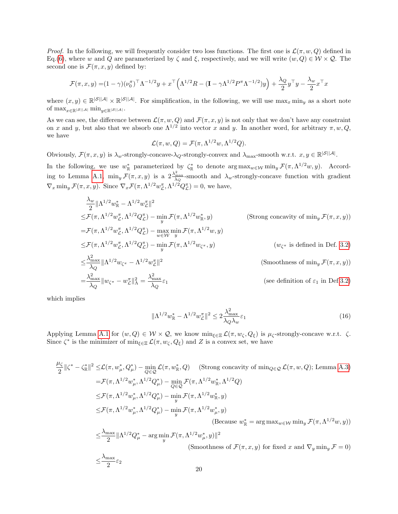*Proof.* In the following, we will frequently consider two loss functions. The first one is  $\mathcal{L}(\pi, w, Q)$  defined in Eq.[\(6\)](#page-4-1), where w and Q are parameterized by  $\zeta$  and  $\xi$ , respectively, and we will write  $(w, Q) \in W \times Q$ . The second one is  $\mathcal{F}(\pi, x, y)$  defined by:

$$
\mathcal{F}(\pi, x, y) = (1 - \gamma)(\nu_0^{\pi})^{\top} \Lambda^{-1/2} y + x^{\top} (\Lambda^{1/2} R - (\mathbf{I} - \gamma \Lambda^{1/2} P^{\pi} \Lambda^{-1/2}) y) + \frac{\lambda_Q}{2} y^{\top} y - \frac{\lambda_w}{2} x^{\top} x
$$

where  $(x, y) \in \mathbb{R}^{|\mathcal{S}||\mathcal{A}|} \times \mathbb{R}^{|\mathcal{S}||\mathcal{A}|}$ . For simplification, in the following, we will use  $\max_x \min_y$  as a short note of  $\max_{x\in\mathbb{R}^{\left|\mathcal{S}\right|\left|\mathcal{A}\right|}}\min_{y\in\mathbb{R}^{\left|\mathcal{S}\right|\left|\mathcal{A}\right|}}.$ 

As we can see, the difference between  $\mathcal{L}(\pi, w, Q)$  and  $\mathcal{F}(\pi, x, y)$  is not only that we don't have any constraint on x and y, but also that we absorb one  $\Lambda^{1/2}$  into vector x and y. In another word, for arbitrary  $\pi, w, Q$ , we have

$$
\mathcal{L}(\pi, w, Q) = \mathcal{F}(\pi, \Lambda^{1/2}w, \Lambda^{1/2}Q).
$$

Obviously,  $\mathcal{F}(\pi, x, y)$  is  $\lambda_w$ -strongly-concave- $\lambda_Q$ -strongly-convex and  $\lambda_{\max}$ -smooth w.r.t.  $x, y \in \mathbb{R}^{|S||A|}$ .

In the following, we use  $w_{\mathbb{R}}^*$  parameterized by  $\zeta_{\mathbb{R}}^*$  to denote  $\arg \max_{w \in \mathcal{W}} \min_y \mathcal{F}(\pi, \Lambda^{1/2}w, y)$ . Accord-ing to Lemma [A.1,](#page-11-1)  $\min_y \mathcal{F}(\pi, x, y)$  is a  $2\frac{\lambda_{\text{max}}^2}{\lambda_Q}$ -smooth and  $\lambda_w$ -strongly-concave function with gradient  $\nabla_x \min_y \mathcal{F}(\pi, x, y)$ . Since  $\nabla_x \mathcal{F}(\pi, \Lambda^{1/2} w_{\mathcal{L}}^{\pi}, \Lambda^{1/2} Q_{\mathcal{L}}^{\pi}) = 0$ , we have,

$$
\frac{\lambda_w}{2} \|\Lambda^{1/2} w_{\mathbb{R}}^* - \Lambda^{1/2} w_{\mathbb{Z}}^{\pi}\|^2
$$
\n
$$
\leq \mathcal{F}(\pi, \Lambda^{1/2} w_{\mathbb{Z}}^{\pi}, \Lambda^{1/2} Q_{\mathbb{Z}}^{\pi}) - \min_{y} \mathcal{F}(\pi, \Lambda^{1/2} w_{\mathbb{R}}^*, y)
$$
\n
$$
= \mathcal{F}(\pi, \Lambda^{1/2} w_{\mathbb{Z}}^{\pi}, \Lambda^{1/2} Q_{\mathbb{Z}}^{\pi}) - \max_{w \in W} \min_{y} \mathcal{F}(\pi, \Lambda^{1/2} w, y)
$$
\n
$$
\leq \mathcal{F}(\pi, \Lambda^{1/2} w_{\mathbb{Z}}^{\pi}, \Lambda^{1/2} Q_{\mathbb{Z}}^{\pi}) - \min_{y} \mathcal{F}(\pi, \Lambda^{1/2} w_{\mathbb{Z}^*}, y)
$$
\n
$$
\leq \frac{\lambda_{\max}^2}{\lambda_Q} \|\Lambda^{1/2} w_{\mathbb{C}}^* - \Lambda^{1/2} w_{\mathbb{Z}}^{\pi}\|^2
$$
\n
$$
= \frac{\lambda_{\max}^2}{\lambda_Q} \|w_{\mathbb{C}}^* - w_{\mathbb{Z}}^{\pi}\|_{\Lambda}^2 = \frac{\lambda_{\max}^2}{\lambda_Q} \varepsilon_1
$$
\n(Secondness of  $\min_y \mathcal{F}(\pi, x, y)$ )

\n(see definition of  $\varepsilon_1$  in Def. 3.2)

which implies

<span id="page-19-0"></span>
$$
\|\Lambda^{1/2}w_{\mathbb{R}}^* - \Lambda^{1/2}w_{\mathcal{L}}^\pi\|^2 \le 2\frac{\lambda_{\max}^2}{\lambda_Q\lambda_w}\varepsilon_1\tag{16}
$$

Applying Lemma [A.1](#page-11-1) for  $(w, Q) \in W \times Q$ , we know  $\min_{\xi \in \Xi} \mathcal{L}(\pi, w_{\zeta}, Q_{\xi})$  is  $\mu_{\zeta}$ -strongly-concave w.r.t.  $\zeta$ . Since  $\zeta^*$  is the minimizer of  $\min_{\xi \in \Xi} \mathcal{L}(\pi, w_{\zeta}, Q_{\xi})$  and Z is a convex set, we have

$$
\frac{\mu_{\zeta}}{2} || \zeta^* - \zeta_{\mathbb{R}}^* ||^2 \leq \mathcal{L}(\pi, w_{\mu}^*, Q_{\mu}^*) - \min_{Q \in \mathcal{Q}} \mathcal{L}(\pi, w_{\mathbb{R}}^*, Q) \quad \text{(Strong concavity of } \min_{Q \in \mathcal{Q}} \mathcal{L}(\pi, w, Q); \text{ Lemma A.3)}
$$
\n
$$
= \mathcal{F}(\pi, \Lambda^{1/2} w_{\mu}^*, \Lambda^{1/2} Q_{\mu}^*) - \min_{Q \in \mathcal{Q}} \mathcal{F}(\pi, \Lambda^{1/2} w_{\mathbb{R}}^*, \Lambda^{1/2} Q)
$$
\n
$$
\leq \mathcal{F}(\pi, \Lambda^{1/2} w_{\mu}^*, \Lambda^{1/2} Q_{\mu}^*) - \min_{y} \mathcal{F}(\pi, \Lambda^{1/2} w_{\mathbb{R}}^*, y)
$$
\n
$$
\leq \mathcal{F}(\pi, \Lambda^{1/2} w_{\mu}^*, \Lambda^{1/2} Q_{\mu}^*) - \min_{y} \mathcal{F}(\pi, \Lambda^{1/2} w_{\mu}^*, y)
$$
\n(Because  $w_{\mathbb{R}}^* = \arg \max_{w \in \mathcal{W}} \min_{y} \mathcal{F}(\pi, \Lambda^{1/2} w, y)$ )\n
$$
\leq \frac{\lambda_{\max}}{2} || \Lambda^{1/2} Q_{\mu}^* - \arg \min_{y} \mathcal{F}(\pi, \Lambda^{1/2} w_{\mu}^*, y) ||^2
$$

$$
\leq \frac{1}{2} \|\Lambda^{\gamma} \mathcal{Q}_{\mu} - \underset{y}{\text{arg min}} \mathcal{F}(\pi, \Lambda^{\gamma} \mathcal{W}_{\mu}, y)\|
$$
\n(Smoothness of  $\mathcal{F}(\pi, x, y)$  for fixed x and  $\nabla_y \min_y \mathcal{F} = 0$ )\n
$$
\leq \frac{\lambda_{\max}}{2} \varepsilon_2
$$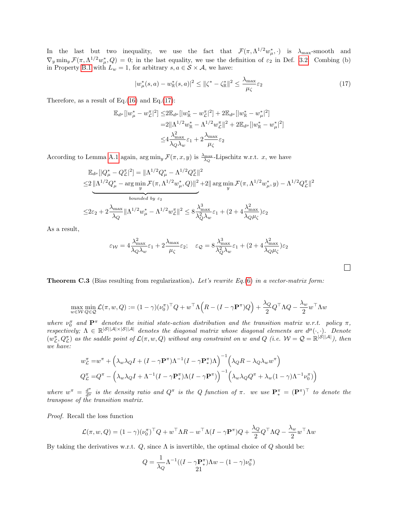In the last but two inequality, we use the fact that  $\mathcal{F}(\pi, \Lambda^{1/2} w^*_{\mu}, \cdot)$  is  $\lambda_{\max}$ -smooth and  $\nabla_y \min_y \mathcal{F}(\pi, \Lambda^{1/2} w_\mu^*, Q) = 0$ ; in the last equality, we use the definition of  $\varepsilon_2$  in Def. [3.2.](#page-4-4) Combing (b) in Property [B.1](#page-12-0) with  $L_w = 1$ , for arbitrary  $s, a \in S \times A$ , we have:

$$
|w^*_{\mu}(s,a) - w^*_{\mathbb{R}}(s,a)|^2 \le ||\zeta^* - \zeta^*_{\mathbb{R}}||^2 \le \frac{\lambda_{\max}}{\mu_{\zeta}} \varepsilon_2 \tag{17}
$$

<span id="page-20-0"></span> $\Box$ 

Therefore, as a result of Eq.[\(16\)](#page-19-0) and Eq.[\(17\)](#page-20-0):

$$
\mathbb{E}_{d^{\mu}}[|w_{\mu}^{*}-w_{\mathcal{L}}^{\pi}|^{2}] \leq 2\mathbb{E}_{d^{\mu}}[|w_{\mathbb{R}}^{*}-w_{\mathcal{L}}^{\pi}|^{2}] + 2\mathbb{E}_{d^{\mu}}[|w_{\mathbb{R}}^{*}-w_{\mu}^{*}|^{2}]
$$
  
\n
$$
=2||\Lambda^{1/2}w_{\mathbb{R}}^{*}-\Lambda^{1/2}w_{\mathcal{L}}^{\pi}||^{2} + 2\mathbb{E}_{d^{\mu}}[|w_{\mathbb{R}}^{*}-w_{\mu}^{*}|^{2}]
$$
  
\n
$$
\leq 4\frac{\lambda_{\max}^{2}}{\lambda_{Q}\lambda_{w}}\varepsilon_{1} + 2\frac{\lambda_{\max}}{\mu_{\zeta}}\varepsilon_{2}
$$

According to Lemma [A.1](#page-11-1) again,  $\arg\min_y \mathcal{F}(\pi, x, y)$  is  $\frac{\lambda_{\max}}{\lambda_Q}$ -Lipschitz w.r.t. x, we have

$$
\mathbb{E}_{d^{\mu}}[|Q_{\mu}^{*} - Q_{\mu}^{\pi}|^{2}] = \|\Lambda^{1/2}Q_{\mu}^{*} - \Lambda^{1/2}Q_{\mu}^{\pi}\|^{2}
$$
  
\n
$$
\leq 2\|\Lambda^{1/2}Q_{\mu}^{*} - \arg\min_{y} \mathcal{F}(\pi, \Lambda^{1/2}w_{\mu}^{*}, Q)\|^{2} + 2\|\arg\min_{y} \mathcal{F}(\pi, \Lambda^{1/2}w_{\mu}^{*}, y) - \Lambda^{1/2}Q_{\mathcal{L}}^{\pi}\|^{2}
$$
  
\n*bounded by*  $\varepsilon_{2}$   
\n
$$
\leq 2\varepsilon_{2} + 2\frac{\lambda_{\max}}{\lambda_{Q}}\|\Lambda^{1/2}w_{\mu}^{*} - \Lambda^{1/2}w_{\mathcal{L}}^{\pi}\|^{2} \leq 8\frac{\lambda_{\max}^{3}}{\lambda_{Q}^{2}\lambda_{w}}\varepsilon_{1} + (2 + 4\frac{\lambda_{\max}^{2}}{\lambda_{Q}\mu_{\zeta}})\varepsilon_{2}
$$

As a result,

$$
\varepsilon_{\mathcal{W}} = 4 \frac{\lambda_{\max}^2}{\lambda_Q \lambda_w} \varepsilon_1 + 2 \frac{\lambda_{\max}}{\mu_{\zeta}} \varepsilon_2; \quad \varepsilon_{\mathcal{Q}} = 8 \frac{\lambda_{\max}^3}{\lambda_Q^2 \lambda_w} \varepsilon_1 + (2 + 4 \frac{\lambda_{\max}^2}{\lambda_Q \mu_{\zeta}}) \varepsilon_2
$$

<span id="page-20-1"></span>**Theorem C.3** (Bias resulting from regularization). Let's rewrite Eq. [\(6\)](#page-4-1) in a vector-matrix form:

$$
\max_{w \in \mathcal{W}} \min_{Q \in \mathcal{Q}} \mathcal{L}(\pi, w, Q) := (1 - \gamma)(\nu_0^{\pi})^{\top} Q + w^{\top} \Lambda \left( R - (I - \gamma \mathbf{P}^{\pi}) Q \right) + \frac{\lambda_Q}{2} Q^{\top} \Lambda Q - \frac{\lambda_w}{2} w^{\top} \Lambda w
$$

where  $\nu_0^{\pi}$  and  $\mathbf{P}^{\pi}$  denotes the initial state-action distribution and the transition matrix w.r.t. policy  $\pi$ , respectively;  $\Lambda \in \mathbb{R}^{|S||A|\times |S||A|}$  denotes the diagonal matrix whose diagonal elements are  $d^{\mu}(\cdot,\cdot)$ . Denote  $(w_{\mathcal{L}}^{\pi}, Q_{\mathcal{L}}^{\pi})$  as the saddle point of  $\mathcal{L}(\pi, w, Q)$  without any constraint on w and  $Q$  (i.e.  $\mathcal{W} = \mathcal{Q} = \mathbb{R}^{|\mathcal{S}||\mathcal{A}|}$ ), then we have:

$$
w_{\mathcal{L}}^{\pi} = w^{\pi} + \left(\lambda_{w}\lambda_{Q}I + (I - \gamma \mathbf{P}^{\pi})\Lambda^{-1}(I - \gamma \mathbf{P}_{*}^{\pi})\Lambda\right)^{-1}\left(\lambda_{Q}R - \lambda_{Q}\lambda_{w}w^{\pi}\right)
$$
  

$$
Q_{\mathcal{L}}^{\pi} = Q^{\pi} - \left(\lambda_{w}\lambda_{Q}I + \Lambda^{-1}(I - \gamma \mathbf{P}_{*}^{\pi})\Lambda(I - \gamma \mathbf{P}^{\pi})\right)^{-1}\left(\lambda_{w}\lambda_{Q}Q^{\pi} + \lambda_{w}(1 - \gamma)\Lambda^{-1}\nu_{0}^{\pi}\right)
$$

where  $w^{\pi} = \frac{d^{\pi}}{d^{\mu}}$  is the density ratio and  $Q^{\pi}$  is the Q function of  $\pi$ . we use  $\mathbf{P}_{*}^{\pi} = (\mathbf{P}^{\pi})^{\top}$  to denote the transpose of the transition matrix.

Proof. Recall the loss function

$$
\mathcal{L}(\pi, w, Q) = (1 - \gamma)(\nu_0^{\pi})^{\top} Q + w^{\top} \Lambda R - w^{\top} \Lambda (I - \gamma \mathbf{P}^{\pi}) Q + \frac{\lambda_Q}{2} Q^{\top} \Lambda Q - \frac{\lambda_w}{2} w^{\top} \Lambda w
$$

By taking the derivatives w.r.t.  $Q$ , since  $\Lambda$  is invertible, the optimal choice of  $Q$  should be:

$$
Q = \frac{1}{\lambda_Q} \Lambda^{-1} \left( (I - \gamma \mathbf{P}_*^{\pi}) \Lambda w - (1 - \gamma) \nu_0^{\pi} \right)
$$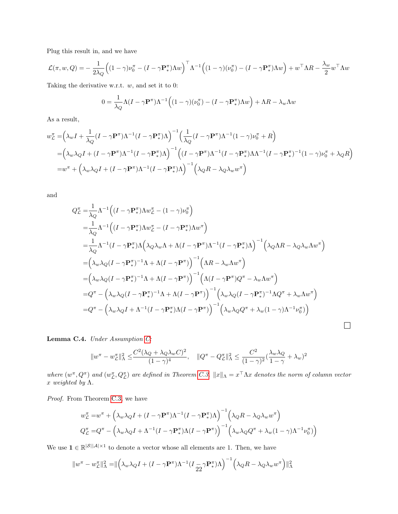Plug this result in, and we have

$$
\mathcal{L}(\pi, w, Q) = -\frac{1}{2\lambda_Q} \Big( (1 - \gamma) \nu_0^{\pi} - (I - \gamma \mathbf{P}_{*}^{\pi}) \Lambda w \Big)^{\top} \Lambda^{-1} \Big( (1 - \gamma) (\nu_0^{\pi}) - (I - \gamma \mathbf{P}_{*}^{\pi}) \Lambda w \Big) + w^{\top} \Lambda R - \frac{\lambda_w}{2} w^{\top} \Lambda w
$$

Taking the derivative w.r.t.  $w$ , and set it to 0:

$$
0 = \frac{1}{\lambda_Q} \Lambda (I - \gamma \mathbf{P}^{\pi}) \Lambda^{-1} ((1 - \gamma)(\nu_0^{\pi}) - (I - \gamma \mathbf{P}_{*}^{\pi}) \Lambda w) + \Lambda R - \lambda_w \Lambda w
$$

As a result,

$$
w_{\mathcal{L}}^{\pi} = \left(\lambda_{w} I + \frac{1}{\lambda_{Q}} (I - \gamma \mathbf{P}^{\pi}) \Lambda^{-1} (I - \gamma \mathbf{P}_{*}^{\pi}) \Lambda\right)^{-1} \left(\frac{1}{\lambda_{Q}} (I - \gamma \mathbf{P}^{\pi}) \Lambda^{-1} (1 - \gamma) \nu_{0}^{\pi} + R\right)
$$
  
\n
$$
= \left(\lambda_{w} \lambda_{Q} I + (I - \gamma \mathbf{P}^{\pi}) \Lambda^{-1} (I - \gamma \mathbf{P}_{*}^{\pi}) \Lambda\right)^{-1} \left((I - \gamma \mathbf{P}^{\pi}) \Lambda^{-1} (I - \gamma \mathbf{P}_{*}^{\pi}) \Lambda \Lambda^{-1} (I - \gamma \mathbf{P}_{*}^{\pi})^{-1} (1 - \gamma) \nu_{0}^{\pi} + \lambda_{Q} R\right)
$$
  
\n
$$
= w^{\pi} + \left(\lambda_{w} \lambda_{Q} I + (I - \gamma \mathbf{P}^{\pi}) \Lambda^{-1} (I - \gamma \mathbf{P}_{*}^{\pi}) \Lambda\right)^{-1} \left(\lambda_{Q} R - \lambda_{Q} \lambda_{w} w^{\pi}\right)
$$

and

$$
Q_{\mathcal{L}}^{\pi} = \frac{1}{\lambda_Q} \Lambda^{-1} \Big( (I - \gamma \mathbf{P}_{*}^{\pi}) \Lambda w_{\mathcal{L}}^{\pi} - (1 - \gamma) \nu_{0}^{\pi} \Big)
$$
  
\n
$$
= \frac{1}{\lambda_Q} \Lambda^{-1} \Big( (I - \gamma \mathbf{P}_{*}^{\pi}) \Lambda w_{\mathcal{L}}^{\pi} - (I - \gamma \mathbf{P}_{*}^{\pi}) \Lambda w^{\pi} \Big)
$$
  
\n
$$
= \frac{1}{\lambda_Q} \Lambda^{-1} (I - \gamma \mathbf{P}_{*}^{\pi}) \Lambda \Big( \lambda_Q \lambda_w \Lambda + \Lambda (I - \gamma \mathbf{P}^{\pi}) \Lambda^{-1} (I - \gamma \mathbf{P}_{*}^{\pi}) \Lambda \Big)^{-1} \Big( \lambda_Q \Lambda R - \lambda_Q \lambda_w \Lambda w^{\pi} \Big)
$$
  
\n
$$
= \Big( \lambda_w \lambda_Q (I - \gamma \mathbf{P}_{*}^{\pi})^{-1} \Lambda + \Lambda (I - \gamma \mathbf{P}_{*}^{\pi}) \Big)^{-1} \Big( \Lambda R - \lambda_w \Lambda w^{\pi} \Big)
$$
  
\n
$$
= \Big( \lambda_w \lambda_Q (I - \gamma \mathbf{P}_{*}^{\pi})^{-1} \Lambda + \Lambda (I - \gamma \mathbf{P}_{*}^{\pi}) \Big)^{-1} \Big( \Lambda (I - \gamma \mathbf{P}_{*}^{\pi}) Q^{\pi} - \lambda_w \Lambda w^{\pi} \Big)
$$
  
\n
$$
= Q^{\pi} - \Big( \lambda_w \lambda_Q (I - \gamma \mathbf{P}_{*}^{\pi})^{-1} \Lambda + \Lambda (I - \gamma \mathbf{P}_{*}^{\pi}) \Big)^{-1} \Big( \lambda_w \lambda_Q (I - \gamma \mathbf{P}_{*}^{\pi})^{-1} \Lambda Q^{\pi} + \lambda_w \Lambda w^{\pi} \Big)
$$
  
\n
$$
= Q^{\pi} - \Big( \lambda_w \lambda_Q I + \Lambda^{-1} (I - \gamma \mathbf{P}_{*}^{\pi}) \Lambda (I - \gamma \mathbf{P}_{*}^{\pi}) \Big)^{-1} \Big( \lambda_w \lambda_Q Q^{\pi} + \lambda_w (1 - \gamma) \Lambda^{-1} \nu_0^{\pi} \Big)
$$

Lemma C.4. Under Assumption [C:](#page-3-3)

$$
\|w^\pi - w^\pi_\mathcal{L}\|_\Lambda^2 \leq \frac{C^2(\lambda_Q + \lambda_Q\lambda_w C)^2}{(1-\gamma)^4}, \quad \|Q^\pi - Q^\pi_\mathcal{L}\|_\Lambda^2 \leq \frac{C^2}{(1-\gamma)^2}(\frac{\lambda_w\lambda_Q}{1-\gamma} + \lambda_w)^2
$$

 $\Box$ 

where  $(w^{\pi}, Q^{\pi})$  and  $(w^{\pi}_{\mathcal{L}}, Q^{\pi}_{\mathcal{L}})$  are defined in Theorem [C.3.](#page-20-1)  $||x||_{\Lambda} = x^{\top} \Lambda x$  denotes the norm of column vector  $x$  weighted by  $\Lambda$ .

Proof. From Theorem [C.3,](#page-20-1) we have

$$
w_{\mathcal{L}}^{\pi} = w^{\pi} + \left(\lambda_w \lambda_Q I + (I - \gamma \mathbf{P}^{\pi}) \Lambda^{-1} (I - \gamma \mathbf{P}_{*}^{\pi}) \Lambda\right)^{-1} \left(\lambda_Q R - \lambda_Q \lambda_w w^{\pi}\right)
$$
  

$$
Q_{\mathcal{L}}^{\pi} = Q^{\pi} - \left(\lambda_w \lambda_Q I + \Lambda^{-1} (I - \gamma \mathbf{P}_{*}^{\pi}) \Lambda (I - \gamma \mathbf{P}_{*}^{\pi})\right)^{-1} \left(\lambda_w \lambda_Q Q^{\pi} + \lambda_w (1 - \gamma) \Lambda^{-1} \nu_0^{\pi}\right)
$$

We use  $\mathbf{1} \in \mathbb{R}^{|\mathcal{S}||\mathcal{A}|\times 1}$  to denote a vector whose all elements are 1. Then, we have

$$
||w^{\pi} - w_{\mathcal{L}}^{\pi}||_{\Lambda}^{2} = ||\left(\lambda_{w}\lambda_{Q}I + (I - \gamma \mathbf{P}^{\pi})\Lambda^{-1}(I_{\frac{\gamma}{22}}\gamma \mathbf{P}_{*}^{\pi})\Lambda\right)^{-1}\left(\lambda_{Q}R - \lambda_{Q}\lambda_{w}w^{\pi}\right)||_{\Lambda}^{2}
$$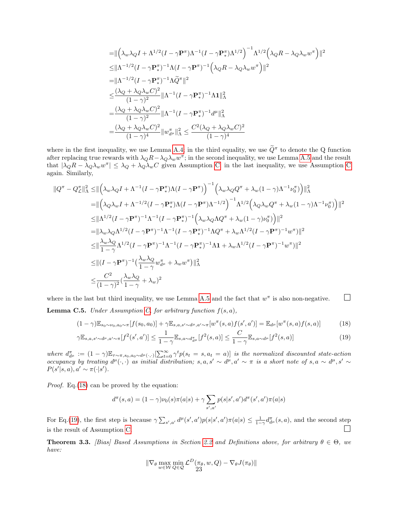$$
= || \left( \lambda_w \lambda_Q I + \Lambda^{1/2} (I - \gamma \mathbf{P}^\pi) \Lambda^{-1} (I - \gamma \mathbf{P}_\pi^\pi) \Lambda^{1/2} \right)^{-1} \Lambda^{1/2} \left( \lambda_Q R - \lambda_Q \lambda_w w^\pi \right) ||^2
$$
  
\n
$$
\leq || \Lambda^{-1/2} (I - \gamma \mathbf{P}_\pi^\pi)^{-1} \Lambda (I - \gamma \mathbf{P}^\pi) ^{-1} \left( \lambda_Q R - \lambda_Q \lambda_w w^\pi \right) ||^2
$$
  
\n
$$
= || \Lambda^{-1/2} (I - \gamma \mathbf{P}_\pi^\pi) ^{-1} \Lambda \widetilde{Q}^\pi ||^2
$$
  
\n
$$
\leq \frac{(\lambda_Q + \lambda_Q \lambda_w C)^2}{(1 - \gamma)^2} || \Lambda^{-1} (I - \gamma \mathbf{P}_\pi^\pi) ^{-1} \Lambda \mathbf{1} ||^2_{\Lambda}
$$
  
\n
$$
= \frac{(\lambda_Q + \lambda_Q \lambda_w C)^2}{(1 - \gamma)^2} || \Lambda^{-1} (I - \gamma \mathbf{P}_\pi^\pi) ^{-1} d^\mu ||^2_{\Lambda}
$$
  
\n
$$
= \frac{(\lambda_Q + \lambda_Q \lambda_w C)^2}{(1 - \gamma)^4} || w_{d^\mu}^\pi ||^2_{\Lambda} \leq \frac{C^2 (\lambda_Q + \lambda_Q \lambda_w C)^2}{(1 - \gamma)^4}
$$

where in the first inequality, we use Lemma [A.4;](#page-12-2) in the third equality, we use  $\widetilde{Q}^{\pi}$  to denote the Q function after replacing true rewards with  $\lambda_Q R - \lambda_Q \lambda_w w^{\pi}$ ; in the second inequality, we use Lemma [A.5](#page-12-3) and the result that  $|\lambda_Q R - \lambda_Q \lambda_w w^{\pi}| \leq \lambda_Q + \lambda_Q \lambda_w C$  $|\lambda_Q R - \lambda_Q \lambda_w w^{\pi}| \leq \lambda_Q + \lambda_Q \lambda_w C$  given Assumption [C;](#page-3-3) in the last inequality, we use Assumption C again. Similarly,

$$
\|Q^{\pi} - Q_{\mathcal{L}}^{\pi}\|_{\Lambda}^{2} \leq \|\left(\lambda_{w}\lambda_{Q}I + \Lambda^{-1}(I - \gamma \mathbf{P}_{*}^{\pi})\Lambda(I - \gamma \mathbf{P}^{\pi})\right)^{-1}\left(\lambda_{w}\lambda_{Q}Q^{\pi} + \lambda_{w}(1 - \gamma)\Lambda^{-1}\nu_{0}^{\pi}\right)\|_{\Lambda}^{2}
$$
  
\n=
$$
\|(\lambda_{Q}\lambda_{w}I + \Lambda^{-1/2}(I - \gamma \mathbf{P}_{*}^{\pi})\Lambda(I - \gamma \mathbf{P}^{\pi})\Lambda^{-1/2}\right)^{-1}\Lambda^{1/2}\left(\lambda_{Q}\lambda_{w}Q^{\pi} + \lambda_{w}(1 - \gamma)\Lambda^{-1}\nu_{0}^{\pi}\right)\|^{2}
$$
  
\n
$$
\leq \|\Lambda^{1/2}(I - \gamma \mathbf{P}^{\pi})^{-1}\Lambda^{-1}(I - \gamma \mathbf{P}_{*}^{\pi})^{-1}\left(\lambda_{w}\lambda_{Q}\Lambda Q^{\pi} + \lambda_{w}(1 - \gamma)\nu_{0}^{\pi}\right)\|^{2}
$$
  
\n=
$$
\|\lambda_{w}\lambda_{Q}\Lambda^{1/2}(I - \gamma \mathbf{P}^{\pi})^{-1}\Lambda^{-1}(I - \gamma \mathbf{P}_{*}^{\pi})^{-1}\Lambda Q^{\pi} + \lambda_{w}\Lambda^{1/2}(I - \gamma \mathbf{P}^{\pi})^{-1}w^{\pi}\|^{2}
$$
  
\n
$$
\leq \|\frac{\lambda_{w}\lambda_{Q}}{1 - \gamma}\Lambda^{1/2}(I - \gamma \mathbf{P}^{\pi})^{-1}\Lambda^{-1}(I - \gamma \mathbf{P}_{*}^{\pi})^{-1}\Lambda\mathbf{1} + \lambda_{w}\Lambda^{1/2}(I - \gamma \mathbf{P}^{\pi})^{-1}w^{\pi}\|^{2}
$$
  
\n
$$
\leq \|(I - \gamma \mathbf{P}^{\pi})^{-1}\left(\frac{\lambda_{w}\lambda_{Q}}{1 - \gamma}w_{d^{\mu}}^{\pi} + \lambda_{w}w^{\pi}\right)\|_{\Lambda}^{2}
$$
  
\n
$$
\leq \frac{C^{2}}{(1 - \gamma)^{2}}\left(\frac{\lambda_{w}\lambda_{Q}}{1 - \gamma} + \lambda_{w}\right)^{2}
$$

<span id="page-22-2"></span>where in the last but third inequality, we use Lemma [A.5](#page-12-3) and the fact that  $w^{\pi}$  is also non-negative.  $\Box$ **Lemma C.5.** Under Assumption [C,](#page-3-3) for arbitrary function  $f(s, a)$ ,

$$
(1 - \gamma) \mathbb{E}_{s_0 \sim \nu_0, a_0 \sim \pi} [f(s_0, a_0)] + \gamma \mathbb{E}_{s, a, s' \sim d^{\mu}, a' \sim \pi} [w^{\pi}(s, a) f(s', a')] = \mathbb{E}_{d^{\mu}} [w^{\pi}(s, a) f(s, a)] \tag{18}
$$

$$
\gamma \mathbb{E}_{s,a,s' \sim d^{\mu},a' \sim \pi} [f^{2}(s',a')] \leq \frac{1}{1-\gamma} \mathbb{E}_{s,a \sim d^{\pi}_{d^{\mu}}} [f^{2}(s,a)] \leq \frac{C}{1-\gamma} \mathbb{E}_{s,a \sim d^{\mu}} [f^{2}(s,a)] \tag{19}
$$

where  $d_{d^{\mu}}^{\pi} := (1 - \gamma) \mathbb{E}_{\tau \sim \pi, s_0, a_0 \sim d^{\mu}(\cdot, \cdot)} \left[\sum_{t=0}^{\infty} \gamma^t p(s_t = s, a_t = a)\right]$  is the normalized discounted state-action occupancy by treating  $d^{\mu}(\cdot,\cdot)$  as initial distribution;  $s, a, s' \sim d^{\mu}, a' \sim \pi$  is a short note of  $s, a \sim d^{\mu}, s' \sim d^{\mu}$  $P(s'|s, a), a' \sim \pi(\cdot|s').$ 

Proof. Eq. [\(18\)](#page-22-0) can be proved by the equation:

$$
d^{\pi}(s, a) = (1 - \gamma)\nu_0(s)\pi(a|s) + \gamma \sum_{s', a'} p(s|s', a')d^{\pi}(s', a')\pi(a|s)
$$

For Eq.[\(19\)](#page-22-1), the first step is because  $\gamma \sum_{s',a'} d^{\mu}(s',a') p(s|s',a') \pi(a|s) \leq \frac{1}{1-\gamma} d^{\pi}_{d^{\mu}}(s,a)$ , and the second step is the result of Assumption [C.](#page-3-3)

**Theorem 3.3.** [Bias] Based Assumptions in Section [2.2](#page-3-1) and Definitions above, for arbitrary  $\theta \in \Theta$ , we have:

<span id="page-22-1"></span><span id="page-22-0"></span>
$$
\|\nabla_{\theta} \max_{w \in \mathcal{W}} \min_{Q \in \mathcal{Q}} \mathcal{L}^{D}(\pi_{\theta}, w, Q) - \nabla_{\theta} J(\pi_{\theta})\|
$$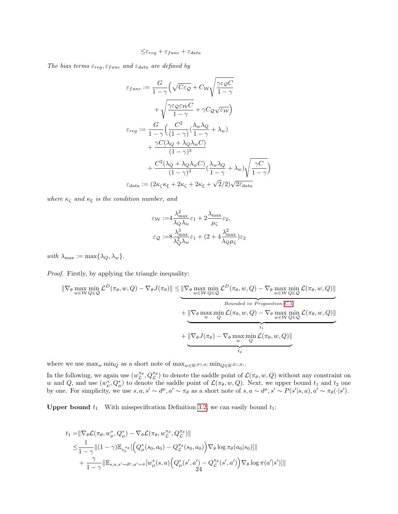$$
\leq \varepsilon_{reg} + \varepsilon_{func} + \varepsilon_{data}
$$

The bias terms  $\varepsilon_{reg}, \varepsilon_{func}$  and  $\varepsilon_{data}$  are defined by

$$
\varepsilon_{func} := \frac{G}{1-\gamma} \Big( \sqrt{C\varepsilon_{\mathcal{Q}}} + C_{\mathcal{W}} \sqrt{\frac{\gamma \varepsilon_{\mathcal{Q}} C}{1-\gamma}} \n+ \sqrt{\frac{\gamma \varepsilon_{\mathcal{Q}} \varepsilon_{\mathcal{W}} C}{1-\gamma}} + \gamma C_{\mathcal{Q}} \sqrt{\varepsilon_{\mathcal{W}}} \Big) \n\varepsilon_{reg} := \frac{G}{1-\gamma} \Big( \frac{C^2}{(1-\gamma)} \big( \frac{\lambda_w \lambda_Q}{1-\gamma} + \lambda_w \big) \n+ \frac{\gamma C (\lambda_Q + \lambda_Q \lambda_w C)}{(1-\gamma)^3} \n+ \frac{C^2 (\lambda_Q + \lambda_Q \lambda_w C)}{(1-\gamma)^3} \big( \frac{\lambda_w \lambda_Q}{1-\gamma} + \lambda_w \big) \sqrt{\frac{\gamma C}{1-\gamma}} \Big) \n\varepsilon_{data} := \left( 2\kappa_{\zeta} \kappa_{\xi} + 2\kappa_{\zeta} + 2\kappa_{\xi} + \sqrt{2}/2 \right) \sqrt{2\bar{\varepsilon}_{data}}
$$

where  $\kappa_{\zeta}$  and  $\kappa_{\xi}$  is the condition number, and

$$
\varepsilon_{\mathcal{W}} := 4 \frac{\lambda_{\max}^2}{\lambda_Q \lambda_w} \varepsilon_1 + 2 \frac{\lambda_{\max}}{\mu_{\zeta}} \varepsilon_2,
$$
  

$$
\varepsilon_{\mathcal{Q}} := 8 \frac{\lambda_{\max}^3}{\lambda_Q^2 \lambda_w} \varepsilon_1 + (2 + 4 \frac{\lambda_{\max}^2}{\lambda_Q \mu_{\zeta}}) \varepsilon_2
$$

with  $\lambda_{\max} := \max{\{\lambda_Q, \lambda_w\}}$ .

Proof. Firstly, by applying the triangle inequality:

$$
\|\nabla_{\theta} \max_{w \in \mathcal{W}} \min_{Q \in \mathcal{Q}} \mathcal{L}^{D}(\pi_{\theta}, w, Q) - \nabla_{\theta} J(\pi_{\theta})\| \leq \underbrace{\|\nabla_{\theta} \max_{w \in \mathcal{W}} \min_{Q \in \mathcal{Q}} \mathcal{L}^{D}(\pi_{\theta}, w, Q) - \nabla_{\theta} \max_{w \in \mathcal{W}} \min_{Q \in \mathcal{Q}} \mathcal{L}(\pi_{\theta}, w, Q)\|}_{Bounded in Proposition C.1}
$$
\n
$$
+ \underbrace{\|\nabla_{\theta} \max_{w} \min_{Q} \mathcal{L}(\pi_{\theta}, w, Q) - \nabla_{\theta} \max_{w \in \mathcal{W}} \min_{Q \in \mathcal{Q}} \mathcal{L}(\pi_{\theta}, w, Q)\|}_{t_1}
$$
\n
$$
+ \underbrace{\|\nabla_{\theta} J(\pi_{\theta}) - \nabla_{\theta} \max_{w} \min_{Q} \mathcal{L}(\pi_{\theta}, w, Q)\|}_{t_2}
$$

where we use  $\max_w \min_Q$  as a short note of  $\max_{w\in \mathbb{R}^{|{\cal S}||{\cal A}|}} \min_{Q\in \mathbb{R}^{|{\cal S}||{\cal A}|}}.$ 

In the following, we again use  $(w_{\mathcal{L}}^{\pi_{\theta}}, Q_{\mathcal{L}}^{\pi_{\theta}})$  to denote the saddle point of  $\mathcal{L}(\pi_{\theta}, w, Q)$  without any constraint on w and Q, and use  $(w^*_{\mu}, Q^*_{\mu})$  to denote the saddle point of  $\mathcal{L}(\pi_{\theta}, w, Q)$ . Next, we upper bound  $t_1$  and  $t_2$  one by one. For simplicity, we use  $s, a, s' \sim d^{\mu}, a' \sim \pi_{\theta}$  as a short note of  $s, a \sim d^{\mu}, s' \sim P(s'|s, a), a' \sim \pi_{\theta}(\cdot|s').$ 

**Upper bound**  $t_1$  With misspecification Definition [3.2,](#page-4-4) we can easily bound  $t_1$ :

$$
t_1 = \|\nabla_{\theta} \mathcal{L}(\pi_{\theta}, w_{\mu}^*, Q_{\mu}^*) - \nabla_{\theta} \mathcal{L}(\pi_{\theta}, w_{\mathcal{L}}^{\pi_{\theta}}, Q_{\mathcal{L}}^{\pi_{\theta}})\|
$$
  
\n
$$
\leq \frac{1}{1-\gamma} \|(1-\gamma)\mathbb{E}_{\nu_0^{\pi_{\theta}}}[\left(Q_{\mu}^*(s_0, a_0) - Q_{\mathcal{L}}^{\pi_{\theta}}(s_0, a_0)\right) \nabla_{\theta} \log \pi_{\theta}(a_0|s_0)]\|
$$
  
\n
$$
+ \frac{\gamma}{1-\gamma} \|\mathbb{E}_{s,a,s'\sim d^{\mu},a'\sim\pi} [w_{\mu}^*(s,a) \left(Q_{\mu}^*(s',a') - Q_{\mathcal{L}}^{\pi_{\theta}}(s',a')\right) \nabla_{\theta} \log \pi(a'|s')]\|
$$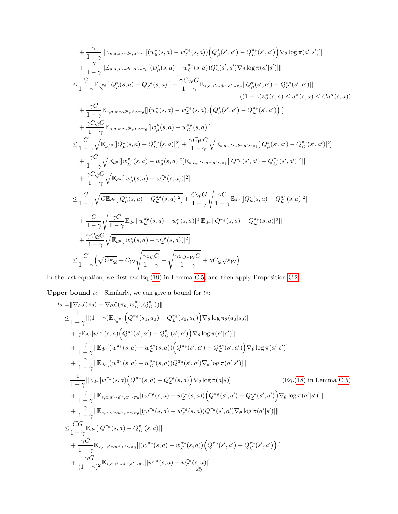$$
+ \frac{\gamma}{1-\gamma} \|\mathbb{E}_{s,a,s'\sim d^{\mu},a'\sim \pi}[(w_{\mu}^{*}(s,a)-w_{\mathcal{L}}^{\pi_{\theta}}(s,a))\left(Q_{\mu}^{*}(s',a')-Q_{\mathcal{L}}^{\pi_{\theta}}(s',a')\right)\nabla_{\theta}\log\pi(a'|s')]\| + \frac{\gamma}{1-\gamma}\|\mathbb{E}_{s,a,s'\sim d^{\mu},a'\sim \pi_{\theta}}[(w_{\mu}^{*}(s,a)-w_{\mathcal{L}}^{\pi_{\theta}}(s,a))Q_{\mu}^{*}(s',a')\nabla_{\theta}\log\pi(a'|s')]\| \n\leq \frac{G}{1-\gamma}\mathbb{E}_{\nu_{0}^{\pi_{\theta}}}[[Q_{\mu}^{*}(s,a)-Q_{\mathcal{L}}^{\pi_{\theta}}(s,a)]\|+\frac{\gamma C_{\mathcal{W}}G}{1-\gamma}\mathbb{E}_{s,a,s'\sim d^{\mu},a'\sim \pi_{\theta}}[[Q_{\mu}^{*}(s',a')-Q_{\mathcal{L}}^{\pi_{\theta}}(s',a')]]\| + \frac{\gamma G}{1-\gamma}\mathbb{E}_{s,a,s'\sim d^{\mu},a'\sim \pi_{\theta}}[[w_{\mu}^{*}(s,a)-w_{\mathcal{L}}^{\pi_{\theta}}(s,a)]\left(Q_{\mu}^{*}(s',a')-Q_{\mathcal{L}}^{\pi_{\theta}}(s',a')\right)\|+ \frac{\gamma C_{\mathcal{Q}}G}{1-\gamma}\mathbb{E}_{s,a,s'\sim d^{\mu},a'\sim \pi_{\theta}}[[w_{\mu}^{*}(s,a)-w_{\mathcal{L}}^{\pi_{\theta}}(s,a)]\| \n\leq \frac{G}{1-\gamma}\sqrt{\mathbb{E}_{\nu_{0}^{\pi_{\theta}}}[[Q_{\mu}^{*}(s,a)-Q_{\mathcal{L}}^{\pi_{\theta}}(s,a)]]^{2}}+\frac{\gamma C_{\mathcal{W}}G}{1-\gamma}\sqrt{\mathbb{E}_{s,a,s'\sim d^{\mu},a'\sim \pi_{\theta}}[[Q_{\mu}^{*}(s',a')-Q_{\mathcal{L}}^{\pi_{\theta}}(s',a')]^{2}]}\|+\frac{\gamma C_{\mathcal{Q}}G}{1-\gamma}\sqrt{\mathbb{E}_{d^{\mu}}[[w_{\mu}^{\pi_{\theta}}(s,a)-w_{\mu}^{*}(s,a)]^{2
$$

In the last equation, we first use Eq.[\(19\)](#page-22-1) in Lemma [C.5,](#page-22-2) and then apply Proposition [C.2.](#page-18-0)

**Upper bound**  $t_2$  Similarly, we can give a bound for  $t_2$ :

$$
t_2 = || \nabla_{\theta} J(\pi_{\theta}) - \nabla_{\theta} \mathcal{L}(\pi_{\theta}, w_{\mathcal{L}}^{\pi_{\theta}}, Q_{\mathcal{L}}^{\pi_{\theta}}) ||
$$
\n
$$
\leq \frac{1}{1-\gamma} ||(1-\gamma)\mathbb{E}_{\nu_{0}^{\pi_{\theta}}} [Q^{\pi_{\theta}}(s_{0}, a_{0}) - Q_{\mathcal{L}}^{\pi_{\theta}}(s_{0}, a_{0})) \nabla_{\theta} \log \pi_{\theta}(a_{0}|s_{0})]
$$
\n
$$
+ \gamma \mathbb{E}_{d^{\mu}}[w^{\pi_{\theta}}(s, a) (Q^{\pi_{\theta}}(s', a') - Q_{\mathcal{L}}^{\pi_{\theta}}(s', a')) \nabla_{\theta} \log \pi(a'|s') ||]
$$
\n
$$
+ \frac{\gamma}{1-\gamma} || \mathbb{E}_{d^{\mu}}[(w^{\pi_{\theta}}(s, a) - w_{\mathcal{L}}^{\pi_{\theta}}(s, a)) (Q^{\pi_{\theta}}(s', a') - Q_{\mathcal{L}}^{\pi_{\theta}}(s', a')) \nabla_{\theta} \log \pi(a'|s') ||]
$$
\n
$$
+ \frac{\gamma}{1-\gamma} || \mathbb{E}_{d^{\mu}}[w^{\pi_{\theta}}(s, a) - w_{\mathcal{L}}^{\pi_{\theta}}(s, a)) Q^{\pi_{\theta}}(s', a') \nabla_{\theta} \log \pi(a'|s') ||]
$$
\n
$$
= \frac{1}{1-\gamma} || \mathbb{E}_{d^{\mu}}[w^{\pi_{\theta}}(s, a) (Q^{\pi_{\theta}}(s, a) - Q_{\mathcal{L}}^{\pi_{\theta}}(s, a)) \nabla_{\theta} \log \pi(a|s) || ] \qquad (\text{Eq. (18) in Lemma C.5)}
$$
\n
$$
+ \frac{\gamma}{1-\gamma} || \mathbb{E}_{s, a, s' \sim d^{\mu}, a' \sim \pi_{\theta}}[(w^{\pi_{\theta}}(s, a) - w_{\mathcal{L}}^{\pi_{\theta}}(s, a)) (Q^{\pi_{\theta}}(s', a') \nabla_{\theta} \log \pi(a'|s') ||]
$$
\n
$$
+ \frac{\gamma}{1-\gamma} || \mathbb{E}_{s, a, s' \sim d^
$$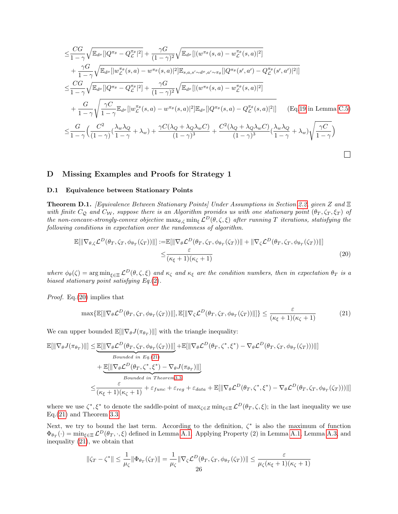$$
\leq \frac{CG}{1-\gamma}\sqrt{\mathbb{E}_{d^{\mu}}[|Q^{\pi_{\theta}}-Q^{\pi_{\theta}}_{\mathcal{L}}|^2]} + \frac{\gamma G}{(1-\gamma)^2}\sqrt{\mathbb{E}_{d^{\mu}}[|(w^{\pi_{\theta}}(s,a)-w^{\pi_{\theta}}(s,a)|^2]}\n+ \frac{\gamma G}{1-\gamma}\sqrt{\mathbb{E}_{d^{\mu}}[|w^{\pi_{\theta}}_{\mathcal{L}}(s,a)-w^{\pi_{\theta}}(s,a)|^2]\mathbb{E}_{s,a,s'\sim d^{\mu},a'\sim\pi_{\theta}}[|Q^{\pi_{\theta}}(s',a')-Q^{\pi_{\theta}}_{\mathcal{L}}(s',a')|^2]]}\n\\ \leq \frac{CG}{1-\gamma}\sqrt{\mathbb{E}_{d^{\mu}}[|Q^{\pi_{\theta}}-Q^{\pi_{\theta}}_{\mathcal{L}}|^2]} + \frac{\gamma G}{(1-\gamma)^2}\sqrt{\mathbb{E}_{d^{\mu}}[|(w^{\pi_{\theta}}(s,a)-w^{\pi_{\theta}}_{\mathcal{L}}(s,a)|^2]}\n+ \frac{G}{1-\gamma}\sqrt{\frac{\gamma C}{1-\gamma}\mathbb{E}_{d^{\mu}}[|w^{\pi_{\theta}}_{\mathcal{L}}(s,a)-w^{\pi_{\theta}}(s,a)|^2]\mathbb{E}_{d^{\mu}}[|Q^{\pi_{\theta}}(s,a)-Q^{\pi_{\theta}}_{\mathcal{L}}(s,a)|^2]]}\n+ \frac{G}{1-\gamma}\left(\frac{C^2}{(1-\gamma)}(\frac{\lambda_w\lambda_Q}{1-\gamma}+\lambda_w)+\frac{\gamma C(\lambda_Q+\lambda_Q\lambda_wC)}{(1-\gamma)^3}+\frac{C^2(\lambda_Q+\lambda_Q\lambda_wC)}{(1-\gamma)^3}(\frac{\lambda_w\lambda_Q}{1-\gamma}+\lambda_w)\sqrt{\frac{\gamma C}{1-\gamma}}\right)
$$

### <span id="page-25-0"></span>D Missing Examples and Proofs for Strategy 1

### D.1 Equivalence between Stationary Points

<span id="page-25-3"></span>Theorem D.1. [Equivalence Between Stationary Points] Under Assumptions in Section [2.2,](#page-3-1) given Z and Ξ with finite  $C_Q$  and  $C_W$ , suppose there is an Algorithm provides us with one stationary point  $(\theta_T, \zeta_T, \zeta_T)$  of the non-concave-strongly-convex objective  $\max_{\theta,\zeta} \min_{\xi} \mathcal{L}^D(\theta,\zeta,\xi)$  after running T iterations, statisfying the following conditions in expectation over the randomness of algorithm.

<span id="page-25-1"></span>
$$
\mathbb{E}[\|\nabla_{\theta,\zeta} \mathcal{L}^D(\theta_T,\zeta_T,\phi_{\theta_T}(\zeta_T))\|] := \mathbb{E}[\|\nabla_{\theta} \mathcal{L}^D(\theta_T,\zeta_T,\phi_{\theta_T}(\zeta_T))\| + \|\nabla_{\zeta} \mathcal{L}^D(\theta_T,\zeta_T,\phi_{\theta_T}(\zeta_T))\|] \leq \frac{\varepsilon}{(\kappa_{\xi}+1)(\kappa_{\zeta}+1)}\tag{20}
$$

where  $\phi_{\theta}(\zeta) = \arg \min_{\xi \in \Xi} \mathcal{L}^{D}(\theta, \zeta, \xi)$  and  $\kappa_{\zeta}$  and  $\kappa_{\xi}$  are the condition numbers, then in expectation  $\theta_{T}$  is a biased stationary point satisfying Eq.[\(2\)](#page-1-2).

Proof. Eq.[\(20\)](#page-25-1) implies that

<span id="page-25-2"></span>
$$
\max\{\mathbb{E}[\|\nabla_{\theta}\mathcal{L}^{D}(\theta_{T},\zeta_{T},\phi_{\theta_{T}}(\zeta_{T}))\|],\mathbb{E}[\|\nabla_{\zeta}\mathcal{L}^{D}(\theta_{T},\zeta_{T},\phi_{\theta_{T}}(\zeta_{T}))\|]\}\leq \frac{\varepsilon}{(\kappa_{\xi}+1)(\kappa_{\zeta}+1)}
$$
(21)

We can upper bounded  $\mathbb{E}[\|\nabla_{\theta}J(\pi_{\theta_T})\|]$  with the triangle inequality:

$$
\mathbb{E}[\|\nabla_{\theta}J(\pi_{\theta_T})\|] \leq \underbrace{\mathbb{E}[\|\nabla_{\theta}\mathcal{L}^D(\theta_T,\zeta_T,\phi_{\theta_T}(\zeta_T))\|]}_{Bounded in Eq.(21)} + \underbrace{\mathbb{E}[\|\nabla_{\theta}\mathcal{L}^D(\theta_T,\zeta^*,\xi^*) - \nabla_{\theta}\mathcal{L}^D(\theta_T,\zeta_T,\phi_{\theta_T}(\zeta_T)))\|]}_{Bounded in Theorem 3.3} \leq \frac{\varepsilon}{(\kappa_{\xi}+1)(\kappa_{\zeta}+1)} + \varepsilon_{func} + \varepsilon_{reg} + \varepsilon_{data} + \mathbb{E}[\|\nabla_{\theta}\mathcal{L}^D(\theta_T,\zeta^*,\xi^*) - \nabla_{\theta}\mathcal{L}^D(\theta_T,\zeta_T,\phi_{\theta_T}(\zeta_T)))\|]
$$

where we use  $\zeta^*, \xi^*$  to denote the saddle-point of  $\max_{\zeta \in \mathcal{Z}} \min_{\xi \in \Xi} \mathcal{L}^D(\theta_T, \zeta, \xi)$ ; in the last inequality we use  $Eq.(21)$  $Eq.(21)$  and Theorem [3.3.](#page-4-5)

Next, we try to bound the last term. According to the definition,  $\zeta^*$  is also the maximum of function  $\Phi_{\theta_T}(\cdot) = \min_{\xi \in \Xi} \mathcal{L}^D(\theta_T, \cdot, \xi)$  defined in Lemma [A.1.](#page-11-1) Applying Property (2) in Lemma [A.1,](#page-11-1) Lemma [A.3,](#page-11-2) and inequality [\(21\)](#page-25-2), we obtain that

$$
\|\zeta_T - \zeta^*\| \le \frac{1}{\mu_{\zeta}} \|\Phi_{\theta_T}(\zeta_T)\| = \frac{1}{\mu_{\zeta}} \|\nabla_{\zeta} \mathcal{L}^D(\theta_T, \zeta_T, \phi_{\theta_T}(\zeta_T))\| \le \frac{\varepsilon}{\mu_{\zeta}(\kappa_{\xi} + 1)(\kappa_{\zeta} + 1)}
$$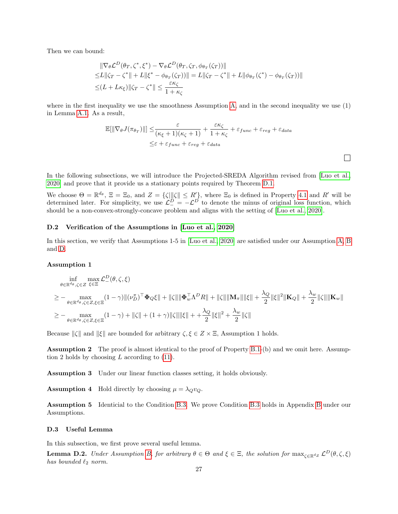Then we can bound:

$$
\|\nabla_{\theta} \mathcal{L}^{D}(\theta_{T}, \zeta^{*}, \xi^{*}) - \nabla_{\theta} \mathcal{L}^{D}(\theta_{T}, \zeta_{T}, \phi_{\theta_{T}}(\zeta_{T}))\|
$$
  
\n
$$
\leq L \|\zeta_{T} - \zeta^{*}\| + L \|\xi^{*} - \phi_{\theta_{T}}(\zeta_{T}))\| = L \|\zeta_{T} - \zeta^{*}\| + L \|\phi_{\theta_{T}}(\zeta^{*}) - \phi_{\theta_{T}}(\zeta_{T}))\|
$$
  
\n
$$
\leq (L + L\kappa_{\xi}) \|\zeta_{T} - \zeta^{*}\| \leq \frac{\varepsilon \kappa_{\zeta}}{1 + \kappa_{\zeta}}
$$

where in the first inequality we use the smoothness Assumption [A,](#page-3-4) and in the second inequality we use (1) in Lemma [A.1.](#page-11-1) As a result,

$$
\mathbb{E}[\|\nabla_{\theta}J(\pi_{\theta_T})\|] \leq \frac{\varepsilon}{(\kappa_{\xi}+1)(\kappa_{\zeta}+1)} + \frac{\varepsilon \kappa_{\zeta}}{1+\kappa_{\zeta}} + \varepsilon_{func} + \varepsilon_{reg} + \varepsilon_{data}
$$
  

$$
\leq \varepsilon + \varepsilon_{func} + \varepsilon_{reg} + \varepsilon_{data}
$$

 $\Box$ 

In the following subsections, we will introduce the Projected-SREDA Algorithm revised from [\[Luo et al.,](#page-10-11) [2020\]](#page-10-11) and prove that it provide us a stationary points required by Theorem [D.1.](#page-25-3)

We choose  $\Theta = \mathbb{R}^{d_{\theta}}, \ \Xi = \Xi_0$ , and  $Z = \{\zeta | ||\zeta|| \leq R'\}$ , where  $\Xi_0$  is defined in Property [4.1](#page-5-1) and R' will be determined later. For simplicity, we use  $\mathcal{L}_{-}^{D} = -\mathcal{L}^{D}$  to denote the minus of original loss function, which should be a non-convex-strongly-concave problem and aligns with the setting of [\[Luo et al., 2020\]](#page-10-11).

### D.2 Verification of the Assumptions in [\[Luo et al., 2020\]](#page-10-11)

In this section, we verify that Assumptions 1-5 in [\[Luo et al., 2020\]](#page-10-11) are satisfied under our Assumption [A,](#page-3-4) [B](#page-3-2) and [D.](#page-3-6)

### Assumption 1

$$
\begin{split} & \inf_{\theta \in \mathbb{R}^{d_{\theta}}, \zeta \in Z} \max_{\xi \in \Xi} \mathcal{L}_{-}^{D}(\theta, \zeta, \xi) \\ & \geq - \max_{\theta \in \mathbb{R}^{d_{\theta}}, \zeta \in Z, \xi \in \Xi} (1 - \gamma) \| (\nu_{D}^{\pi})^{\top} \Phi_{Q} \xi \| + \| \zeta \| \| \Phi_{w}^{\top} \Lambda^{D} R \| + \| \zeta \| \| \mathbf{M}_{\pi} \| \| \xi \| + \frac{\lambda_{Q}}{2} \| \xi \|^2 \| \mathbf{K}_{Q} \| + \frac{\lambda_{w}}{2} \| \zeta \| \| \mathbf{K}_{w} \| \\ & \geq - \max_{\theta \in \mathbb{R}^{d_{\theta}}, \zeta \in Z, \xi \in \Xi} (1 - \gamma) + \| \zeta \| + (1 + \gamma) \| \zeta \| \| \xi \| + + \frac{\lambda_{Q}}{2} \| \xi \|^2 + \frac{\lambda_{w}}{2} \| \zeta \| \end{split}
$$

Because  $\|\zeta\|$  and  $\|\xi\|$  are bounded for arbitrary  $\zeta, \xi \in Z \times \Xi$ , Assumption 1 holds.

Assumption 2 The proof is almost identical to the proof of Property [B.1-](#page-12-0)(b) and we omit here. Assumption 2 holds by choosing  $L$  according to  $(11)$ .

Assumption 3 Under our linear function classes setting, it holds obviously.

**Assumption 4** Hold directly by choosing  $\mu = \lambda_Q v_Q$ .

Assumption 5 Identicial to the Condition [B.3.](#page-15-0) We prove Condition [B.3](#page-15-0) holds in Appendix [B](#page-12-1) under our Assumptions.

### D.3 Useful Lemma

In this subsection, we first prove several useful lemma.

**Lemma D.2.** Under Assumption [B,](#page-3-2) for arbitrary  $\theta \in \Theta$  and  $\xi \in \Xi$ , the solution for  $\max_{\zeta \in \mathbb{R}^d} \mathcal{L}^D(\theta, \zeta, \xi)$ has bounded  $\ell_2$  norm.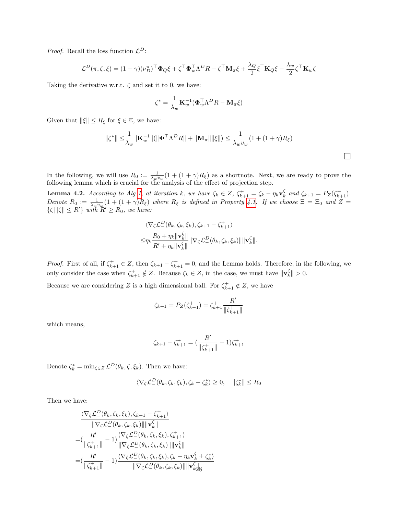*Proof.* Recall the loss function  $\mathcal{L}^D$ :

$$
\mathcal{L}^{D}(\pi,\zeta,\xi) = (1-\gamma)(\nu_{D}^{\pi})^{\top}\Phi_{Q}\xi + \zeta^{\top}\Phi_{w}^{\top}\Lambda^{D}R - \zeta^{\top}\mathbf{M}_{\pi}\xi + \frac{\lambda_{Q}}{2}\xi^{\top}\mathbf{K}_{Q}\xi - \frac{\lambda_{w}}{2}\zeta^{\top}\mathbf{K}_{w}\zeta
$$

Taking the derivative w.r.t.  $\zeta$  and set it to 0, we have:

$$
\zeta^* = \frac{1}{\lambda_w} \mathbf{K}_w^{-1} (\boldsymbol{\Phi}_w^{\top} \boldsymbol{\Lambda}^D R - \mathbf{M}_\pi \boldsymbol{\xi})
$$

Given that  $\|\xi\| \leq R_{\xi}$  for  $\xi \in \Xi$ , we have:

$$
\|\zeta^*\| \leq \frac{1}{\lambda_w} \|\mathbf{K}_w^{-1}\| (\|\mathbf{\Phi}^\top \Lambda^D R\| + \|\mathbf{M}_\pi\| \|\xi\|) \leq \frac{1}{\lambda_w v_w} (1 + (1 + \gamma)R_\xi)
$$

 $\Box$ 

In the following, we will use  $R_0 := \frac{1}{\lambda_w v_w} (1 + (1 + \gamma)R_\xi)$  as a shortnote. Next, we are ready to prove the following lemma which is crucial for the analysis of the effect of projection step.

**Lemma 4.2.** According to Alg [1,](#page-6-1) at iteration k, we have  $\zeta_k \in Z$ ,  $\zeta_{k+1}^+ = \zeta_k - \eta_k \mathbf{v}_k^{\zeta}$  and  $\zeta_{k+1} = P_Z(\zeta_{k+1}^+).$ Denote  $R_0 := \frac{1}{\lambda_w v_w} (1 + (1 + \gamma)R_\xi)$  where  $R_\xi$  is defined in Property [4.1.](#page-5-1) If we choose  $\Xi = \Xi_0$  and  $Z =$  $\{\zeta\|\zeta\| \leq R'\}\ \text{with}\ R' \geq R_0, \text{ we have:}$ 

$$
\langle \nabla_{\zeta} \mathcal{L}_{-}^{D}(\theta_{k}, \zeta_{k}, \xi_{k}), \zeta_{k+1} - \zeta_{k+1}^{+} \rangle \leq \eta_{k} \frac{R_{0} + \eta_{k} ||\mathbf{v}_{k}^{\zeta}||}{R' + \eta_{k} ||\mathbf{v}_{k}^{\zeta}||} ||\nabla_{\zeta} \mathcal{L}_{-}^{D}(\theta_{k}, \zeta_{k}, \xi_{k})|| ||\mathbf{v}_{k}^{\zeta}||.
$$

*Proof.* First of all, if  $\zeta_{k+1}^+ \in Z$ , then  $\zeta_{k+1} - \zeta_{k+1}^+ = 0$ , and the Lemma holds. Therefore, in the following, we only consider the case when  $\zeta_{k+1}^+ \notin Z$ . Because  $\zeta_k \in Z$ , in the case, we must have  $\|\mathbf{v}_k^{\zeta}\| > 0$ .

Because we are considering Z is a high dimensional ball. For  $\zeta_{k+1}^+ \notin Z$ , we have

$$
\zeta_{k+1} = P_Z(\zeta_{k+1}^+) = \zeta_{k+1}^+ \frac{R'}{\|\zeta_{k+1}^+\|}
$$

which means,

$$
\zeta_{k+1} - \zeta_{k+1}^+ = \left(\frac{R'}{\|\zeta_{k+1}^+\|} - 1\right)\zeta_{k+1}^+
$$

Denote  $\zeta_k^* = \min_{\zeta \in Z} \mathcal{L}^D_-(\theta_k, \zeta, \xi_k)$ . Then we have:

$$
\langle \nabla_{\zeta} \mathcal{L}_{-}^{D}(\theta_k, \zeta_k, \xi_k), \zeta_k - \zeta_k^* \rangle \ge 0, \quad \|\zeta_k^*\| \le R_0
$$

Then we have:

$$
\frac{\langle \nabla_{\zeta} \mathcal{L}_{-}^{D}(\theta_{k}, \zeta_{k}, \xi_{k}), \zeta_{k+1} - \zeta_{k+1}^{+} \rangle}{\|\nabla_{\zeta} \mathcal{L}_{-}^{D}(\theta_{k}, \zeta_{k}, \xi_{k})\| \|\mathbf{v}_{k}^{\zeta}\|} \n= (\frac{R'}{\|\zeta_{k+1}^{+}\|} - 1) \frac{\langle \nabla_{\zeta} \mathcal{L}_{-}^{D}(\theta_{k}, \zeta_{k}, \xi_{k}), \zeta_{k+1}^{+} \rangle}{\|\nabla_{\zeta} \mathcal{L}_{-}^{D}(\theta_{k}, \zeta_{k}, \xi_{k})\| \|\mathbf{v}_{k}^{\zeta}\|} \n= (\frac{R'}{\|\zeta_{k+1}^{+}\|} - 1) \frac{\langle \nabla_{\zeta} \mathcal{L}_{-}^{D}(\theta_{k}, \zeta_{k}, \xi_{k}), \zeta_{k} - \eta_{k} \mathbf{v}_{k}^{\zeta} \pm \zeta_{k}^{*} \rangle}{\|\nabla_{\zeta} \mathcal{L}_{-}^{D}(\theta_{k}, \zeta_{k}, \xi_{k})\| \|\mathbf{v}_{k}^{\zeta}\|_{8}}
$$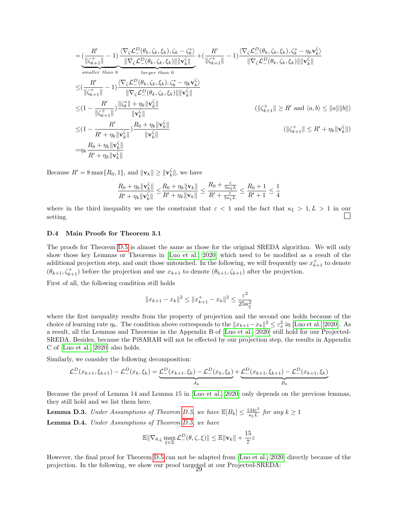$$
\begin{split}\n&= \underbrace{\left(\frac{R'}{\|\zeta_{k+1}^+\|} - 1\right)}_{smaller \; than \; 0} \underbrace{\frac{\langle \nabla_{\zeta} \mathcal{L}_-^D(\theta_k, \zeta_k, \xi_k), \zeta_k - \zeta_k^* \rangle}_{smaller \; than \; 0} + \left(\frac{R'}{\|\zeta_{k+1}^+\|} - 1\right) \frac{\langle \nabla_{\zeta} \mathcal{L}_-^D(\theta_k, \zeta_k, \xi_k), \zeta_k^* - \eta_k \mathbf{v}_k^{\zeta} \rangle}{\|\nabla_{\zeta} \mathcal{L}_-^D(\theta_k, \zeta_k, \xi_k)\| \|\mathbf{v}_k^{\zeta}\|} \\
&\leq \left(\frac{R'}{\|\zeta_{k+1}^+\|} - 1\right) \frac{\langle \nabla_{\zeta} \mathcal{L}_-^D(\theta_k, \zeta_k, \xi_k), \zeta_k^* - \eta_k \mathbf{v}_k^{\zeta} \rangle}{\|\nabla_{\zeta} \mathcal{L}_-^D(\theta_k, \zeta_k, \xi_k)\| \|\mathbf{v}_k^{\zeta}\|} \\
&\leq (1 - \frac{R'}{\|\zeta_{k+1}^+\|} ) \frac{\|\zeta_k^*\| + \eta_k \|\mathbf{v}_k^{\zeta}\|}{\|\mathbf{v}_k^{\zeta}\|} \\
&\leq (1 - \frac{R'}{R' + \eta_k \|\mathbf{v}_k^{\zeta}\|}) \frac{R_0 + \eta_k \|\mathbf{v}_k^{\zeta}\|}{\|\mathbf{v}_k^{\zeta}\|} \\
&= \eta_k \frac{R_0 + \eta_k \|\mathbf{v}_k^{\zeta}\|}{R' + \eta_k \|\mathbf{v}_k^{\zeta}\|} \\
&= \eta_k \frac{R_0 + \eta_k \|\mathbf{v}_k^{\zeta}\|}{R' + \eta_k \|\mathbf{v}_k^{\zeta}\|}\n\end{split}
$$

Because  $R' = 8 \max\{R_0, 1\}$ , and  $\|\mathbf{v}_k\| \ge \|\mathbf{v}_k^{\zeta}\|$ , we have

$$
\frac{R_0+\eta_k\|{\bf v}_k^\zeta\|}{R'+\eta_k\|{\bf v}_k^\zeta\|}\leq\!\frac{R_0+\eta_k\|{\bf v}_k\|}{R'+\eta_k\|{\bf v}_k\|}\leq\frac{R_0+\frac{\varepsilon}{5\kappa_\xi L}}{R'+\frac{\varepsilon}{5\kappa_\xi L}}\leq\frac{R_0+1}{R'+1}\leq\frac{1}{4}
$$

where in the third inequality we use the constraint that  $\varepsilon < 1$  and the fact that  $\kappa_{\xi} > 1, L > 1$  in our setting.

### D.4 Main Proofs for Theorem 3.1

The proofs for Theorem [D.5](#page-29-0) is almost the same as those for the original SREDA algorithm. We will only show those key Lemmas or Theorems in [\[Luo et al., 2020\]](#page-10-11) which need to be modified as a result of the additional projection step, and omit those untouched. In the following, we will frequently use  $x_{k+1}^+$  to denote  $(\theta_{k+1}, \zeta_{k+1}^+)$  before the projection and use  $x_{k+1}$  to denote  $(\theta_{k+1}, \zeta_{k+1})$  after the projection.

First of all, the following condition still holds

$$
||x_{k+1} - x_k||^2 \le ||x_{k+1}^+ - x_k||^2 \le \frac{\varepsilon^2}{25\kappa_{\xi}^2}
$$

where the first inequality results from the property of projection and the second one holds because of the choice of learning rate  $\eta_k$ . The condition above corresponds to the  $||x_{k+1}-x_k||^2 \leq \varepsilon_x^2$  in [\[Luo et al., 2020\]](#page-10-11). As a result, all the Lemmas and Theorems in the Appendix B of [\[Luo et al., 2020\]](#page-10-11) still hold for our Projected-SREDA. Besides, because the PiSARAH will not be effected by our projection step, the results in Appendix C of [\[Luo et al., 2020\]](#page-10-11) also holds.

Similarly, we consider the following decomposition:

$$
\mathcal{L}_{-}^{D}(x_{k+1},\xi_{k+1}) - \mathcal{L}_{-}^{D}(x_{k},\xi_{k}) = \underbrace{\mathcal{L}_{-}^{D}(x_{k+1},\xi_{k}) - \mathcal{L}_{-}^{D}(x_{k},\xi_{k})}_{A_{k}} + \underbrace{\mathcal{L}_{-}^{D}(x_{k+1},\xi_{k+1}) - \mathcal{L}_{-}^{D}(x_{k+1},\xi_{k})}_{B_{k}}
$$

Because the proof of Lemma 14 and Lemma 15 in [\[Luo et al., 2020\]](#page-10-11) only depends on the previous lemmas, they still hold and we list them here.

<span id="page-28-0"></span>**Lemma D.3.** Under Assumptions of Theorem [D.5,](#page-29-0) we have  $\mathbb{E}[B_k] \leq \frac{134\varepsilon^2}{\kappa L}$  $\frac{34\varepsilon^2}{\kappa_{\xi}L}$  for any  $k \geq 1$ Lemma D.4. Under Assumptions of Theorem [D.5,](#page-29-0) we have

$$
\mathbb{E}\|\nabla_{\theta,\zeta}\max_{\xi\in\Xi}\mathcal{L}^D_-(\theta,\zeta,\xi)\| \le \mathbb{E}\|\mathbf{v}_k\| + \frac{15}{7}\varepsilon
$$

However, the final proof for Theorem [D.5](#page-29-0) can not be adapted from [\[Luo et al., 2020\]](#page-10-11) directly because of the projection. In the following, we show our proof targeted at our Projected-SREDA: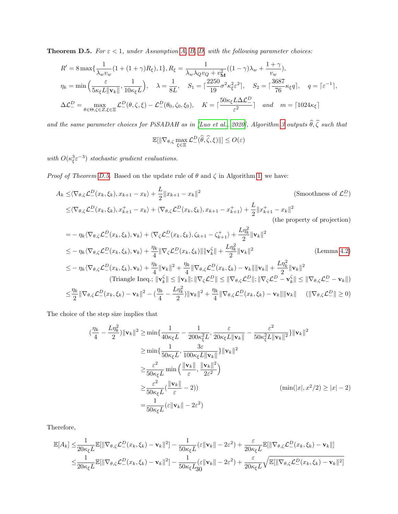<span id="page-29-0"></span>**Theorem D.5.** For  $\varepsilon < 1$ , under Assumption [A,](#page-3-4) [B,](#page-3-2) [D,](#page-3-6) with the following parameter choices:

$$
R' = 8 \max \{ \frac{1}{\lambda_w v_w} (1 + (1 + \gamma) R_{\xi}), 1 \}, R_{\xi} = \frac{1}{\lambda_w \lambda_Q v_Q + v_M^2} ((1 - \gamma) \lambda_w + \frac{1 + \gamma}{v_w}),
$$
  
\n
$$
\eta_k = \min \left( \frac{\varepsilon}{5 \kappa_{\xi} L \| \mathbf{v}_k \|}, \frac{1}{10 \kappa_{\xi} L} \right), \quad \lambda = \frac{1}{8L}, \quad S_1 = \lceil \frac{2250}{19} \sigma^2 \kappa_{\xi}^2 \varepsilon^2 \rceil, \quad S_2 = \lceil \frac{3687}{76} \kappa_{\xi} q \rceil, \quad q = \lceil \varepsilon^{-1} \rceil,
$$
  
\n
$$
\Delta \mathcal{L}_-^D = \max_{\theta \in \Theta, \zeta \in Z, \xi \in \Xi} \mathcal{L}_-^D(\theta, \zeta, \xi) - \mathcal{L}_-^D(\theta_0, \zeta_0, \xi_0), \quad K = \lceil \frac{50 \kappa_{\xi} L \Delta \mathcal{L}_-^D}{\varepsilon^2} \rceil \quad and \quad m = \lceil 1024 \kappa_{\xi} \rceil
$$

and the same parameter choices for PiSADAH as in [\[Luo et al., 2020\]](#page-10-11), Algorithm [3](#page-7-0) outputs  $\widehat{\theta}, \widehat{\zeta}$  such that

$$
\mathbb{E}[\|\nabla_{\theta,\zeta}\max_{\xi\in\Xi}\mathcal{L}^D_-(\widehat{\theta},\widehat{\zeta},\xi)\|]\leq O(\varepsilon)
$$

with  $O(\kappa_{\xi}^3 \varepsilon^{-3})$  stochastic gradient evaluations.

*Proof of Theorem [D.5.](#page-29-0)* Based on the update rule of  $\theta$  and  $\zeta$  in Algorithm [1,](#page-6-1) we have:

$$
A_k \leq \langle \nabla_{\theta,\zeta} \mathcal{L}_-^D(x_k, \xi_k), x_{k+1} - x_k \rangle + \frac{L}{2} \|x_{k+1} - x_k\|^2
$$
\n(Smoothness of  $\mathcal{L}_-^D$ )  
\n
$$
\leq \langle \nabla_{\theta,\zeta} \mathcal{L}_-^D(x_k, \xi_k), x_{k+1}^+ - x_k \rangle + \langle \nabla_{\theta,\zeta} \mathcal{L}_-^D(x_k, \xi_k), x_{k+1} - x_{k+1}^+ \rangle + \frac{L}{2} \|x_{k+1}^+ - x_k\|^2
$$
\n(the property of projection)  
\n
$$
= -\eta_k \langle \nabla_{\theta,\zeta} \mathcal{L}_-^D(x_k, \xi_k), \mathbf{v}_k \rangle + \langle \nabla_{\zeta} \mathcal{L}_-^D(x_k, \xi_k), \zeta_{k+1} - \zeta_{k+1}^+ \rangle + \frac{L\eta_k^2}{2} \|\mathbf{v}_k\|^2
$$
\n(Smoothness of  $\mathcal{L}_-^D$ )

$$
\leq -\eta_k \langle \nabla_{\theta,\zeta} \mathcal{L}_-^D(x_k,\xi_k), \mathbf{v}_k \rangle + \frac{\eta_k}{4} \|\nabla_{\zeta} \mathcal{L}_-^D(x_k,\xi_k)\| \|\mathbf{v}_k^{\zeta}\| + \frac{L\eta_k^2}{2} \|\mathbf{v}_k\|^2
$$
\n
$$
\leq -\eta_k \langle \nabla_{\theta,\zeta} \mathcal{L}_-^D(x_k,\xi_k), \mathbf{v}_k \rangle + \frac{\eta_k}{4} \|\mathbf{v}_k\|^2 + \frac{\eta_k}{4} \|\nabla_{\theta,\zeta} \mathcal{L}_-^D(x_k,\xi_k) - \mathbf{v}_k\| \|\mathbf{v}_k\| + \frac{L\eta_k^2}{2} \|\mathbf{v}_k\|^2
$$
\n(Trangle In the image,  $\|\mathbf{v}_k^{\zeta}\| \leq \|\mathbf{v}_k\|; \|\nabla_{\zeta} \mathcal{L}_-^D(x_k,\xi_k) - \mathbf{v}_k\| \|\mathbf{v}_k\| + \frac{L\eta_k^2}{2} \|\mathbf{v}_k\|^2$ \n
$$
\leq \frac{\eta_k}{2} \|\nabla_{\theta,\zeta} \mathcal{L}_-^D(x_k,\xi_k) - \mathbf{v}_k\|^2 - (\frac{\eta_k}{4} - \frac{L\eta_k^2}{2}) \|\mathbf{v}_k\|^2 + \frac{\eta_k}{4} \|\nabla_{\theta,\zeta} \mathcal{L}_-^D(x_k,\xi_k) - \mathbf{v}_k\| \|\mathbf{v}_k\| \quad (\|\nabla_{\theta,\zeta} \mathcal{L}_-^D\| \geq 0)
$$

The choice of the step size implies that

$$
(\frac{\eta_k}{4} - \frac{L\eta_k^2}{2}) \|\mathbf{v}_k\|^2 \ge \min\{\frac{1}{40\kappa_{\xi}L} - \frac{1}{200\kappa_{\xi}^2L}, \frac{\varepsilon}{20\kappa_{\xi}L \|\mathbf{v}_k\|} - \frac{\varepsilon^2}{50\kappa_{\xi}^2L \|\mathbf{v}_k\|^2}\}\|\mathbf{v}_k\|^2
$$
  
\n
$$
\ge \min\{\frac{1}{50\kappa_{\xi}L}, \frac{3\varepsilon}{100\kappa_{\xi}L \|\mathbf{v}_k\|^2}\}\|\mathbf{v}_k\|^2
$$
  
\n
$$
\ge \frac{\varepsilon^2}{50\kappa_{\xi}L} \min\left(\frac{\|\mathbf{v}_k\|}{\varepsilon}, \frac{\|\mathbf{v}_k\|^2}{2\varepsilon^2}\right)
$$
  
\n
$$
\ge \frac{\varepsilon^2}{50\kappa_{\xi}L}(\frac{\|\mathbf{v}_k\|}{\varepsilon} - 2))
$$
  
\n
$$
= \frac{1}{50\kappa_{\xi}L}(\varepsilon \|\mathbf{v}_k\| - 2\varepsilon^2)
$$
  
\n
$$
( \min(|x|, x^2/2) \ge |x| - 2 )
$$

Therefore,

$$
\mathbb{E}[A_k] \leq \frac{1}{20\kappa_{\xi}L} \mathbb{E}[\|\nabla_{\theta,\zeta} \mathcal{L}_-^D(x_k,\xi_k) - \mathbf{v}_k\|^2] - \frac{1}{50\kappa_{\xi}L} (\varepsilon \|\mathbf{v}_k\| - 2\varepsilon^2) + \frac{\varepsilon}{20\kappa_{\xi}L} \mathbb{E}[\|\nabla_{\theta,\zeta} \mathcal{L}_-^D(x_k,\xi_k) - \mathbf{v}_k\|] \n\leq \frac{1}{20\kappa_{\xi}L} \mathbb{E}[\|\nabla_{\theta,\zeta} \mathcal{L}_-^D(x_k,\xi_k) - \mathbf{v}_k\|^2] - \frac{1}{50\kappa_{\xi}L} (\varepsilon \|\mathbf{v}_k\| - 2\varepsilon^2) + \frac{\varepsilon}{20\kappa_{\xi}L} \sqrt{\mathbb{E}[\|\nabla_{\theta,\zeta} \mathcal{L}_-^D(x_k,\xi_k) - \mathbf{v}_k\|^2]}
$$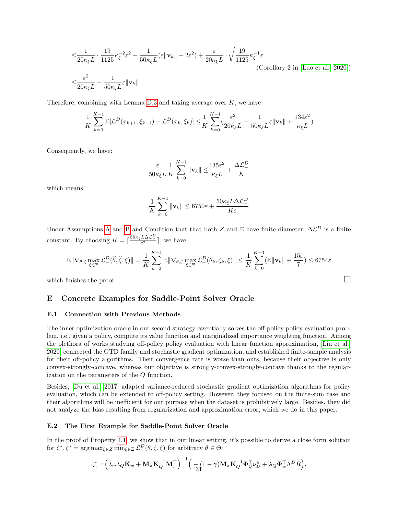$$
\leq \frac{1}{20\kappa_{\xi}L} \cdot \frac{19}{1125} \kappa_{\xi}^{-2} \varepsilon^{2} - \frac{1}{50\kappa_{\xi}L} (\varepsilon \|\mathbf{v}_{k}\| - 2\varepsilon^{2}) + \frac{\varepsilon}{20\kappa_{\xi}L} \cdot \sqrt{\frac{19}{1125}} \kappa_{\xi}^{-1} \varepsilon
$$
\n(Corollary 2 in [Luo et al., 2020])\n
$$
\leq \frac{\varepsilon^{2}}{20\kappa_{\xi}L} - \frac{1}{50\kappa_{\xi}L} \varepsilon \|\mathbf{v}_{k}\|
$$

Therefore, combining with Lemma [D.3](#page-28-0) and taking average over  $K$ , we have

$$
\frac{1}{K}\sum_{k=0}^{K-1}\mathbb{E}[\mathcal{L}_{-}^D(x_{k+1},\xi_{k+1})-\mathcal{L}_{-}^D(x_k,\xi_k)] \leq \frac{1}{K}\sum_{k=0}^{K-1}(\frac{\varepsilon^2}{20\kappa_{\xi}L}-\frac{1}{50\kappa_{\xi}L}\varepsilon\|\mathbf{v}_k\|+\frac{134\varepsilon^2}{\kappa_{\xi}L})
$$

Consequently, we have:

$$
\frac{\varepsilon}{50\kappa_{\xi}L}\frac{1}{K}\sum_{k=0}^{K-1}\|\mathbf{v}_k\| \le \frac{135\varepsilon^2}{\kappa_{\xi}L} + \frac{\Delta\mathcal{L}^D_-}{K}
$$

which means

$$
\frac{1}{K} \sum_{k=0}^{K-1} \|\mathbf{v}_k\| \le 6750\varepsilon + \frac{50\kappa_{\xi} L\Delta\mathcal{L}_-^D}{K\varepsilon}
$$

Under [A](#page-3-4)ssumptions A and [B](#page-3-2) and Condition that that both Z and  $\Xi$  have finite diameter,  $\Delta \mathcal{L}_{-}^D$  is a finite constant. By choosing  $K = \left\lceil \frac{50\kappa_{\xi} L\Delta\mathcal{L}_{-}^{D}}{\varepsilon^{2}} \right\rceil$ , we have:

$$
\mathbb{E} \|\nabla_{\theta,\zeta} \max_{\xi \in \Xi} \mathcal{L}_{-}^{D}(\widehat{\theta},\widehat{\zeta},\xi)\| = \frac{1}{K} \sum_{k=0}^{K-1} \mathbb{E} \|\nabla_{\theta,\zeta} \max_{\xi \in \Xi} \mathcal{L}_{-}^{D}(\theta_k,\zeta_k,\xi)\| \leq \frac{1}{K} \sum_{k=0}^{K-1} (\mathbb{E} \|\mathbf{v}_k\| + \frac{15\varepsilon}{7}) \leq 6754\varepsilon
$$

which finishes the proof.  $\Box$ 

## <span id="page-30-1"></span>E Concrete Examples for Saddle-Point Solver Oracle

### E.1 Connection with Previous Methods

The inner optimization oracle in our second strategy essentially solves the off-policy policy evaluation problem, i.e., given a policy, compute its value function and marginalized importance weighting function. Among the plethora of works studying off-policy policy evaluation with linear function approximation, [\[Liu et al.,](#page-9-20) [2020\]](#page-9-20) connected the GTD family and stochastic gradient optimization, and established finite-sample analysis for their off-policy algorithms. Their convergence rate is worse than ours, because their objective is only convex-strongly-concave, whereas our objective is strongly-convex-strongly-concave thanks to the regularization on the parameters of the Q function.

Besides, [\[Du et al., 2017\]](#page-9-21) adapted variance-reduced stochastic gradient optimization algorithms for policy evaluation, which can be extended to off-policy setting. However, they focused on the finite-sum case and their algorithms will be inefficient for our purpose when the dataset is prohibitively large. Besides, they did not analyze the bias resulting from regularization and approximation error, which we do in this paper.

#### <span id="page-30-0"></span>E.2 The First Example for Saddle-Point Solver Oracle

In the proof of Property [4.1,](#page-5-1) we show that in our linear setting, it's possible to derive a close form solution for  $\zeta^*, \xi^* = \arg \max_{\zeta \in \mathbb{Z}} \min_{\xi \in \Xi} \mathcal{L}^D(\theta, \zeta, \xi)$  for arbitrary  $\theta \in \Theta$ :

$$
\zeta_{\pi}^* = \left(\lambda_w \lambda_Q \mathbf{K}_w + \mathbf{M}_{\pi} \mathbf{K}_Q^{-1} \mathbf{M}_{\pi}^{\top}\right)^{-1} \Big(\frac{}{-3} \left(1 - \gamma\right) \mathbf{M}_{\pi} \mathbf{K}_Q^{-1} \boldsymbol{\Phi}_Q^{\top} \nu_D^{\pi} + \lambda_Q \boldsymbol{\Phi}_w^{\top} \Lambda^D R\Big),
$$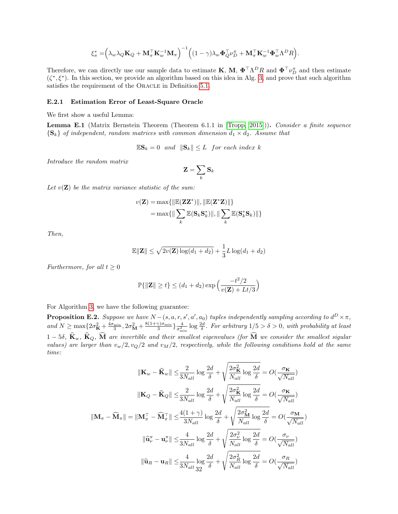$$
\xi_{\pi}^* = \left(\lambda_w \lambda_Q \mathbf{K}_Q + \mathbf{M}_{\pi}^{\top} \mathbf{K}_w^{-1} \mathbf{M}_{\pi}\right)^{-1} \left((1 - \gamma) \lambda_w \boldsymbol{\Phi}_Q^{\top} \boldsymbol{\nu}_D^{\pi} + \mathbf{M}_{\pi}^{\top} \mathbf{K}_w^{-1} \boldsymbol{\Phi}_w^{\top} \boldsymbol{\Lambda}^D R\right).
$$

Therefore, we can directly use our sample data to estimate **K**, **M**,  $\Phi^{\top} \Lambda^D R$  and  $\Phi^{\top} \nu_D^{\pi}$  and then estimate  $(\zeta^*, \xi^*)$ . In this section, we provide an algorithm based on this idea in Alg. [3,](#page-7-0) and prove that such algorithm satisfies the requirement of the ORACLE in Definition [5.1.](#page-6-0)

#### E.2.1 Estimation Error of Least-Square Oracle

We first show a useful Lemma:

Lemma E.1 (Matrix Bernstein Theorem (Theorem 6.1.1 in [\[Tropp, 2015\]](#page-10-21))). Consider a finite sequence  ${\{S_k\}}$  of independent, random matrices with common dimension  $d_1 \times d_2$ . Assume that

$$
\mathbb{E} \mathbf{S}_k = 0 \quad and \quad \|\mathbf{S}_k\| \le L \quad for \ each \ index \ k
$$

Introduce the random matrix

$$
\mathbf{Z}=\sum_k \mathbf{S}_k
$$

Let  $v(\mathbf{Z})$  be the matrix variance statistic of the sum:

$$
v(\mathbf{Z}) = \max{\{\|\mathbb{E}(\mathbf{Z}\mathbf{Z}^*)\|,\|\mathbb{E}(\mathbf{Z}^*\mathbf{Z})\|\}\}
$$

$$
= \max{\{\|\sum_{k}\mathbb{E}(\mathbf{S}_k\mathbf{S}_k^*)\|,\|\sum_{k}\mathbb{E}(\mathbf{S}_k^*\mathbf{S}_k)\|\}}
$$

Then,

$$
\mathbb{E} \|\mathbf{Z}\| \leq \sqrt{2v(\mathbf{Z})\log(d_1+d_2)} + \frac{1}{3}L\log(d_1+d_2)
$$

Furthermore, for all  $t \geq 0$ 

$$
\mathbb{P}\{\|\mathbf{Z}\| \ge t\} \le (d_1 + d_2) \exp\left(\frac{-t^2/2}{v(\mathbf{Z}) + Lt/3}\right)
$$

For Algorithm [3,](#page-7-0) we have the following guarantee:

**Proposition E.2.** Suppose we have  $N-(s, a, r, s', a', a_0)$  tuples independently sampling according to  $d^D \times \pi$ , and  $N \ge \max\{2\sigma_K^2 + \frac{4\sigma_{\min}}{3}, 2\sigma_M^2 + \frac{8(1+\gamma)\sigma_{\min}}{3}\}\frac{4}{\sigma_{\min}^2}\log\frac{2d}{\delta}$ . For arbitrary  $1/5 > \delta > 0$ , with probability at least 1 − 5δ,  $\hat{\mathbf{K}}_w$ ,  $\hat{\mathbf{K}}_Q$ ,  $\widehat{\mathbf{M}}$  are invertible and their smallest eigenvalues (for  $\widehat{\mathbf{M}}$  we consider the smallest sigular values) are larger than  $v_w/2$ ,  $v_Q/2$  and  $v_M/2$ , respectively, while the following conditions hold at the same time:

$$
\|\mathbf{K}_{w} - \hat{\mathbf{K}}_{w}\| \leq \frac{2}{3N_{all}} \log \frac{2d}{\delta} + \sqrt{\frac{2\sigma_{\mathbf{K}}^{2}}{N_{all}} \log \frac{2d}{\delta}} = O(\frac{\sigma_{\mathbf{K}}}{\sqrt{N_{all}}})
$$

$$
\|\mathbf{K}_{Q} - \hat{\mathbf{K}}_{Q}\| \leq \frac{2}{3N_{all}} \log \frac{2d}{\delta} + \sqrt{\frac{2\sigma_{\mathbf{K}}^{2}}{N_{all}} \log \frac{2d}{\delta}} = O(\frac{\sigma_{\mathbf{K}}}{\sqrt{N_{all}}})
$$

$$
\|\mathbf{M}_{\pi} - \widehat{\mathbf{M}}_{\pi}\| = \|\mathbf{M}_{\pi}^{T} - \widehat{\mathbf{M}}_{\pi}^{T}\| \leq \frac{4(1+\gamma)}{3N_{all}} \log \frac{2d}{\delta} + \sqrt{\frac{2\sigma_{\mathbf{M}}^{2}}{N_{all}} \log \frac{2d}{\delta}} = O(\frac{\sigma_{\mathbf{M}}}{\sqrt{N_{all}}})
$$

$$
\|\widehat{\mathbf{u}}_{w}^{\pi} - \mathbf{u}_{w}^{\pi}\| \leq \frac{4}{3N_{all}} \log \frac{2d}{\delta} + \sqrt{\frac{2\sigma_{\nu}^{2}}{N_{all}} \log \frac{2d}{\delta}} = O(\frac{\sigma_{\nu}}{\sqrt{N_{all}}})
$$

$$
\|\widehat{\mathbf{u}}_{R} - \mathbf{u}_{R}\| \leq \frac{4}{3N_{all}} \log \frac{2d}{\delta} + \sqrt{\frac{2\sigma_{R}^{2}}{N_{all}} \log \frac{2d}{\delta}} = O(\frac{\sigma_{R}}{\sqrt{N_{all}}})
$$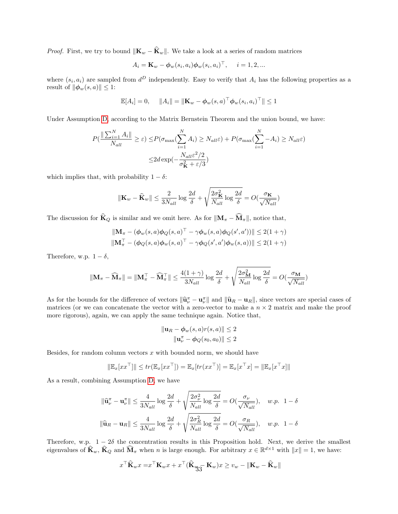*Proof.* First, we try to bound  $\|\mathbf{K}_w - \hat{\mathbf{K}}_w\|$ . We take a look at a series of random matrices

$$
A_i = \mathbf{K}_w - \boldsymbol{\phi}_w(s_i, a_i) \boldsymbol{\phi}_w(s_i, a_i)^\top, \quad i = 1, 2, \dots
$$

where  $(s_i, a_i)$  are sampled from  $d^D$  independently. Easy to verify that  $A_i$  has the following properties as a result of  $\|\boldsymbol{\phi}_w(s, a)\| \leq 1$ :

$$
\mathbb{E}[A_i] = 0, \quad ||A_i|| = ||\mathbf{K}_w - \boldsymbol{\phi}_w(s, a)^\top \boldsymbol{\phi}_w(s_i, a_i)^\top|| \le 1
$$

Under Assumption [D,](#page-3-6) according to the Matrix Bernstein Theorem and the union bound, we have:

$$
P\left(\frac{\|\sum_{i=1}^{N} A_i\|}{N_{all}} \ge \varepsilon\right) \le P(\sigma_{\max}\left(\sum_{i=1}^{N} A_i\right) \ge N_{all}\varepsilon) + P(\sigma_{\max}\left(\sum_{i=1}^{N} - A_i\right) \ge N_{all}\varepsilon)
$$

$$
\le 2d \exp\left(-\frac{N_{all}\varepsilon^2/2}{\sigma_K^2 + \varepsilon/3}\right)
$$

which implies that, with probability  $1 - \delta$ :

$$
\|\mathbf{K}_{w} - \widehat{\mathbf{K}}_{w}\| \le \frac{2}{3N_{all}} \log \frac{2d}{\delta} + \sqrt{\frac{2\sigma_{\mathbf{K}}^{2}}{N_{all}} \log \frac{2d}{\delta}} = O(\frac{\sigma_{\mathbf{K}}}{\sqrt{N_{all}}})
$$

The discussion for  $\widehat{\mathbf{K}}_Q$  is similar and we omit here. As for  $||\mathbf{M}_{\pi} - \widehat{\mathbf{M}}_{\pi}||$ , notice that,

$$
\|\mathbf{M}_{\pi} - (\phi_w(s, a)\phi_Q(s, a)^{\top} - \gamma\phi_w(s, a)\phi_Q(s', a'))\| \le 2(1 + \gamma)\|\mathbf{M}_{\pi}^{\top} - (\phi_Q(s, a)\phi_w(s, a)^{\top} - \gamma\phi_Q(s', a')\phi_w(s, a))\| \le 2(1 + \gamma)
$$

Therefore, w.p.  $1 - \delta$ ,

$$
\|\mathbf{M}_\pi - \widehat{\mathbf{M}}_\pi\| = \|\mathbf{M}_\pi^\top - \widehat{\mathbf{M}}_\pi^\top\| \le \frac{4(1+\gamma)}{3N_{all}}\log\frac{2d}{\delta} + \sqrt{\frac{2\sigma_{\mathbf{M}}^2}{N_{all}}\log\frac{2d}{\delta}} = O(\frac{\sigma_{\mathbf{M}}}{\sqrt{N_{all}}})
$$

As for the bounds for the difference of vectors  $\|\hat{\mathbf{u}}_k^{\pi} - \mathbf{u}_k^{\pi}\|$  and  $\|\hat{\mathbf{u}}_k - \mathbf{u}_k\|$ , since vectors are special cases of metrics (or we can concertant to vector with a gene vector to make a  $n \times 2$  m matrices (or we can concatenate the vector with a zero-vector to make a  $n \times 2$  matrix and make the proof more rigorous), again, we can apply the same technique again. Notice that,

$$
\|\mathbf{u}_R - \phi_w(s, a)r(s, a)\| \le 2
$$
  

$$
\|\mathbf{u}_\nu^\pi - \phi_Q(s_0, a_0)\| \le 2
$$

Besides, for random column vectors  $x$  with bounded norm, we should have

$$
\|\mathbb{E}_x[x x^\top]\| \le tr(\mathbb{E}_x[x x^\top]) = \mathbb{E}_x[tr(xx^\top)] = \mathbb{E}_x[x^\top x] = \|\mathbb{E}_x[x^\top x]\|
$$

As a result, combining Assumption [D,](#page-3-6) we have

$$
\|\widehat{\mathbf{u}}_{\nu}^{\pi} - \mathbf{u}_{\nu}^{\pi}\| \le \frac{4}{3N_{all}} \log \frac{2d}{\delta} + \sqrt{\frac{2\sigma_{\nu}^{2}}{N_{all}} \log \frac{2d}{\delta}} = O(\frac{\sigma_{\nu}}{\sqrt{N_{all}}}), \quad w.p. \quad 1 - \delta
$$
  

$$
\|\widehat{\mathbf{u}}_{R} - \mathbf{u}_{R}\| \le \frac{4}{3N_{all}} \log \frac{2d}{\delta} + \sqrt{\frac{2\sigma_{R}^{2}}{N_{all}} \log \frac{2d}{\delta}} = O(\frac{\sigma_{R}}{\sqrt{N_{all}}}), \quad w.p. \quad 1 - \delta
$$

Therefore, w.p.  $1 - 2\delta$  the concentration results in this Proposition hold. Next, we derive the smallest eigenvalues of  $\hat{\mathbf{K}}_w$ ,  $\hat{\mathbf{K}}_Q$  and  $\widehat{\mathbf{M}}_{\pi}$  when n is large enough. For arbitrary  $x \in \mathbb{R}^{d \times 1}$  with  $||x|| = 1$ , we have:

$$
x^{\top} \widehat{\mathbf{K}}_w x = x^{\top} \mathbf{K}_w x + x^{\top} (\widehat{\mathbf{K}}_{\mathbf{W} \mathbf{S}} - \mathbf{K}_w) x \ge v_w - \|\mathbf{K}_w - \widehat{\mathbf{K}}_w\|
$$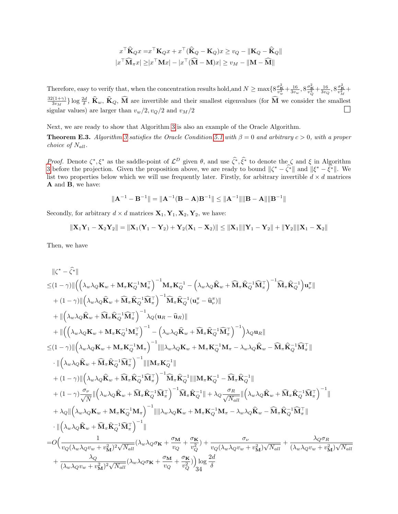$$
x^{\top} \widehat{\mathbf{K}}_{Q} x = x^{\top} \mathbf{K}_{Q} x + x^{\top} (\widehat{\mathbf{K}}_{Q} - \mathbf{K}_{Q}) x \ge v_{Q} - \|\mathbf{K}_{Q} - \widehat{\mathbf{K}}_{Q}\|
$$

$$
x^{\top} \widehat{\mathbf{M}}_{\pi} x \ge |x^{\top} \mathbf{M} x| - |x^{\top} (\widehat{\mathbf{M}} - \mathbf{M}) x| \ge v_{M} - \|\mathbf{M} - \widehat{\mathbf{M}}\|
$$

Therefore, easy to verify that, when the concentration results hold, and  $N \ge \max\{8\frac{\sigma_{\mathbf{k}}^2}{v_w^2} + \frac{16}{3v_w}, 8\frac{\sigma_{\mathbf{k}}^2}{v_Q^2} + \frac{16}{3v_Q}, 8\frac{\sigma_{\mathbf{k}}^2}{v_M^2} + \frac{1}{3v_w}, \sigma_{\mathbf{k}}^2 \ge \sigma_{\mathbf{k}}^2\}$  $32(1+\gamma)$  $\frac{2(1+\gamma)}{3v_M}$  log  $\frac{2d}{\delta}$ ,  $\hat{\mathbf{K}}_w$ ,  $\hat{\mathbf{K}}_Q$ ,  $\hat{\mathbf{M}}$  are invertible and their smallest eigenvalues (for  $\hat{\mathbf{M}}$  we consider the smallest sigular values) are larger than  $v_w/2$ ,  $v_Q/2$  and  $v_M/2$ 

Next, we are ready to show that Algorithm [3](#page-7-0) is also an example of the Oracle Algorithm.

**Theorem E.3.** Algorithm [3](#page-7-0) satisfies the Oracle Condition [5.1](#page-6-0) with  $\beta = 0$  and arbitrary  $c > 0$ , with a proper choice of  $N_{all}$ .

*Proof.* Denote  $\zeta^*, \xi^*$  as the saddle-point of  $\mathcal{L}^D$  given θ, and use  $\hat{\zeta}^*, \hat{\xi}^*$  to denote the  $\zeta$  and  $\xi$  in Algorithm [3](#page-7-0) before the projection. Given the proposition above, we are ready to bound  $\|\zeta$ list two properties below which we will use frequently later. Firstly, for arbitrary invertible  $d \times d$  matrices A and B, we have:

$$
\|\mathbf{A}^{-1} - \mathbf{B}^{-1}\| = \|\mathbf{A}^{-1}(\mathbf{B} - \mathbf{A})\mathbf{B}^{-1}\| \le \|\mathbf{A}^{-1}\|\|\mathbf{B} - \mathbf{A}\|\|\mathbf{B}^{-1}\|
$$

Secondly, for arbitrary  $d \times d$  matrices  $\mathbf{X}_1, \mathbf{Y}_1, \mathbf{X}_2, \mathbf{Y}_2$ , we have:

 $\sqrt{2}$ 

$$
\|\mathbf{X}_1\mathbf{Y}_1-\mathbf{X}_2\mathbf{Y}_2\| = \|\mathbf{X}_1(\mathbf{Y}_1-\mathbf{Y}_2)+\mathbf{Y}_2(\mathbf{X}_1-\mathbf{X}_2)\| \le \|\mathbf{X}_1\|\|\mathbf{Y}_1-\mathbf{Y}_2\| + \|\mathbf{Y}_2\|\|\mathbf{X}_1-\mathbf{X}_2\|
$$

Then, we have

$$
\label{eq:32} \begin{split} &\|\zeta^*-\widehat{\zeta^*}\|\\ \leq &(1-\gamma)\|\Big(\Big(\lambda_w\lambda_Q\mathbf{K}_w+\mathbf{M}_\pi\mathbf{K}_Q^{-1}\mathbf{M}_\pi^\top\Big)^{-1}\mathbf{M}_\pi\mathbf{K}_Q^{-1}-\Big(\lambda_w\lambda_Q\widehat{\mathbf{K}}_w+\widehat{\mathbf{M}}_\pi\widehat{\mathbf{K}}_Q^{-1}\widehat{\mathbf{M}}_\pi^\top\Big)^{-1}\widehat{\mathbf{M}}_\pi\widehat{\mathbf{K}}_Q^{-1}\widehat{\mathbf{M}}_\pi^\top\Big)^{-1}\widehat{\mathbf{M}}_\pi\widehat{\mathbf{K}}_Q^{-1}(\mathbf{M}_\pi^\top\Big)^{-1}\widehat{\mathbf{M}}_\pi\widehat{\mathbf{K}}_Q^{-1}(\mathbf{M}_\pi^\top\Big)^{-1}\widehat{\mathbf{M}}_\pi\widehat{\mathbf{K}}_Q^{-1}(\mathbf{M}_\pi^\top\Big)^{-1}\widehat{\mathbf{M}}_\pi\widehat{\mathbf{K}}_Q^{-1}(\mathbf{M}_\pi^\top\Big)\\ &+\| \Big(\lambda_w\lambda_Q\widehat{\mathbf{K}}_w+\widehat{\mathbf{M}}_\pi\widehat{\mathbf{K}}_Q^{-1}\widehat{\mathbf{M}}_\pi^\top\Big)^{-1}\lambda_Q(\mathbf{u}_R-\widehat{\mathbf{u}}_R)\|\\ &+\| \Big(\Big(\lambda_w\lambda_Q\mathbf{K}_w+\mathbf{M}_\pi\mathbf{K}_Q^{-1}\mathbf{M}_\pi^\top\Big)^{-1}-\Big(\lambda_w\lambda_Q\widehat{\mathbf{K}}_w+\widehat{\mathbf{M}}_\pi\widehat{\mathbf{K}}_Q^{-1}\widehat{\mathbf{M}}_\pi^\top\Big)^{-1}\Big)\lambda_Q\mathbf{u}_R\|\\ \leq& (1-\gamma)\| \Big(\lambda_w\lambda_Q\widehat{\mathbf{K}}_w+\mathbf{M}_\pi\mathbf{K}_Q^{-1}\widehat{\mathbf{M}}_\pi^\top\Big)^{-1}\|\|\mathbf{M}_w\lambda_Q\mathbf{K}_w+\mathbf{M}_\pi\mathbf{K}_Q^{-1}\mathbf{M}_\pi-\lambda_w\lambda_Q\widehat{\mathbf{K}}_w-\widehat{\mathbf{M}}_\pi\widehat{\mathbf{K}}_Q^{-1}\widehat{\mathbf{M}}_\pi^\top\|\\ &\cdot\| \Big(\lambda_w
$$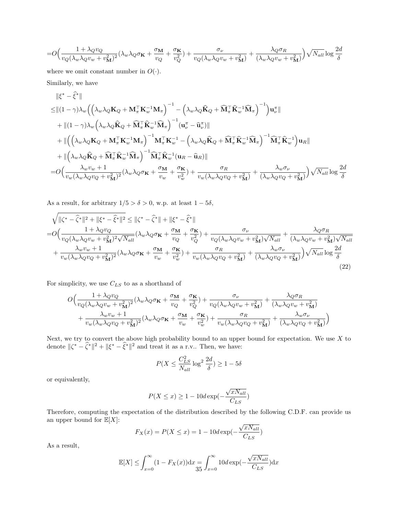$$
=O\Big(\frac{1+\lambda_Qv_Q}{v_Q(\lambda_w\lambda_Qv_w+v_M^2)^2}(\lambda_w\lambda_Q\sigma_{\mathbf{K}}+\frac{\sigma_{\mathbf{M}}}{v_Q}+\frac{\sigma_{\mathbf{K}}}{v_Q^2})+\frac{\sigma_{\nu}}{v_Q(\lambda_w\lambda_Qv_w+v_M^2)}+\frac{\lambda_Q\sigma_{R}}{(\lambda_w\lambda_Qv_w+v_M^2)}\Big)\sqrt{N_{all}}\log\frac{2d}{\delta}
$$

where we omit constant number in  $O(·)$ .

Similarly, we have

$$
\|\xi^* - \hat{\xi}^*\|
$$
\n
$$
\leq \| (1 - \gamma) \lambda_w \left( \left( \lambda_w \lambda_Q \mathbf{K}_Q + \mathbf{M}_\pi^\top \mathbf{K}_w^{-1} \mathbf{M}_\pi \right)^{-1} - \left( \lambda_w \lambda_Q \hat{\mathbf{K}}_Q + \widehat{\mathbf{M}}_\pi^\top \hat{\mathbf{K}}_w^{-1} \widehat{\mathbf{M}}_\pi \right)^{-1} \right) \mathbf{u}_\nu^\pi \|
$$
\n
$$
+ \| (1 - \gamma) \lambda_w \left( \lambda_w \lambda_Q \hat{\mathbf{K}}_Q + \widehat{\mathbf{M}}_\pi^\top \hat{\mathbf{K}}_w^{-1} \widehat{\mathbf{M}}_\pi \right)^{-1} (\mathbf{u}_\nu^\pi - \widehat{\mathbf{u}}_\nu^\pi) \|
$$
\n
$$
+ \| \left( \left( \lambda_w \lambda_Q \mathbf{K}_Q + \mathbf{M}_\pi^\top \mathbf{K}_w^{-1} \mathbf{M}_\pi \right)^{-1} \mathbf{M}_\pi^\top \mathbf{K}_w^{-1} - \left( \lambda_w \lambda_Q \hat{\mathbf{K}}_Q + \widehat{\mathbf{M}}_\pi^\top \hat{\mathbf{K}}_w^{-1} \widehat{\mathbf{M}}_\pi \right)^{-1} \widehat{\mathbf{M}}_\pi^\top \widehat{\mathbf{K}}_w^{-1} \right) \mathbf{u}_R \|
$$
\n
$$
+ \| \left( \lambda_w \lambda_Q \widehat{\mathbf{K}}_Q + \widehat{\mathbf{M}}_\pi^\top \widehat{\mathbf{K}}_w^{-1} \widehat{\mathbf{M}}_\pi \right)^{-1} \widehat{\mathbf{M}}_\pi^\top \widehat{\mathbf{K}}_w^{-1} (\mathbf{u}_R - \widehat{\mathbf{u}}_R) \|
$$
\n
$$
= O \left( \frac{\lambda_w v_w + 1}{v_w (\lambda_w \lambda_Q v_Q + v_\mathbf{M}^2)^2} (\lambda_w \lambda_Q \sigma_\mathbf{K} + \frac{\sigma_\mathbf{M}}{v_w} + \frac{\sigma_\mathbf{K}}{v_w^2}) + \frac{\sigma_R}{v_w (\lambda_w \lambda_Q v_Q + v_\mathbf{M}^2)} + \frac{\lambda_w \sigma_\nu}{(\lambda_w \lambda_Q v_Q + v_\mathbf{M}^2)} \right) \sqrt{N_{all}} \log \frac{2
$$

As a result, for arbitrary  $1/5 > \delta > 0$ , w.p. at least  $1 - 5\delta$ ,

$$
\sqrt{\|\zeta^* - \hat{\zeta}^*\|^2 + \|\xi^* - \hat{\zeta}^*\|^2} \le \|\zeta^* - \hat{\zeta}^*\| + \|\xi^* - \hat{\zeta}^*\|
$$
\n
$$
= O\Big(\frac{1 + \lambda_Q v_Q}{v_Q(\lambda_w \lambda_Q v_w + v_M^2)^2 \sqrt{N_{all}}} (\lambda_w \lambda_Q \sigma_K + \frac{\sigma_M}{v_Q} + \frac{\sigma_K}{v_Q^2}) + \frac{\sigma_V}{v_Q(\lambda_w \lambda_Q v_w + v_M^2) \sqrt{N_{all}}} + \frac{\lambda_Q \sigma_R}{(\lambda_w \lambda_Q v_w + v_M^2) \sqrt{N_{all}}} + \frac{\lambda_w v_w + 1}{v_w(\lambda_w \lambda_Q v_Q + v_M^2)^2} (\lambda_w \lambda_Q \sigma_K + \frac{\sigma_M}{v_w} + \frac{\sigma_K}{v_w^2}) + \frac{\sigma_R}{v_w(\lambda_w \lambda_Q v_Q + v_M^2)} + \frac{\lambda_w \sigma_V}{(\lambda_w \lambda_Q v_Q + v_M^2)}\Big) \sqrt{N_{all}} \log \frac{2d}{\delta} \tag{22}
$$

For simplicity, we use  $C_{LS}$  to as a shorthand of

$$
O\Big(\frac{1+\lambda_Q v_Q}{v_Q(\lambda_w\lambda_Q v_w + v_\mathbf{M}^2)^2}(\lambda_w\lambda_Q \sigma_\mathbf{K} + \frac{\sigma_\mathbf{M}}{v_Q} + \frac{\sigma_\mathbf{K}}{v_Q^2}) + \frac{\sigma_\nu}{v_Q(\lambda_w\lambda_Q v_w + v_\mathbf{M}^2)} + \frac{\lambda_Q \sigma_R}{(\lambda_w\lambda_Q v_w + v_\mathbf{M}^2)} \\ + \frac{\lambda_w v_w + 1}{v_w(\lambda_w\lambda_Q v_Q + v_\mathbf{M}^2)^2}(\lambda_w\lambda_Q \sigma_\mathbf{K} + \frac{\sigma_\mathbf{M}}{v_w} + \frac{\sigma_\mathbf{K}}{v_w^2}) + \frac{\sigma_R}{v_w(\lambda_w\lambda_Q v_Q + v_\mathbf{M}^2)} + \frac{\lambda_w \sigma_\nu}{(\lambda_w\lambda_Q v_Q + v_\mathbf{M}^2)}\Big)
$$

Next, we try to convert the above high probability bound to an upper bound for expectation. We use  $X$  to denote  $\|\zeta^* - \hat{\zeta}^*\|^2 + \|\xi^* - \hat{\xi}^*\|^2$  and treat it as a r.v.. Then, we have:

$$
P(X \le \frac{C_{LS}^2}{N_{all}} \log^2 \frac{2d}{\delta}) \ge 1 - 5\delta
$$

or equivalently,

$$
P(X \le x) \ge 1 - 10 d \exp(-\frac{\sqrt{x N_{all}}}{C_{LS}})
$$

Therefore, computing the expectation of the distribution described by the following C.D.F. can provide us an upper bound for  $\mathbb{E}[X]$ : √

$$
F_X(x) = P(X \le x) = 1 - 10d \exp\left(-\frac{\sqrt{x} N_{all}}{C_{LS}}\right)
$$

As a result,

$$
\mathbb{E}[X] \le \int_{x=0}^{\infty} (1 - F_X(x)) dx = \int_{x=0}^{\infty} 10 d \exp(-\frac{\sqrt{x N_{all}}}{C_{LS}}) dx
$$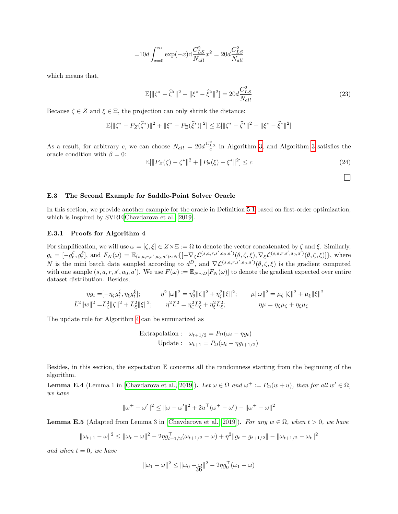$$
=10d \int_{x=0}^{\infty} \exp(-x) d \frac{C_{LS}^{2}}{N_{all}} x^{2} = 20d \frac{C_{LS}^{2}}{N_{all}}
$$

which means that,

$$
\mathbb{E}[\|\zeta^* - \hat{\zeta}^*\|^2 + \|\xi^* - \hat{\xi}^*\|^2] = 20d \frac{C_{LS}^2}{N_{all}}
$$
\n(23)

Because  $\zeta \in Z$  and  $\xi \in \Xi$ , the projection can only shrink the distance:

$$
\mathbb{E}[\|\zeta^* - P_Z(\widehat{\zeta}^*)\|^2 + \|\xi^* - P_{\Xi}(\widehat{\xi}^*)\|^2] \le \mathbb{E}[\|\zeta^* - \widehat{\zeta}^*\|^2 + \|\xi^* - \widehat{\xi}^*\|^2]
$$

As a result, for arbitrary c, we can choose  $N_{all} = 20d \frac{C_{LS}^2}{c}$  in Algorithm [3,](#page-7-0) and Algorithm [3](#page-7-0) satisfies the oracle condition with  $\beta = 0$ :

$$
\mathbb{E}[\|P_Z(\zeta) - \zeta^*\|^2 + \|P_{\Xi}(\xi) - \xi^*\|^2] \le c \tag{24}
$$

 $\Box$ 

### <span id="page-35-0"></span>E.3 The Second Example for Saddle-Point Solver Oracle

In this section, we provide another example for the oracle in Definition [5.1](#page-6-0) based on first-order optimization, which is inspired by SVRE[\[Chavdarova et al., 2019\]](#page-9-7).

### <span id="page-35-1"></span>E.3.1 Proofs for Algorithm 4

For simplification, we will use  $\omega = [\zeta, \xi] \in Z \times \Xi := \Omega$  to denote the vector concatenated by  $\zeta$  and  $\xi$ . Similarly,  $g_t = [-g_t^{\zeta}, g_t^{\xi}],$  and  $F_N(\omega) = \mathbb{E}_{(s,a,r,s',a_0,a') \sim N} \{ [-\nabla_{\zeta} \mathcal{L}^{(s,a,r,s',a_0,a')}(\theta, \zeta, \xi), \nabla_{\xi} \mathcal{L}^{(s,a,r,s',a_0,a')}(\theta, \zeta, \xi) ] \},$  where N is the mini batch data sampled according to  $d^D$ , and  $\nabla \mathcal{L}^{(s,a,r,s',a_0,a')}(\theta,\zeta,\xi)$  is the gradient computed with one sample  $(s, a, r, s', a_0, a')$ . We use  $F(\omega) := \mathbb{E}_{N \sim D}[F_N(\omega)]$  to denote the gradient expected over entire dataset distribution. Besides,

$$
\eta g_t = [-\eta_\zeta g_t^\zeta, \eta_\xi g_t^\xi]; \qquad \eta^2 \|\omega\|^2 = \eta_\theta^2 \|\zeta\|^2 + \eta_\xi^2 \|\xi\|^2; \qquad \mu \|\omega\|^2 = \mu_\zeta \|\zeta\|^2 + \mu_\xi \|\xi\|^2
$$
  

$$
\bar{L}^2 \|\omega\|^2 = \bar{L}_\zeta^2 \|\zeta\|^2 + \bar{L}_\xi^2 \|\xi\|^2; \qquad \eta^2 \bar{L}^2 = \eta_\zeta^2 \bar{L}_\zeta^2 + \eta_\xi^2 \bar{L}_\xi^2; \qquad \eta \mu = \eta_\zeta \mu_\zeta + \eta_\xi \mu_\xi
$$

The update rule for Algorithm [4](#page-8-0) can be summarized as

$$
\begin{aligned} \text{Extrapolation}: \quad &\omega_{t+1/2} = P_{\Omega}(\omega_t - \eta g_t) \\ \text{Update}: \quad &\omega_{t+1} = P_{\Omega}(\omega_t - \eta g_{t+1/2}) \end{aligned}
$$

Besides, in this section, the expectation  $E$  concerns all the randomness starting from the beginning of the algorithm.

<span id="page-35-2"></span>**Lemma E.4** (Lemma 1 in [\[Chavdarova et al., 2019\]](#page-9-7)). Let  $\omega \in \Omega$  and  $\omega^+ := P_{\Omega}(w+u)$ , then for all  $w' \in \Omega$ , we have

$$
\|\omega^+ - \omega'\|^2 \le \|\omega - \omega'\|^2 + 2u^\top(\omega^+ - \omega') - \|\omega^+ - \omega\|^2
$$

<span id="page-35-3"></span>**Lemma E.5** (Adapted from Lemma 3 in [\[Chavdarova et al., 2019\]](#page-9-7)). For any  $w \in \Omega$ , when  $t > 0$ , we have

$$
\|\omega_{t+1} - \omega\|^2 \le \|\omega_t - \omega\|^2 - 2\eta g_{t+1/2}^{\top}(\omega_{t+1/2} - \omega) + \eta^2\|g_t - g_{t+1/2}\| - \|\omega_{t+1/2} - \omega_t\|^2
$$

and when  $t = 0$ , we have

$$
\|\omega_1 - \omega\|^2 \le \|\omega_0 - \mathcal{H}\|^2 - 2\eta g_0^\top(\omega_1 - \omega)
$$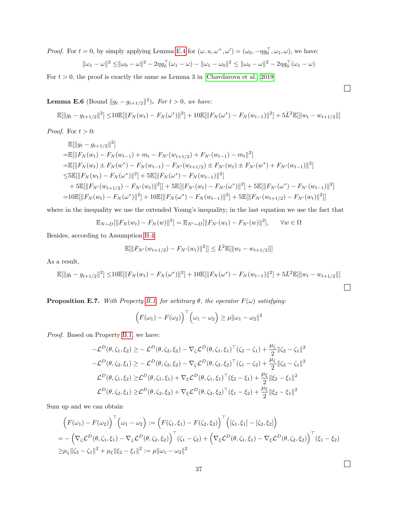*Proof.* For  $t = 0$ , by simply applying Lemma [E.4](#page-35-2) for  $(\omega, u, \omega^+, \omega') = (\omega_0, -\eta g_0^+, \omega_1, \omega)$ , we have:

$$
\|\omega_1 - \omega\|^2 \le \|\omega_0 - \omega\|^2 - 2\eta g_0^{\top}(\omega_1 - \omega) - \|\omega_1 - \omega_0\|^2 \le \|\omega_0 - \omega\|^2 - 2\eta g_0^{\top}(\omega_1 - \omega)
$$

For  $t > 0$ , the proof is exactly the same as Lemma 3 in [\[Chavdarova et al., 2019\]](#page-9-7)

<span id="page-36-0"></span>**Lemma E.6** (Bound  $||g_t - g_{t+1/2}||^2$ ). For  $t > 0$ , we have:

$$
\mathbb{E}[\|g_t - g_{t+1/2}\|^2] \le 10 \mathbb{E}[\|F_N(w_t) - F_N(\omega^*)\|^2] + 10 \mathbb{E}[\|F_N(\omega^*) - F_N(w_{t-1})\|^2] + 5\bar{L}^2 \mathbb{E}[\|w_t - w_{t+1/2}\|]
$$

*Proof.* For  $t > 0$ :

$$
\mathbb{E}[\|g_t - g_{t+1/2}\|^2]
$$
\n
$$
= \mathbb{E}[\|F_N(w_t) - F_N(w_{t-1}) + m_t - F_{N'}(w_{t+1/2}) + F_{N'}(w_{t-1}) - m_t\|^2]
$$
\n
$$
= \mathbb{E}[\|F_N(w_t) \pm F_N(w^*) - F_N(w_{t-1}) - F_{N'}(w_{t+1/2}) \pm F_{N'}(w_t) \pm F_{N'}(w^*) + F_{N'}(w_{t-1})\|^2]
$$
\n
$$
\leq 5 \mathbb{E}[\|F_N(w_t) - F_N(\omega^*)\|^2] + 5 \mathbb{E}[\|F_N(\omega^*) - F_N(w_{t-1})\|^2]
$$
\n
$$
+ 5 \mathbb{E}[\|F_{N'}(w_{t+1/2}) - F_{N'}(w_t)\|^2]] + 5 \mathbb{E}[\|F_{N'}(w_t) - F_{N'}(\omega^*)\|^2] + 5 \mathbb{E}[\|F_{N'}(w^*) - F_{N'}(w_{t-1})\|^2]
$$
\n
$$
= 10 \mathbb{E}[\|F_N(w_t) - F_N(\omega^*)\|^2] + 10 \mathbb{E}[\|F_N(\omega^*) - F_N(w_{t-1})\|^2] + 5 \mathbb{E}[\|F_{N'}(w_{t+1/2}) - F_{N'}(w_t)\|^2]]
$$

where in the inequality we use the extended Young's inequality; in the last equation we use the fact that

$$
\mathbb{E}_{N \sim D}[\|F_N(w_t) - F_N(w)\|^2] = \mathbb{E}_{N' \sim D}[\|F_{N'}(w_t) - F_{N'}(w)\|^2], \quad \forall w \in \Omega
$$

Besides, according to Assumption [B.4](#page-16-0)

$$
\mathbb{E}[\|F_{N'}(w_{t+1/2}) - F_{N'}(w_t)\|^2] \le \bar{L}^2 \mathbb{E}[\|w_t - w_{t+1/2}\|]
$$

As a result,

$$
\mathbb{E}[\|g_t - g_{t+1/2}\|^2] \le 10 \mathbb{E}[\|F_N(w_t) - F_N(\omega^*)\|^2] + 10 \mathbb{E}[\|F_N(\omega^*) - F_N(w_{t-1})\|^2] + 5\bar{L}^2 \mathbb{E}[\|w_t - w_{t+1/2}\|]
$$

<span id="page-36-1"></span>**Proposition E.7.** With Property [B.1,](#page-12-0) for arbitrary  $\theta$ , the operator  $F(\omega)$  satisfying:

$$
\left(F(\omega_1) - F(\omega_2)\right)^{\top} \left(\omega_1 - \omega_2\right) \ge \mu \|\omega_1 - \omega_2\|^2
$$

Proof. Based on Property [B.1,](#page-12-0) we have:

$$
-\mathcal{L}^{D}(\theta,\zeta_{1},\xi_{2}) \geq -\mathcal{L}^{D}(\theta,\zeta_{2},\xi_{2}) - \nabla_{\zeta}\mathcal{L}^{D}(\theta,\zeta_{1},\xi_{1})^{\top}(\zeta_{2} - \zeta_{1}) + \frac{\mu_{\zeta}}{2} \|\zeta_{2} - \zeta_{1}\|^{2}
$$
  
\n
$$
-\mathcal{L}^{D}(\theta,\zeta_{2},\xi_{1}) \geq -\mathcal{L}^{D}(\theta,\zeta_{2},\xi_{2}) - \nabla_{\zeta}\mathcal{L}^{D}(\theta,\zeta_{2},\xi_{2})^{\top}(\zeta_{1} - \zeta_{2}) + \frac{\mu_{\zeta}}{2} \|\zeta_{2} - \zeta_{1}\|^{2}
$$
  
\n
$$
\mathcal{L}^{D}(\theta,\zeta_{1},\xi_{2}) \geq \mathcal{L}^{D}(\theta,\zeta_{1},\xi_{1}) + \nabla_{\xi}\mathcal{L}^{D}(\theta,\zeta_{1},\xi_{1})^{\top}(\xi_{2} - \xi_{1}) + \frac{\mu_{\xi}}{2} \|\xi_{2} - \xi_{1}\|^{2}
$$
  
\n
$$
\mathcal{L}^{D}(\theta,\zeta_{2},\xi_{1}) \geq \mathcal{L}^{D}(\theta,\zeta_{2},\xi_{2}) + \nabla_{\xi}\mathcal{L}^{D}(\theta,\zeta_{2},\xi_{2})^{\top}(\xi_{1} - \xi_{2}) + \frac{\mu_{\xi}}{2} \|\xi_{2} - \xi_{1}\|^{2}
$$

Sum up and we can obtain

$$
\begin{split} &\left(F(\omega_{1}) - F(\omega_{2})\right)^{\top} \left(\omega_{1} - \omega_{2}\right) := \left(F(\zeta_{1}, \xi_{1}) - F(\zeta_{2}, \xi_{2})\right)^{\top} \left([\zeta_{1}, \xi_{1}] - [\zeta_{2}, \xi_{2}]\right) \\ &= -\left(\nabla_{\zeta} \mathcal{L}^{D}(\theta, \zeta_{1}, \xi_{1}) - \nabla_{\zeta} \mathcal{L}^{D}(\theta, \zeta_{2}, \xi_{2})\right)^{\top} (\zeta_{1} - \zeta_{2}) + \left(\nabla_{\xi} \mathcal{L}^{D}(\theta, \zeta_{1}, \xi_{1}) - \nabla_{\xi} \mathcal{L}^{D}(\theta, \zeta_{2}, \xi_{2})\right)^{\top} (\xi_{1} - \xi_{2}) \\ &\geq \mu_{\zeta} \|\zeta_{2} - \zeta_{1}\|^{2} + \mu_{\xi} \|\xi_{2} - \xi_{1}\|^{2} := \mu \|\omega_{1} - \omega_{2}\|^{2} \end{split}
$$

 $\Box$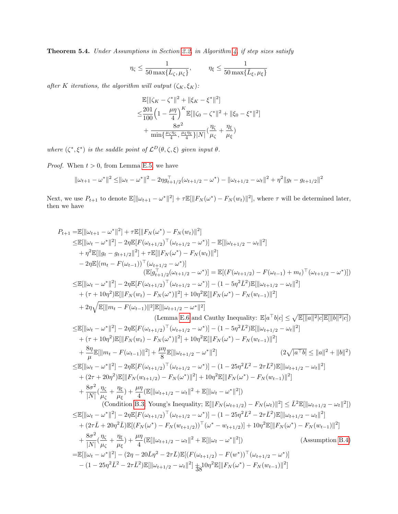Theorem 5.4. Under Assumptions in Section [2.2,](#page-3-1) in Algorithm [4,](#page-8-0) if step sizes satisfy

$$
\eta_\zeta \leq \frac{1}{50\max\{\bar{L}_\zeta, \mu_\zeta\}}, \qquad \eta_\xi \leq \frac{1}{50\max\{\bar{L}_\xi, \mu_\xi\}}
$$

after K iterations, the algorithm will output  $(\zeta_K, \xi_K)$ :

$$
\mathbb{E}[\|\zeta_K - \zeta^*\|^2 + \|\xi_K - \xi^*\|^2] \n\leq \frac{201}{100} \left(1 - \frac{\mu\eta}{4}\right)^K \mathbb{E}[\|\zeta_0 - \zeta^*\|^2 + \|\xi_0 - \xi^*\|^2] \n+ \frac{8\sigma^2}{\min\{\frac{\mu_{\zeta}\eta_{\zeta}}{4}, \frac{\mu_{\zeta}\eta_{\zeta}}{4}\}|N|} \left(\frac{\eta_{\zeta}}{\mu_{\zeta}} + \frac{\eta_{\xi}}{\mu_{\xi}}\right)
$$

where  $(\zeta^*, \xi^*)$  is the saddle point of  $\mathcal{L}^D(\theta, \zeta, \xi)$  given input  $\theta$ .

*Proof.* When  $t > 0$ , from Lemma [E.5,](#page-35-3) we have

$$
\|\omega_{t+1} - \omega^*\|^2 \le \|\omega_t - \omega^*\|^2 - 2\eta g_{t+1/2}^\top (\omega_{t+1/2} - \omega^*) - \|\omega_{t+1/2} - \omega_t\|^2 + \eta^2 \|g_t - g_{t+1/2}\|^2
$$

Next, we use  $P_{t+1}$  to denote  $\mathbb{E}[\|\omega_{t+1} - \omega^*\|^2] + \tau \mathbb{E}[\|F_N(\omega^*) - F_N(w_t)\|^2]$ , where  $\tau$  will be determined later, then we have

$$
P_{t+1} = \mathbb{E}[\|\omega_t - \omega^*\|^2] + \tau \mathbb{E}[\|F_N(\omega^*) - F_N(w_t)\|^2]
$$
\n
$$
\leq \mathbb{E}[\|\omega_t - \omega^*\|^2] - 2\eta \mathbb{E}[F(\omega_{t+1/2})^\top(\omega_{t+1/2} - \omega^*)] - \mathbb{E}[\|\omega_{t+1/2} - \omega_t\|^2]
$$
\n
$$
+ \eta^2 \mathbb{E}[\|\|g_t - g_{t+1/2}\|^2] + \tau \mathbb{E}[\|F_N(\omega^*) - F_N(w_t)\|^2]
$$
\n
$$
- 2\eta \mathbb{E}[(m_t - F(\omega_{t-1}))^\top(\omega_{t+1/2} - \omega^*)]
$$
\n
$$
(\mathbb{E}[g_{t+1/2}^\top(\omega_{t+1/2} - \omega^*)]) = \mathbb{E}[(F(\omega_{t+1/2}) - F(\omega_{t-1}) + m_t)^\top(\omega_{t+1/2} - \omega^*)])
$$
\n
$$
\leq \mathbb{E}[\|\omega_t - \omega^*\|^2] - 2\eta \mathbb{E}[F(\omega_{t+1/2})^\top(\omega_{t+1/2} - \omega^*)] - (1 - 5\eta^2 \bar{L}^2) \mathbb{E}[\|[\omega_{t+1/2} - \omega_t\|^2]
$$
\n
$$
+ (\tau + 10\eta^2) \mathbb{E}[\|F_N(w_t) - F_N(\omega^*)\|^2] + 10\eta^2 \mathbb{E}[\|F_N(\omega^*) - F_N(w_{t-1})\|^2]
$$
\n
$$
+ 2\eta \sqrt{\mathbb{E}[\|m_t - F(\omega_{t-1})\|^2] \mathbb{E}[\|\omega_{t+1/2} - \omega^* \|^2]}
$$
\n
$$
(\text{Lemma E. 6 and Cauthy Inequality: } \mathbb{E}[a^\top b|c] \leq \sqrt{\mathbb{E}[\|a\|^2|c\|} \mathbb{E}[\|b\|^2|c])
$$
\n
$$
\leq \mathbb{E}[\|\omega_t - \omega^*\|^2] - 2\eta \mathbb{E}[F(\omega_{t+1/2})^\top(\omega_{t+1/2} - \omega^*)] - (1 - 5\eta^2 \bar{L}^2)
$$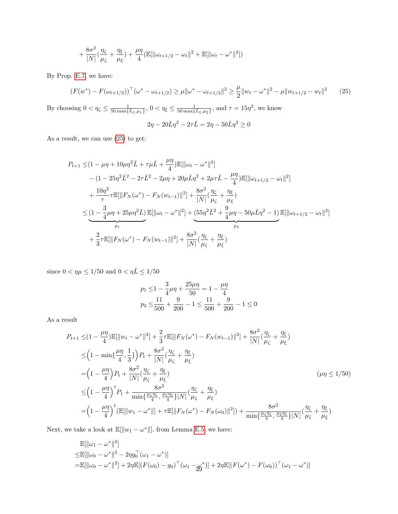<span id="page-38-0"></span>
$$
+\frac{8\sigma^2}{|N|}(\frac{\eta_{\zeta}}{\mu_{\zeta}}+\frac{\eta_{\xi}}{\mu_{\xi}})+\frac{\mu\eta}{4}(\mathbb{E}[\|\omega_{t+1/2}-\omega_t\|^2+\mathbb{E}[\|\omega_t-\omega^*\|^2])
$$

By Prop. [E.7,](#page-36-1) we have:

$$
(F(w^*) - F(\omega_{t+1/2}))^\top (\omega^* - \omega_{t+1/2}) \ge \mu \| \omega^* - \omega_{t+1/2} \|^2 \ge \frac{\mu}{2} \| w_t - \omega^* \|^2 - \mu \| w_{t+1/2} - w_t \|^2 \tag{25}
$$

By choosing  $0 < \eta_{\zeta} \le \frac{1}{50 \max\{L_{\zeta}, \mu_{\zeta}\}}, 0 < \eta_{\xi} \le \frac{1}{50 \max\{L_{\xi}, \mu_{\xi}\}}, \text{ and } \tau = 15\eta^2$ , we know  $2\eta - 20\bar{L}\eta^2 - 2\tau\bar{L} = 2\eta - 50\bar{L}\eta^2 \ge 0$ 

As a result, we can use [\(25\)](#page-38-0) to get:

$$
P_{t+1} \leq (1 - \mu \eta + 10\mu \eta^{2} \bar{L} + \tau \mu \bar{L} + \frac{\mu \eta}{4}) \mathbb{E}[\|\omega_{t} - \omega^{*}\|^{2}]
$$
  
\n
$$
- (1 - 25\eta^{2} \bar{L}^{2} - 2\tau \bar{L}^{2} - 2\mu \eta + 20\mu \bar{L}\eta^{2} + 2\mu \tau \bar{L} - \frac{\mu \eta}{4}) \mathbb{E}[\|\omega_{t+1/2} - \omega_{t}\|^{2}]
$$
  
\n
$$
+ \frac{10\eta^{2}}{\tau} \tau \mathbb{E}[\|F_{N}(\omega^{*}) - F_{N}(\omega_{t-1})\|^{2}] + \frac{8\sigma^{2}}{|N|} (\frac{\eta_{\zeta}}{\mu_{\zeta}} + \frac{\eta_{\xi}}{\mu_{\xi}})
$$
  
\n
$$
\leq \underbrace{(1 - \frac{3}{4}\mu \eta + 25\mu \eta^{2} \bar{L})}_{p_{1}} \mathbb{E}[\|\omega_{t} - \omega^{*}\|^{2}] + \underbrace{(55\eta^{2} \bar{L}^{2} + \frac{9}{4}\mu \eta - 50\mu \bar{L}\eta^{2} - 1)}_{p_{2}} \mathbb{E}[\|\omega_{t+1/2} - \omega_{t}\|^{2}]
$$
  
\n
$$
+ \frac{2}{3}\tau \mathbb{E}[\|F_{N}(\omega^{*}) - F_{N}(\omega_{t-1})\|^{2}] + \frac{8\sigma^{2}}{|N|} (\frac{\eta_{\zeta}}{\mu_{\zeta}} + \frac{\eta_{\xi}}{\mu_{\xi}})
$$

since  $0<\eta\mu\leq 1/50$  and  $0<\eta\bar{L}\leq 1/50$ 

$$
p_1 \le 1 - \frac{3}{4}\mu\eta + \frac{25\mu\eta}{50} = 1 - \frac{\mu\eta}{4}
$$
  

$$
p_2 \le \frac{11}{500} + \frac{9}{200} - 1 \le \frac{11}{500} + \frac{9}{200} - 1 \le 0
$$

As a result

$$
P_{t+1} \leq (1 - \frac{\mu\eta}{4}) \mathbb{E}[\|w_t - \omega^*\|^2] + \frac{2}{3}\tau \mathbb{E}[\|F_N(\omega^*) - F_N(w_{t-1})\|^2] + \frac{8\sigma^2}{|N|} (\frac{\eta_{\zeta}}{\mu_{\zeta}} + \frac{\eta_{\xi}}{\mu_{\xi}})
$$
  
\n
$$
\leq \left(1 - \min\{\frac{\mu\eta}{4}, \frac{1}{3}\}\right) P_t + \frac{8\sigma^2}{|N|} (\frac{\eta_{\zeta}}{\mu_{\zeta}} + \frac{\eta_{\xi}}{\mu_{\xi}})
$$
  
\n
$$
= \left(1 - \frac{\mu\eta}{4}\right) P_t + \frac{8\sigma^2}{|N|} (\frac{\eta_{\zeta}}{\mu_{\zeta}} + \frac{\eta_{\xi}}{\mu_{\xi}})
$$
  
\n
$$
\leq \left(1 - \frac{\mu\eta}{4}\right)^t P_1 + \frac{8\sigma^2}{\min\{\frac{\mu_{\zeta}\eta_{\zeta}}{\mu_{\zeta}}, \frac{\mu_{\zeta}\eta_{\xi}}{\mu_{\xi}}\}|N|} (\frac{\eta_{\zeta}}{\mu_{\zeta}} + \frac{\eta_{\xi}}{\mu_{\xi}})
$$
  
\n
$$
= \left(1 - \frac{\mu\eta}{4}\right)^t (\mathbb{E}[\|w_1 - \omega^*\|] + \tau \mathbb{E}[\|F_N(\omega^*) - F_N(\omega_0)\|^2]) + \frac{8\sigma^2}{\min\{\frac{\mu_{\zeta}\eta_{\zeta}}{4}, \frac{\mu_{\zeta}\eta_{\xi}}{\mu_{\xi}}\}|N|} (\frac{\eta_{\zeta}}{\mu_{\zeta}} + \frac{\eta_{\xi}}{\mu_{\xi}})
$$

Next, we take a look at  $\mathbb{E}[\Vert w_1 - \omega^* \Vert]$ , from Lemma [E.5,](#page-35-3) we have:

$$
\mathbb{E}[\|\omega_1 - \omega^*\|^2] \leq \mathbb{E}[\|\omega_0 - \omega^*\|^2 - 2\eta g_0^\top(\omega_1 - \omega^*)] \n= \mathbb{E}[\|\omega_0 - \omega^*\|^2] + 2\eta \mathbb{E}[(F(\omega_0) - g_0)^\top(\omega_1 - g_0^*)] + 2\eta \mathbb{E}[(F(\omega^*) - F(\omega_0))^\top(\omega_1 - \omega^*)]
$$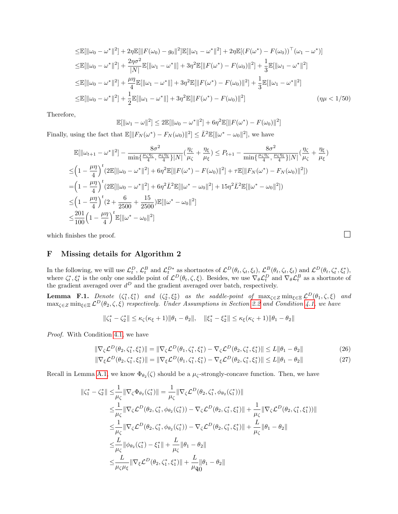$$
\leq \mathbb{E}[\|\omega_0 - \omega^*\|^2] + 2\eta \mathbb{E}[\|F(\omega_0) - g_0\|^2] \mathbb{E}[\|\omega_1 - \omega^*\|^2] + 2\eta \mathbb{E}[(F(\omega^*) - F(\omega_0))^T(\omega_1 - \omega^*)]
$$
  
\n
$$
\leq \mathbb{E}[\|\omega_0 - \omega^*\|^2] + \frac{2\eta\sigma^2}{|N|}\mathbb{E}[\|\omega_1 - \omega^*\|] + 3\eta^2 \mathbb{E}[\|F(\omega^*) - F(\omega_0)\|^2] + \frac{1}{3}\mathbb{E}[\|\omega_1 - \omega^*\|^2]
$$
  
\n
$$
\leq \mathbb{E}[\|\omega_0 - \omega^*\|^2] + \frac{\mu\eta}{4}\mathbb{E}[\|\omega_1 - \omega^*\|] + 3\eta^2 \mathbb{E}[\|F(\omega^*) - F(\omega_0)\|^2] + \frac{1}{3}\mathbb{E}[\|\omega_1 - \omega^*\|^2]
$$
  
\n
$$
\leq \mathbb{E}[\|\omega_0 - \omega^*\|^2] + \frac{1}{2}\mathbb{E}[\|\omega_1 - \omega^*\|] + 3\eta^2 \mathbb{E}[\|F(\omega^*) - F(\omega_0)\|^2]
$$
 (  $\eta\mu < 1/50$ )

Therefore,

$$
\mathbb{E}[\|\omega_1 - \omega\|^2] \le 2\mathbb{E}[\|\omega_0 - \omega^*\|^2] + 6\eta^2 \mathbb{E}[\|F(\omega^*) - F(\omega_0)\|^2]
$$

Finally, using the fact that  $\mathbb{E}[\|F_N(\omega^*) - F_N(\omega_0)\|^2] \leq \bar{L}^2 \mathbb{E}[\|\omega^* - \omega_0\|^2]$ , we have

$$
\mathbb{E}[\|\omega_{t+1} - \omega^*\|^2] - \frac{8\sigma^2}{\min\{\frac{\mu_{\zeta}\eta_{\zeta}}{4}, \frac{\mu_{\xi}\eta_{\xi}}{4}\}|N|}(\frac{\eta_{\zeta}}{\mu_{\zeta}} + \frac{\eta_{\xi}}{\mu_{\xi}}) \le P_{t+1} - \frac{8\sigma^2}{\min\{\frac{\mu_{\zeta}\eta_{\zeta}}{4}, \frac{\mu_{\xi}\eta_{\xi}}{4}\}|N|}(\frac{\eta_{\zeta}}{\mu_{\zeta}} + \frac{\eta_{\xi}}{\mu_{\xi}})
$$
  
\n
$$
\leq \left(1 - \frac{\mu\eta}{4}\right)^t \left(2\mathbb{E}[\|\omega_0 - \omega^*\|^2] + 6\eta^2 \mathbb{E}[\|F(\omega^*) - F(\omega_0)\|^2] + \tau \mathbb{E}[\|F_N(\omega^*) - F_N(\omega_0)\|^2]\right)
$$
  
\n
$$
= \left(1 - \frac{\mu\eta}{4}\right)^t \left(2\mathbb{E}[\|\omega_0 - \omega^*\|^2] + 6\eta^2 \bar{L}^2 \mathbb{E}[\|\omega^* - \omega_0\|^2] + 15\eta^2 \bar{L}^2 \mathbb{E}[\|\omega^* - \omega_0\|^2]\right)
$$
  
\n
$$
\leq \left(1 - \frac{\mu\eta}{4}\right)^t \left(2 + \frac{6}{2500} + \frac{15}{2500}\right) \mathbb{E}[\|\omega^* - \omega_0\|^2]
$$
  
\n
$$
\leq \frac{201}{100} \left(1 - \frac{\mu\eta}{4}\right)^t \mathbb{E}[\|\omega^* - \omega_0\|^2]
$$

which finishes the proof.  $\Box$ 

# <span id="page-39-0"></span>F Missing details for Algorithm 2

In the following, we will use  $\mathcal{L}_t^D$ ,  $\mathcal{L}_t^B$  and  $\mathcal{L}_t^{D*}$  as shortnotes of  $\mathcal{L}^D(\theta_t, \zeta_t, \xi_t)$ ,  $\mathcal{L}^B(\theta_t, \zeta_t, \xi_t)$  and  $\mathcal{L}^D(\theta_t, \zeta_t^*, \xi_t^*)$ , where  $\zeta_t^*, \zeta_t^*$  is the only one saddle point of  $\mathcal{L}^D(\theta_t, \zeta, \xi)$ . Besides, we use  $\nabla_{\theta} \mathcal{L}_t^D$  and  $\nabla_{\theta} \mathcal{L}_t^B$  as a shortnote of the gradient averaged over  $d^D$  and the gradient averaged over batch, respectively.

<span id="page-39-2"></span>**Lemma F.1.** Denote  $(\zeta_1^*, \zeta_1^*)$  and  $(\zeta_2^*, \zeta_2^*)$  as the saddle-point of  $\max_{\zeta \in \mathcal{Z}} \min_{\xi \in \Xi} \mathcal{L}^D(\theta_1, \zeta, \xi)$  and  $\max_{\zeta \in Z} \min_{\xi \in \Xi} \mathcal{L}^D(\theta_2, \zeta, \xi)$  respectively. Under Assumptions in Section [2.2](#page-3-1) and Condition [4.1,](#page-5-1) we have

<span id="page-39-1"></span>
$$
\|\zeta_1^*-\zeta_2^*\|\leq \kappa_\zeta (\kappa_\xi+1)\|\theta_1-\theta_2\|,\quad \|\xi_1^*-\xi_2^*\|\leq \kappa_\xi (\kappa_\zeta+1)\|\theta_1-\theta_2\|
$$

Proof. With Condition [4.1,](#page-5-1) we have

$$
\|\nabla_{\zeta} \mathcal{L}^{D}(\theta_{2}, \zeta_{1}^{*}, \xi_{1}^{*})\| = \|\nabla_{\zeta} \mathcal{L}^{D}(\theta_{1}, \zeta_{1}^{*}, \xi_{1}^{*}) - \nabla_{\zeta} \mathcal{L}^{D}(\theta_{2}, \zeta_{1}^{*}, \xi_{1}^{*})\| \le L \|\theta_{1} - \theta_{2}\|
$$
\n(26)

$$
\|\nabla_{\xi} \mathcal{L}^{D}(\theta_{2}, \zeta_{1}^{*}, \xi_{1}^{*})\| = \|\nabla_{\xi} \mathcal{L}^{D}(\theta_{1}, \zeta_{1}^{*}, \xi_{1}^{*}) - \nabla_{\xi} \mathcal{L}^{D}(\theta_{2}, \zeta_{1}^{*}, \xi_{1}^{*})\| \le L \|\theta_{1} - \theta_{2}\|
$$
\n(27)

Recall in Lemma [A.1,](#page-11-1) we know  $\Phi_{\theta_2}(\zeta)$  should be a  $\mu_{\zeta}$ -strongly-concave function. Then, we have

$$
\begin{split}\n\|\zeta_{1}^{*} - \zeta_{2}^{*}\| &\leq \frac{1}{\mu_{\zeta}} \|\nabla_{\zeta} \Phi_{\theta_{2}}(\zeta_{1}^{*})\| = \frac{1}{\mu_{\zeta}} \|\nabla_{\zeta} \mathcal{L}^{D}(\theta_{2}, \zeta_{1}^{*}, \phi_{\theta_{2}}(\zeta_{1}^{*}))\| \\
&\leq \frac{1}{\mu_{\zeta}} \|\nabla_{\zeta} \mathcal{L}^{D}(\theta_{2}, \zeta_{1}^{*}, \phi_{\theta_{2}}(\zeta_{1}^{*})) - \nabla_{\zeta} \mathcal{L}^{D}(\theta_{2}, \zeta_{1}^{*}, \zeta_{1}^{*})\| + \frac{1}{\mu_{\zeta}} \|\nabla_{\zeta} \mathcal{L}^{D}(\theta_{2}, \zeta_{1}^{*}, \zeta_{1}^{*}))\| \\
&\leq \frac{1}{\mu_{\zeta}} \|\nabla_{\zeta} \mathcal{L}^{D}(\theta_{2}, \zeta_{1}^{*}, \phi_{\theta_{2}}(\zeta_{1}^{*})) - \nabla_{\zeta} \mathcal{L}^{D}(\theta_{2}, \zeta_{1}^{*}, \zeta_{1}^{*})\| + \frac{L}{\mu_{\zeta}} \|\theta_{1} - \theta_{2}\| \\
&\leq \frac{L}{\mu_{\zeta}} \|\phi_{\theta_{2}}(\zeta_{1}^{*}) - \xi_{1}^{*}\| + \frac{L}{\mu_{\zeta}} \|\theta_{1} - \theta_{2}\| \\
&\leq \frac{L}{\mu_{\zeta}\mu_{\zeta}} \|\nabla_{\xi} \mathcal{L}^{D}(\theta_{2}, \zeta_{1}^{*}, \xi_{1}^{*})\| + \frac{L}{\mu_{q}} \|\theta_{1} - \theta_{2}\| \\
\end{split}
$$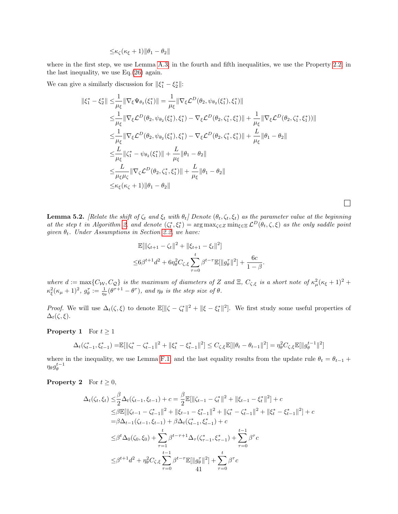$$
\leq \kappa_{\zeta}(\kappa_{\xi}+1)\|\theta_1-\theta_2\|
$$

where in the first step, we use Lemma [A.3;](#page-11-2) in the fourth and fifth inequalities, we use the Property [2.2;](#page-4-2) in the last inequality, we use Eq.[\(26\)](#page-39-1) again.

We can give a similarly discussion for  $\|\xi_1^* - \xi_2^*\|$ :

$$
\begin{split}\n\|\xi_{1}^{*} - \xi_{2}^{*}\| &\leq \frac{1}{\mu_{\xi}} \|\nabla_{\xi} \Psi_{\theta_{2}}(\xi_{1}^{*})\| = \frac{1}{\mu_{\xi}} \|\nabla_{\xi} \mathcal{L}^{D}(\theta_{2}, \psi_{\theta_{2}}(\xi_{1}^{*}), \xi_{1}^{*})\| \\
&\leq \frac{1}{\mu_{\xi}} \|\nabla_{\xi} \mathcal{L}^{D}(\theta_{2}, \psi_{\theta_{2}}(\xi_{1}^{*}), \xi_{1}^{*}) - \nabla_{\xi} \mathcal{L}^{D}(\theta_{2}, \zeta_{1}^{*}, \xi_{1}^{*})\| + \frac{1}{\mu_{\xi}} \|\nabla_{\xi} \mathcal{L}^{D}(\theta_{2}, \zeta_{1}^{*}, \xi_{1}^{*})\|\| \\
&\leq \frac{1}{\mu_{\xi}} \|\nabla_{\xi} \mathcal{L}^{D}(\theta_{2}, \psi_{\theta_{2}}(\xi_{1}^{*}), \xi_{1}^{*}) - \nabla_{\xi} \mathcal{L}^{D}(\theta_{2}, \zeta_{1}^{*}, \xi_{1}^{*})\| + \frac{L}{\mu_{\xi}} \|\theta_{1} - \theta_{2}\| \\
&\leq \frac{L}{\mu_{\xi}} \|\zeta_{1}^{*} - \psi_{\theta_{2}}(\xi_{1}^{*})\| + \frac{L}{\mu_{\xi}} \|\theta_{1} - \theta_{2}\| \\
&\leq \frac{L}{\mu_{\xi} \mu_{\zeta}} \|\nabla_{\zeta} \mathcal{L}^{D}(\theta_{2}, \zeta_{1}^{*}, \xi_{1}^{*})\| + \frac{L}{\mu_{\xi}} \|\theta_{1} - \theta_{2}\| \\
&\leq \kappa_{\xi} (\kappa_{\zeta} + 1) \|\theta_{1} - \theta_{2}\| \\
\end{split}
$$

**Lemma 5.2.** [Relate the shift of  $\zeta_t$  and  $\xi_t$  with  $\theta_t$ ] Denote  $(\theta_t, \zeta_t, \xi_t)$  as the parameter value at the beginning at the step t in Algorithm [2,](#page-6-2) and denote  $(\zeta_t^*, \xi_t^*) = \arg \max_{\zeta \in \mathcal{Z}} \min_{\xi \in \mathcal{Z}} \mathcal{L}^D(\theta_t, \zeta, \xi)$  as the only saddle point given  $\theta_t$ . Under Assumptions in Section [2.2,](#page-3-1) we have:

 $\Box$ 

$$
\mathbb{E}[\|\zeta_{t+1} - \zeta_t\|^2 + \|\xi_{t+1} - \xi_t\|^2]
$$
  

$$
\leq 6\beta^{t+1}d^2 + 6\eta_\theta^2C_{\zeta,\xi}\sum_{\tau=0}^t \beta^{t-\tau}\mathbb{E}[\|g_\theta^\tau\|^2] + \frac{6c}{1-\beta}.
$$

where  $d := \max\{C_W, C_Q\}$  is the maximum of diameters of Z and  $\Xi$ ,  $C_{\zeta,\xi}$  is a short note of  $\kappa^2_\mu (\kappa_{\xi} + 1)^2$  +  $\kappa_{\xi}^2(\kappa_{\mu}+1)^2$ ,  $g_{\theta}^{\tau} := \frac{1}{\eta_{\theta}}(\theta^{\tau+1} - \theta^{\tau})$ , and  $\eta_{\theta}$  is the step size of  $\theta$ .

*Proof.* We will use  $\Delta_t(\zeta, \xi)$  to denote  $\mathbb{E}[\|\zeta - \zeta_t^*\|^2 + \|\xi - \xi_t^*\|^2]$ . We first study some useful properties of  $\Delta_t(\zeta,\xi)$ .

**Property 1** For  $t \geq 1$ 

$$
\Delta_t(\zeta_{t-1}^*, \xi_{t-1}^*) = \mathbb{E}[\|\zeta_t^* - \zeta_{t-1}^*\|^2 + \|\xi_t^* - \xi_{t-1}^*\|^2] \le C_{\zeta, \xi} \mathbb{E}[\|\theta_t - \theta_{t-1}\|^2] = \eta_\theta^2 C_{\zeta, \xi} \mathbb{E}[\|g_\theta^{t-1}\|^2]
$$

where in the inequality, we use Lemma [F.1;](#page-39-2) and the last equality results from the update rule  $\theta_t = \theta_{t-1}$  +  $\eta_\theta g_\theta^{t-1}$ 

**Property 2** For  $t \geq 0$ ,

$$
\Delta_t(\zeta_t, \xi_t) \leq \frac{\beta}{2} \Delta_t(\zeta_{t-1}, \xi_{t-1}) + c = \frac{\beta}{2} \mathbb{E}[\|\zeta_{t-1} - \zeta_t^*\|^2 + \|\xi_{t-1} - \xi_t^*\|^2] + c
$$
  
\n
$$
\leq \beta \mathbb{E}[\|\zeta_{t-1} - \zeta_{t-1}^*\|^2 + \|\xi_{t-1} - \xi_{t-1}^*\|^2 + \|\zeta_t^* - \zeta_{t-1}^*\|^2 + \|\xi_t^* - \xi_{t-1}^*\|^2] + c
$$
  
\n
$$
= \beta \Delta_{t-1}(\zeta_{t-1}, \xi_{t-1}) + \beta \Delta_t(\zeta_{t-1}^*, \xi_{t-1}^*) + c
$$
  
\n
$$
\leq \beta^t \Delta_0(\zeta_0, \xi_0) + \sum_{\tau=1}^t \beta^{t-\tau+1} \Delta_\tau(\zeta_{\tau-1}, \xi_{\tau-1}^*) + \sum_{\tau=0}^{t-1} \beta^\tau c
$$
  
\n
$$
\leq \beta^{t+1} d^2 + \eta_\theta^2 C_{\zeta, \xi} \sum_{\tau=0}^{t-1} \beta^{t-\tau} \mathbb{E}[\|g_\theta^\tau\|^2] + \sum_{\tau=0}^t \beta^\tau c
$$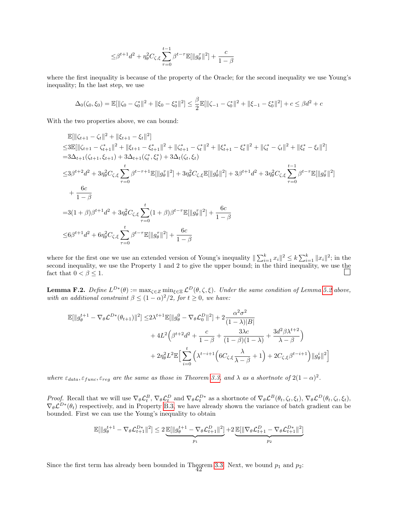$$
\leq \beta^{t+1} d^2 + \eta_\theta^2 C_{\zeta, \xi} \sum_{\tau=0}^{t-1} \beta^{t-\tau} \mathbb{E}[\|g_\theta^\tau\|^2] + \frac{c}{1-\beta}
$$

where the first inequality is because of the property of the Oracle; for the second inequality we use Young's inequality; In the last step, we use

$$
\Delta_0(\zeta_0, \xi_0) = \mathbb{E}[\|\zeta_0 - \zeta_0^*\|^2 + \|\xi_0 - \xi_0^*\|^2] \le \frac{\beta}{2} \mathbb{E}[\|\zeta_{-1} - \zeta_0^*\|^2 + \|\xi_{-1} - \xi_0^*\|^2] + c \le \beta d^2 + c
$$

With the two properties above, we can bound:

$$
\mathbb{E}[\|\zeta_{t+1} - \zeta_t\|^2 + \|\xi_{t+1} - \xi_t\|^2]
$$
\n
$$
\leq 3\mathbb{E}[\|\zeta_{t+1} - \zeta_{t+1}^*\|^2 + \|\xi_{t+1} - \xi_{t+1}^*\|^2 + \|\zeta_{t+1}^* - \zeta_t^*\|^2 + \|\xi_{t+1}^* - \xi_t^*\|^2 + \|\zeta_t^* - \zeta_t\|^2 + \|\xi_t^* - \xi_t\|^2]
$$
\n
$$
= 3\Delta_{t+1}(\zeta_{t+1}, \xi_{t+1}) + 3\Delta_{t+1}(\zeta_t^*, \xi_t^*) + 3\Delta_t(\zeta_t, \xi_t)
$$
\n
$$
\leq 3\beta^{t+2}d^2 + 3\eta_\theta^2C_{\zeta,\xi} \sum_{\tau=0}^t \beta^{t-\tau+1}\mathbb{E}[\|g_\theta^{\tau}\|^2] + 3\eta_\theta^2C_{\zeta,\xi}\mathbb{E}[\|g_\theta^t\|^2] + 3\beta^{t+1}d^2 + 3\eta_\theta^2C_{\zeta,\xi} \sum_{\tau=0}^{t-1} \beta^{t-\tau}\mathbb{E}[\|g_\theta^{\tau}\|^2]
$$
\n
$$
+ \frac{6c}{1-\beta}
$$
\n
$$
= 3(1+\beta)\beta^{t+1}d^2 + 3\eta_\theta^2C_{\zeta,\xi} \sum_{\tau=0}^t (1+\beta)\beta^{t-\tau}\mathbb{E}[\|g_\theta^{\tau}\|^2] + \frac{6c}{1-\beta}
$$
\n
$$
\leq 6\beta^{t+1}d^2 + 6\eta_\theta^2C_{\zeta,\xi} \sum_{\tau=0}^t \beta^{t-\tau}\mathbb{E}[\|g_\theta^{\tau}\|^2] + \frac{6c}{1-\beta}
$$

where for the first one we use an extended version of Young's inequality  $\|\sum_{i=1}^k x_i\|^2 \le k \sum_{i=1}^k \|x_i\|^2$ ; in the second inequality, we use the Property 1 and 2 to give the upper bound; in the third inequality, we use the fact that  $0 < \beta \leq 1$ .

<span id="page-41-0"></span>**Lemma F.2.** Define  $L^{D*}(\theta) := \max_{\zeta \in \mathbb{Z}} \min_{\xi \in \mathbb{Z}} \mathcal{L}^D(\theta, \zeta, \xi)$ . Under the same condition of Lemma [5.2](#page-7-1) above, with an additional constraint  $\beta \leq (1-\alpha)^2/2$ , for  $t \geq 0$ , we have:

$$
\mathbb{E}[\|g_{\theta}^{t+1} - \nabla_{\theta} \mathcal{L}^{D*}(\theta_{t+1})\|^{2}] \leq 2\lambda^{t+1} \mathbb{E}[\|g_{\theta}^{0} - \nabla_{\theta} \mathcal{L}_{0}^{D}\|^{2}] + 2 \frac{\alpha^{2} \sigma^{2}}{(1-\lambda)|B|} \n+ 4L^{2} \left(\beta^{t+2} d^{2} + \frac{c}{1-\beta} + \frac{3\lambda c}{(1-\beta)(1-\lambda)} + \frac{3d^{2}\beta \lambda^{t+2}}{\lambda - \beta}\right) \n+ 2\eta_{\theta}^{2} L^{2} \mathbb{E} \Big[\sum_{i=0}^{t} \left(\lambda^{t-i+1} \left(6C_{\zeta,\xi} \frac{\lambda}{\lambda - \beta} + 1\right) + 2C_{\zeta,\xi} \beta^{t-i+1}\right) \|g_{\theta}^{i}\|^{2}\Big]
$$

where  $\varepsilon_{data}$ ,  $\varepsilon_{func}$ ,  $\varepsilon_{reg}$  are the same as those in Theorem [3.3,](#page-4-5) and  $\lambda$  as a shortnote of  $2(1-\alpha)^2$ .

*Proof.* Recall that we will use  $\nabla_{\theta} \mathcal{L}_{t}^{B}$ ,  $\nabla_{\theta} \mathcal{L}_{t}^{D}$  and  $\nabla_{\theta} \mathcal{L}_{t}^{D*}$  as a shortnote of  $\nabla_{\theta} \mathcal{L}^{B}(\theta_t, \zeta_t, \xi_t)$ ,  $\nabla_{\theta} \mathcal{L}^{D}(\theta_t, \zeta_t, \xi_t)$ ,  $\nabla_{\theta} \mathcal{L}^{D*}(\theta_t)$  respectively, and in Property [B.3,](#page-15-0) we have already shown the variance of batch gradient can be bounded. First we can use the Young's inequality to obtain

$$
\mathbb{E}[\|g_{\theta}^{t+1} - \nabla_{\theta} \mathcal{L}_{t+1}^{D*}\|^2] \leq 2 \underbrace{\mathbb{E}[\|g_{\theta}^{t+1} - \nabla_{\theta} \mathcal{L}_{t+1}^D\|^2]}_{p_1} + 2 \underbrace{\mathbb{E}[\|\nabla_{\theta} \mathcal{L}_{t+1}^D - \nabla_{\theta} \mathcal{L}_{t+1}^{D*}\|^2]}_{p_2}
$$

Since the first term has already been bounded in Theorem [3.3.](#page-4-5) Next, we bound  $p_1$  and  $p_2$ :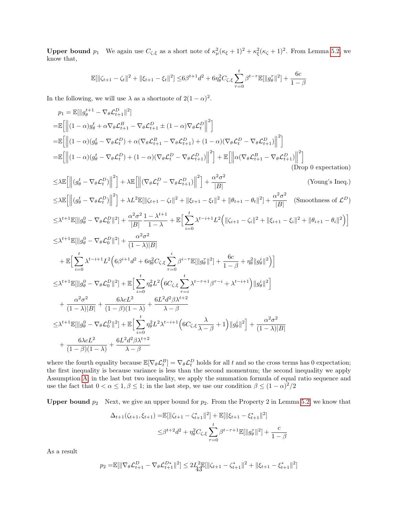**Upper bound**  $p_1$  We again use  $C_{\zeta,\xi}$  as a short note of  $\kappa^2_\mu(\kappa_\xi+1)^2 + \kappa^2_\xi(\kappa_\zeta+1)^2$ . From Lemma [5.2,](#page-7-1) we know that,

$$
\mathbb{E}[\|\zeta_{t+1} - \zeta_t\|^2 + \|\xi_{t+1} - \xi_t\|^2] \le 6\beta^{t+1}d^2 + 6\eta_\theta^2 C_{\zeta,\xi} \sum_{\tau=0}^t \beta^{t-\tau} \mathbb{E}[\|g_\theta^\tau\|^2] + \frac{6c}{1-\beta}
$$

In the following, we will use  $\lambda$  as a shortnote of  $2(1-\alpha)^2$ .

$$
p_1 = \mathbb{E}[\|g_{\theta}^{t+1} - \nabla_{\theta} \mathcal{L}_{t+1}^D\|^2]
$$
  
\n
$$
= \mathbb{E}\left[\left\|(1-\alpha)g_{\theta}^t + \alpha \nabla_{\theta} \mathcal{L}_{t+1}^B - \nabla_{\theta} \mathcal{L}_{t+1}^D \pm (1-\alpha) \nabla_{\theta} \mathcal{L}_t^D\right\|^2\right]
$$
  
\n
$$
= \mathbb{E}\left[\left\|(1-\alpha)(g_{\theta}^t - \nabla_{\theta} \mathcal{L}_t^D) + \alpha(\nabla_{\theta} \mathcal{L}_{t+1}^B - \nabla_{\theta} \mathcal{L}_{t+1}^D) + (1-\alpha)(\nabla_{\theta} \mathcal{L}_t^D - \nabla_{\theta} \mathcal{L}_{t+1}^D)\right\|^2\right]
$$
  
\n
$$
= \mathbb{E}\left[\left\|(1-\alpha)(g_{\theta}^t - \nabla_{\theta} \mathcal{L}_t^D) + (1-\alpha)(\nabla_{\theta} \mathcal{L}_t^D - \nabla_{\theta} \mathcal{L}_{t+1}^D)\right\|^2\right] + \mathbb{E}\left[\left\|\alpha(\nabla_{\theta} \mathcal{L}_{t+1}^B - \nabla_{\theta} \mathcal{L}_{t+1}^D)\right\|^2\right]
$$
  
\n(Drop 0 expectation)

$$
\leq \lambda \mathbb{E} \left[ \left\| (g_{\theta}^{t} - \nabla_{\theta} \mathcal{L}_{t}^{D}) \right\|^{2} \right] + \lambda \mathbb{E} \left[ \left\| (\nabla_{\theta} \mathcal{L}_{t}^{D} - \nabla_{\theta} \mathcal{L}_{t+1}^{D}) \right\|^{2} \right] + \frac{\alpha^{2} \sigma^{2}}{|B|}
$$
 (Young's Ineq.)  
\n
$$
\leq \lambda \mathbb{E} \left[ \left\| (g_{\theta}^{t} - \nabla_{\theta} \mathcal{L}_{t}^{D}) \right\|^{2} \right] + \lambda L^{2} \mathbb{E} [\left\| \zeta_{t+1} - \zeta_{t} \right\|^{2} + \left\| \xi_{t+1} - \xi_{t} \right\|^{2} + \left\| \theta_{t+1} - \theta_{t} \right\|^{2} \right] + \frac{\alpha^{2} \sigma^{2}}{|B|}
$$
 (Smoothness of  $\mathcal{L}^{D}$ )

$$
\leq \lambda^{t+1} \mathbb{E}[\|g_{\theta}^0 - \nabla_{\theta} \mathcal{L}_0^D\|^2] + \frac{\alpha^2 \sigma^2}{|B|} \frac{1 - \lambda^{t+1}}{1 - \lambda} + \mathbb{E}\Big[\sum_{i=0}^t \lambda^{t-i+1} L^2 \Big(\|\zeta_{i+1} - \zeta_i\|^2 + \|\xi_{i+1} - \xi_i\|^2 + \|\theta_{i+1} - \theta_i\|^2\Big)\Big]
$$

$$
\leq \lambda^{t+1} \mathbb{E}[\|g_{\theta}^{0} - \nabla_{\theta} \mathcal{L}_{0}^{D}\|^{2}] + \frac{\alpha^{2} \sigma^{2}}{(1-\lambda)|B|} \n+ \mathbb{E}\Big[\sum_{i=0}^{t} \lambda^{t-i+1} L^{2} \Big(6\beta^{i+1} d^{2} + 6\eta_{\theta}^{2} C_{\zeta,\xi} \sum_{\tau=0}^{i} \beta^{i-\tau} \mathbb{E}[\|g_{\theta}^{T}\|^{2}] + \frac{6c}{1-\beta} + \eta_{\theta}^{2} \|g_{\theta}^{i}\|^{2}\Big)\Big] \n\leq \lambda^{t+1} \mathbb{E}[\|g_{\theta}^{0} - \nabla_{\theta} \mathcal{L}_{0}^{D}\|^{2}] + \mathbb{E}\Big[\sum_{i=0}^{t} \eta_{\theta}^{2} L^{2} \Big(6C_{\zeta,\xi} \sum_{\tau=i}^{t} \lambda^{t-\tau+1} \beta^{\tau-i} + \lambda^{t-i+1}\Big) \|g_{\theta}^{i}\|^{2}\Big] \n+ \frac{\alpha^{2} \sigma^{2}}{(1-\lambda)|B|} + \frac{6\lambda c L^{2}}{(1-\beta)(1-\lambda)} + \frac{6L^{2} d^{2} \beta \lambda^{t+2}}{\lambda - \beta} \n\leq \lambda^{t+1} \mathbb{E}[\|g_{\theta}^{0} - \nabla_{\theta} \mathcal{L}_{0}^{D}\|^{2}] + \mathbb{E}\Big[\sum_{i=0}^{t} \eta_{\theta}^{2} L^{2} \lambda^{t-i+1} \Big(6C_{\zeta,\xi} \frac{\lambda}{\lambda - \beta} + 1\Big) \|g_{\theta}^{i}\|^{2}\Big] + \frac{\alpha^{2} \sigma^{2}}{(1-\lambda)|B|} \n+ \frac{6\lambda c L^{2}}{(1-\beta)(1-\lambda)} + \frac{6L^{2} d^{2} \beta \lambda^{t+2}}{\lambda - \beta}
$$

where the fourth equality because  $\mathbb{E}[\nabla_{\theta} \mathcal{L}_{t}^{B}] = \nabla_{\theta} \mathcal{L}_{t}^{D}$  holds for all t and so the cross terms has 0 expectation; the first inequality is because variance is less than the second momentum; the second inequality we apply Assumption [A;](#page-3-4) in the last but two inequality, we apply the summation formula of equal ratio sequence and use the fact that  $0 < \alpha \leq 1, \beta \leq 1$ ; in the last step, we use our condition  $\beta \leq (1 - \alpha)^2/2$ 

**Upper bound**  $p_2$  Next, we give an upper bound for  $p_2$ . From the Property 2 in Lemma [5.2,](#page-7-1) we know that

$$
\Delta_{t+1}(\zeta_{t+1}, \xi_{t+1}) = \mathbb{E}[\|\zeta_{t+1} - \zeta_{t+1}^*\|^2] + \mathbb{E}[\|\xi_{t+1} - \xi_{t+1}^*\|^2]
$$
  

$$
\leq \beta^{t+2} d^2 + \eta_\theta^2 C_{\zeta, \xi} \sum_{\tau=0}^t \beta^{t-\tau+1} \mathbb{E}[\|g_\theta^\tau\|^2] + \frac{c}{1-\beta}
$$

As a result

$$
p_2 = \mathbb{E}[\|\nabla_{\theta} \mathcal{L}_{t+1}^D - \nabla_{\theta} \mathcal{L}_{t+1}^{D*}\|^2] \le 2L_4^2 \mathbb{E}[\|\zeta_{t+1} - \zeta_{t+1}^*\|^2 + \|\xi_{t+1} - \xi_{t+1}^*\|^2]
$$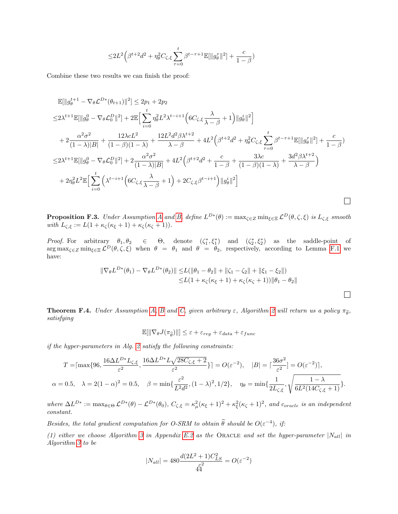$$
\leq 2L^2 \Big( \beta^{t+2} d^2 + \eta_\theta^2 C_{\zeta, \xi} \sum_{\tau=0}^t \beta^{t-\tau+1} \mathbb{E}[\|g_\theta^\tau\|^2] + \frac{c}{1-\beta} \Big)
$$

Combine these two results we can finish the proof:

$$
\mathbb{E}[\|g_{\theta}^{t+1} - \nabla_{\theta} \mathcal{L}^{D*}(\theta_{t+1})\|^{2}] \leq 2p_{1} + 2p_{2}
$$
\n
$$
\leq 2\lambda^{t+1}\mathbb{E}[\|g_{\theta}^{0} - \nabla_{\theta} \mathcal{L}_{0}^{D}\|^{2}] + 2\mathbb{E}\Big[\sum_{i=0}^{t} \eta_{\theta}^{2} L^{2} \lambda^{t-i+1} \Big(6C_{\zeta,\xi} \frac{\lambda}{\lambda - \beta} + 1\Big) \|g_{\theta}^{i}\|^{2}\Big]
$$
\n
$$
+ 2\frac{\alpha^{2} \sigma^{2}}{(1 - \lambda)|B|} + \frac{12\lambda c L^{2}}{(1 - \beta)(1 - \lambda)} + \frac{12L^{2} d^{2} \beta \lambda^{t+2}}{\lambda - \beta} + 4L^{2} \Big(\beta^{t+2} d^{2} + \eta_{\theta}^{2} C_{\zeta,\xi} \sum_{\tau=0}^{t} \beta^{t-\tau+1} \mathbb{E}[\|g_{\theta}^{\tau}\|^{2}] + \frac{c}{1 - \beta}\Big)
$$
\n
$$
\leq 2\lambda^{t+1}\mathbb{E}[\|g_{\theta}^{0} - \nabla_{\theta} \mathcal{L}_{0}^{D}\|^{2}] + 2\frac{\alpha^{2} \sigma^{2}}{(1 - \lambda)|B|} + 4L^{2} \Big(\beta^{t+2} d^{2} + \frac{c}{1 - \beta} + \frac{3\lambda c}{(1 - \beta)(1 - \lambda)} + \frac{3d^{2} \beta \lambda^{t+2}}{\lambda - \beta}\Big)
$$
\n
$$
+ 2\eta_{\theta}^{2} L^{2} \mathbb{E}\Big[\sum_{i=0}^{t} \Big(\lambda^{t-i+1} \Big(6C_{\zeta,\xi} \frac{\lambda}{\lambda - \beta} + 1\Big) + 2C_{\zeta,\xi} \beta^{t-i+1}\Big) \|g_{\theta}^{i}\|^{2}\Big]
$$

<span id="page-43-1"></span>**Proposition F.3.** Under [A](#page-3-4)ssumption A and [B,](#page-3-2) define  $L^{D*}(\theta) := \max_{\zeta \in \mathbb{Z}} \min_{\xi \in \mathbb{Z}} \mathcal{L}^D(\theta, \zeta, \xi)$  is  $L_{\zeta, \xi}$  smooth with  $L_{\zeta,\xi} := L(1 + \kappa_{\zeta}(\kappa_{\xi} + 1) + \kappa_{\zeta}(\kappa_{\zeta} + 1)).$ 

*Proof.* For arbitrary  $\theta_1, \theta_2 \in \Theta$ , denote  $(\zeta_1^*, \zeta_1^*)$  and  $(\zeta_2^*, \zeta_2^*)$  as the saddle-point of  $\arg \max_{\zeta \in \mathcal{Z}} \min_{\xi \in \mathcal{Z}} \mathcal{L}^D(\theta, \zeta, \xi)$  when  $\theta = \theta_1$  and  $\theta = \theta_2$ , respectively, according to Lemma [F.1](#page-39-2) we have:

$$
\|\nabla_{\theta} L^{D*}(\theta_1) - \nabla_{\theta} L^{D*}(\theta_2)\| \le L(\|\theta_1 - \theta_2\| + \|\zeta_1 - \zeta_2\| + \|\xi_1 - \xi_2\|)
$$
  

$$
\le L(1 + \kappa_{\zeta}(\kappa_{\xi} + 1) + \kappa_{\zeta}(\kappa_{\zeta} + 1))\|\theta_1 - \theta_2\|
$$

 $\Box$ 

<span id="page-43-0"></span>**Theorem F.4.** Under Assumption [A,](#page-3-4) [B](#page-3-2) and [C,](#page-3-3) given arbitrary  $\varepsilon$ , Algorithm [2](#page-6-2) will return us a policy  $\pi_{\hat{\theta}}$ , satisfying

$$
\mathbb{E}[\|\nabla_{\theta}J(\pi_{\widehat{\theta}})\|\] \leq \varepsilon + \varepsilon_{reg} + \varepsilon_{data} + \varepsilon_{func}
$$

if the hyper-parameters in Alg. [2](#page-6-2) satisfy the following constraints:

$$
T = \left[\max\{96, \frac{16\Delta L^{D*}L_{\zeta,\xi}}{\varepsilon^2}, \frac{16\Delta L^{D*}L\sqrt{28C_{\zeta,\xi}+2}}{\varepsilon^2}\}\right] = O(\varepsilon^{-2}), \quad |B| = \left[\frac{36\sigma^2}{\varepsilon^2}\right] = O(\varepsilon^{-2})\right],
$$
  

$$
\alpha = 0.5, \quad \lambda = 2(1-\alpha)^2 = 0.5, \quad \beta = \min\{\frac{\varepsilon^2}{L^2d^2}, (1-\lambda)^2, 1/2\}, \quad \eta_\theta = \min\{\frac{1}{2L_{\zeta,\xi}}, \sqrt{\frac{1-\lambda}{6L^2(14C_{\zeta,\xi}+1)}}\}.
$$

where  $\Delta L^{D*} := \max_{\theta \in \Theta} \mathcal{L}^{D*}(\theta) - \mathcal{L}^{D*}(\theta_0)$ ,  $C_{\zeta, \xi} = \kappa_{\mu}^2 (\kappa_{\xi} + 1)^2 + \kappa_{\xi}^2 (\kappa_{\zeta} + 1)^2$ , and  $c_{oracle}$  is an independent constant.

Besides, the total gradient computation for O-SRM to obtain  $\hat{\theta}$  should be  $O(\varepsilon^{-4})$ , if:

(1) either we choose Algorithm [3](#page-7-0) in Appendix [E.2](#page-30-0) as the ORACLE and set the hyper-parameter  $|N_{all}|$  in Algorithm [3](#page-7-0) to be

$$
|N_{all}| = 480 \frac{d(2L^2 + 1)C_{LS}^2}{44} = O(\varepsilon^{-2})
$$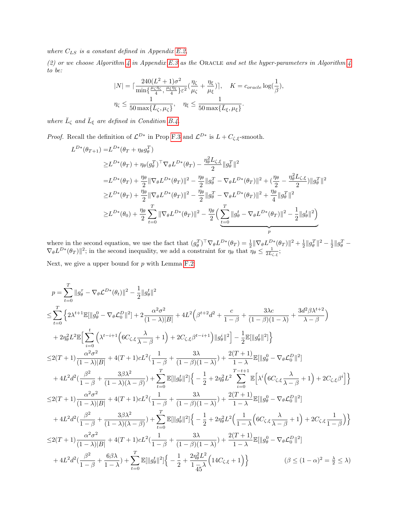where  $C_{LS}$  is a constant defined in Appendix [E.2,](#page-30-0)

(2) or we choose Algorithm [4](#page-8-0) in Appendix [E.3](#page-35-0) as the ORACLE and set the hyper-parameters in Algorithm 4 to be:

$$
|N| = \lceil \frac{240(L^2 + 1)\sigma^2}{\min\{\frac{\mu_{\zeta}\eta_{\zeta}}{4}, \frac{\mu_{\zeta}\eta_{\zeta}}{4}\}\varepsilon^2} \left(\frac{\eta_{\zeta}}{\mu_{\zeta}} + \frac{\eta_{\xi}}{\mu_{\xi}}\right)\rceil, \quad K = c_{oracle} \log\left(\frac{1}{\beta}\right),
$$
  

$$
\eta_{\zeta} \le \frac{1}{50 \max\{\bar{L}_{\zeta}, \mu_{\zeta}\}}, \quad \eta_{\xi} \le \frac{1}{50 \max\{\bar{L}_{\xi}, \mu_{\xi}\}}.
$$

where  $\bar{L}_{\zeta}$  and  $\bar{L}_{\xi}$  are defined in Condition [B.4.](#page-16-0)

*Proof.* Recall the definition of  $\mathcal{L}^{D*}$  in Prop [F.3](#page-43-1) and  $\mathcal{L}^{D*}$  is  $L + C_{\zeta,\zeta}$ -smooth.

$$
L^{D*}(\theta_{T+1}) = L^{D*}(\theta_T + \eta_{\theta} g_{\theta}^T)
$$
  
\n
$$
\geq L^{D*}(\theta_T) + \eta_{\theta} (g_{\theta}^T)^{\top} \nabla_{\theta} L^{D*}(\theta_T) - \frac{\eta_{\theta}^2 L_{\zeta, \xi}}{2} \|g_{\theta}^T\|^2
$$
  
\n
$$
= L^{D*}(\theta_T) + \frac{\eta_{\theta}}{2} \|\nabla_{\theta} L^{D*}(\theta_T)\|^2 - \frac{\eta_{\theta}}{2} \|g_{\theta}^T - \nabla_{\theta} L^{D*}(\theta_T)\|^2 + (\frac{\eta_{\theta}}{2} - \frac{\eta_{\theta}^2 L_{\zeta, \xi}}{2}) \|g_{\theta}^T\|^2
$$
  
\n
$$
\geq L^{D*}(\theta_T) + \frac{\eta_{\theta}}{2} \|\nabla_{\theta} L^{D*}(\theta_T)\|^2 - \frac{\eta_{\theta}}{2} \|g_{\theta}^T - \nabla_{\theta} L^{D*}(\theta_T)\|^2 + \frac{\eta_{\theta}}{4} \|g_{\theta}^T\|^2
$$
  
\n
$$
\geq L^{D*}(\theta_0) + \frac{\eta_{\theta}}{2} \sum_{t=0}^T \|\nabla_{\theta} L^{D*}(\theta_T)\|^2 - \frac{\eta_{\theta}}{2} \left( \sum_{t=0}^T \|g_{\theta}^t - \nabla_{\theta} L^{D*}(\theta_T)\|^2 - \frac{1}{2} \|g_{\theta}^t\|^2 \right)
$$

where in the second equation, we use the fact that  $(g_\theta^T)^\top \nabla_\theta L^{D*}(\theta_T) = \frac{1}{2} \|\nabla_\theta L^{D*}(\theta_T)\|^2 + \frac{1}{2} \|g_\theta^T\|^2 - \frac{1}{2} \|g_\theta^T \nabla_{\theta} L^{D*}(\theta_T) \|^{2}$ ; in the second inequality, we add a constraint for  $\eta_{\theta}$  that  $\eta_{\theta} \leq \frac{1}{2L_{\zeta,\xi}}$ ;

Next, we give a upper bound for  $p$  with Lemma [F.2:](#page-41-0)

$$
\begin{split} &p=\sum_{t=0}^{T}\|g_{\theta}^{\tau}-\nabla_{\theta}\mathcal{L}^{D*}(\theta_{t})\|^{2}-\frac{1}{2}\|g_{\theta}^{t}\|^{2} \\ \leq &\sum_{t=0}^{T}\left\{2\lambda^{t+1}\mathbb{E}[\|g_{\theta}^{0}-\nabla_{\theta}\mathcal{L}_{0}^{D}\|^{2}] +2\frac{\alpha^{2}\sigma^{2}}{(1-\lambda)|B|}+4L^{2}\Big(\beta^{t+2}d^{2}+\frac{c}{1-\beta}+\frac{3\lambda c}{(1-\beta)(1-\lambda)}+\frac{3d^{2}\beta\lambda^{t+2}}{\lambda-\beta}\Big) \\ &+2\eta_{\theta}^{2}L^{2}\mathbb{E}\Big[\sum_{i=0}^{t}\Big(\lambda^{t-i+1}\Big(6C_{\zeta,\xi}\frac{\lambda}{\lambda-\beta}+1\Big)+2C_{\zeta,\xi}\beta^{t-i+1}\Big)\|g_{\theta}^{i}\|^{2}\Big]-\frac{1}{2}\mathbb{E}[\|g_{\theta}^{t}\|^{2}]\Big\}\\ \leq &2(T+1)\frac{\alpha^{2}\sigma^{2}}{(1-\lambda)|B|}+4(T+1)cL^{2}(\frac{1}{1-\beta}+\frac{3\lambda}{(1-\beta)(1-\lambda)})+\frac{2(T+1)}{1-\lambda}\mathbb{E}[\|g_{\theta}^{0}-\nabla_{\theta}\mathcal{L}_{0}^{D}\|^{2}] \\ &+4L^{2}d^{2}(\frac{\beta^{2}}{1-\beta}+\frac{3\beta\lambda^{2}}{(1-\lambda)(\lambda-\beta)})+\sum_{t=0}^{T}\mathbb{E}[\|g_{\theta}^{t}\|^{2}]\Big\{-\frac{1}{2}+2\eta_{\theta}^{2}L^{2}\sum_{i=0}^{T-t+1}\mathbb{E}\Big[\lambda^{i}\Big(6C_{\zeta,\xi}\frac{\lambda}{\lambda-\beta}+1\Big)+2C_{\zeta,\xi}\beta^{i}\Big]\Big\}\\ \leq &2(T+1)\frac{\alpha^{2}\sigma^{2}}{(1-\lambda)|B|}+4(T+1)cL^{2}(\frac{1}{1-\beta}+\frac{3\lambda}{(1-\beta)(1-\lambda)})+\frac{2(T+1)}{1-\lambda}\mathbb{E}[\|g_{\theta}^{0}-\nabla_{\theta}\mathcal{L}_{0}^{D}\|^{2}] \\ &+4L^{2}d^{2}(\frac{\
$$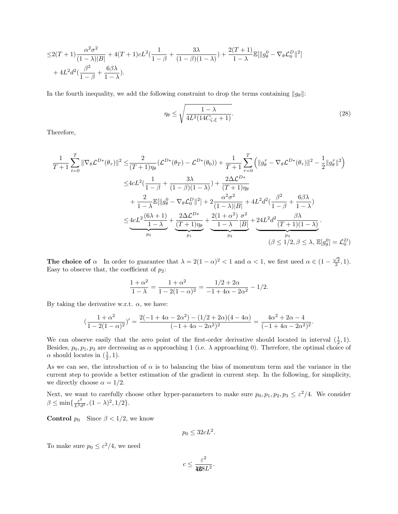$$
\leq 2(T+1)\frac{\alpha^2\sigma^2}{(1-\lambda)|B|} + 4(T+1)cL^2(\frac{1}{1-\beta} + \frac{3\lambda}{(1-\beta)(1-\lambda)}) + \frac{2(T+1)}{1-\lambda}\mathbb{E}[\|g_\theta^0 - \nabla_\theta \mathcal{L}_0^D\|^2] + 4L^2d^2(\frac{\beta^2}{1-\beta} + \frac{6\beta\lambda}{1-\lambda}).
$$

In the fourth inequality, we add the following constraint to drop the terms containing  $||g_{\theta}||$ :

$$
\eta_{\theta} \le \sqrt{\frac{1-\lambda}{4L^2(14C_{\zeta,\xi}+1)}}.\tag{28}
$$

Therefore,

$$
\frac{1}{T+1} \sum_{t=0}^{T} \|\nabla_{\theta} \mathcal{L}^{D*}(\theta_{\tau})\|^{2} \leq \frac{2}{(T+1)\eta_{\theta}} (\mathcal{L}^{D*}(\theta_{T}) - \mathcal{L}^{D*}(\theta_{0})) + \frac{1}{T+1} \sum_{\tau=0}^{T} \left( \|g_{\theta}^{\tau} - \nabla_{\theta} \mathcal{L}^{D*}(\theta_{\tau})\|^{2} - \frac{1}{2} \|g_{\theta}^{\tau}\|^{2} \right)
$$
  

$$
\leq 4cL^{2} \left( \frac{1}{1-\beta} + \frac{3\lambda}{(1-\beta)(1-\lambda)} \right) + \frac{2\Delta \mathcal{L}^{D*}}{(T+1)\eta_{\theta}}
$$
  

$$
+ \frac{2}{1-\lambda} \mathbb{E}[\|g_{\theta}^{0} - \nabla_{\theta} \mathcal{L}_{0}^{D}\|^{2}] + 2 \frac{\alpha^{2} \sigma^{2}}{(1-\lambda)|B|} + 4L^{2} d^{2} \left( \frac{\beta^{2}}{1-\beta} + \frac{6\beta\lambda}{1-\lambda} \right)
$$
  

$$
\leq 4cL^{2} \frac{(6\lambda+1)}{1-\lambda} + \frac{2\Delta \mathcal{L}^{D*}}{(T+1)\eta_{\theta}} + \frac{2(1+\alpha^{2})}{1-\lambda} \frac{\sigma^{2}}{|B|} + 24L^{2} d^{2} \frac{\beta\lambda}{(T+1)(1-\lambda)}.
$$
  

$$
\left(\beta \leq 1/2, \beta \leq \lambda, \mathbb{E}[g_{\theta}^{0}] = \mathcal{L}_{0}^{D}\right)
$$

The choice of  $\alpha$  In order to guarantee that  $\lambda = 2(1 - \alpha)^2 < 1$  and  $\alpha < 1$ , we first need  $\alpha \in (1 - \frac{\sqrt{2}}{2}, 1)$ . Easy to observe that, the coefficient of  $p_2$ :

$$
\frac{1+\alpha^2}{1-\lambda} = \frac{1+\alpha^2}{1-2(1-\alpha)^2} = \frac{1/2+2\alpha}{-1+4\alpha-2\alpha^2} - 1/2.
$$

By taking the derivative w.r.t.  $\alpha$ , we have:

$$
\left(\frac{1+\alpha^2}{1-2(1-\alpha)^2}\right)'=\frac{2(-1+4\alpha-2\alpha^2)-(1/2+2\alpha)(4-4\alpha)}{(-1+4\alpha-2\alpha^2)^2}=\frac{4\alpha^2+2\alpha-4}{(-1+4\alpha-2\alpha^2)^2}.
$$

We can observe easily that the zero point of the first-order derivative should located in interval  $(\frac{1}{2}, 1)$ . Besides,  $p_0, p_1, p_3$  are decreasing as  $\alpha$  approaching 1 (i.e.  $\lambda$  approaching 0). Therefore, the optimal choice of  $\alpha$  should locates in  $(\frac{1}{2}, 1)$ .

As we can see, the introduction of  $\alpha$  is to balancing the bias of momentum term and the variance in the current step to provide a better estimation of the gradient in current step. In the following, for simplicity, we directly choose  $\alpha = 1/2$ .

Next, we want to carefully choose other hyper-parameters to make sure  $p_0, p_1, p_2, p_3 \leq \varepsilon^2/4$ . We consider  $\beta \le \min\{\frac{\varepsilon^2}{L^2 d^2}, (1 - \lambda)^2, 1/2\}.$ 

**Control**  $p_0$  Since  $\beta < 1/2$ , we know

$$
p_0 \le 32cL^2.
$$

To make sure  $p_0 \leq \varepsilon^2/4$ , we need

$$
c\leq \frac{\varepsilon^2}{488L^2}.
$$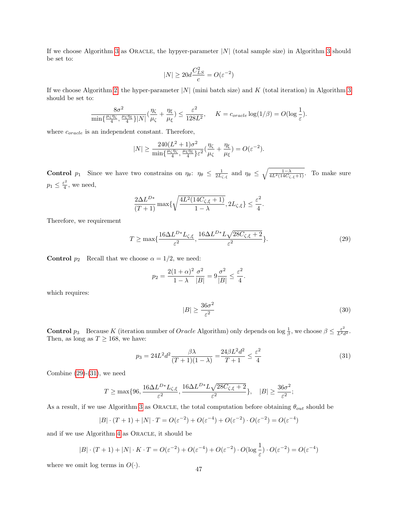If we choose Algorithm [3](#page-7-0) as ORACLE, the hypyer-parameter  $|N|$  (total sample size) in Algorithm 3 should be set to:

$$
|N| \ge 20d \frac{C_{LS}^2}{c} = O(\varepsilon^{-2})
$$

If we choose Algorithm [2,](#page-6-2) the hyper-parameter |N| (mini batch size) and K (total iteration) in Algorithm [3](#page-7-0) should be set to:

$$
\frac{8\sigma^2}{\min\{\frac{\mu_{\zeta}\eta_{\zeta}}{4},\frac{\mu_{\xi}\eta_{\xi}}{4}\}|N|}(\frac{\eta_{\zeta}}{\mu_{\zeta}}+\frac{\eta_{\xi}}{\mu_{\xi}})\leq \frac{\varepsilon^2}{128L^2}, \quad K=c_{oracle}\log(1/\beta)=O(\log\frac{1}{\varepsilon}).
$$

where  $c_{oracle}$  is an independent constant. Therefore,

$$
|N| \ge \frac{240(L^2+1)\sigma^2}{\min\{\frac{\mu_{\zeta}\eta_{\zeta}}{4}, \frac{\mu_{\xi}\eta_{\xi}}{4}\}\varepsilon^2}(\frac{\eta_{\zeta}}{\mu_{\zeta}}+\frac{\eta_{\xi}}{\mu_{\xi}}) = O(\varepsilon^{-2}).
$$

**Control**  $p_1$  Since we have two constrains on  $\eta_\theta$ :  $\eta_\theta \leq \frac{1}{2L_{\zeta,\xi}}$  and  $\eta_\theta \leq \sqrt{\frac{1-\lambda}{4L^2(14C_{\zeta,\xi}+1)}}$ . To make sure  $p_1 \leq \frac{\varepsilon^2}{4}$  $\frac{1}{4}$ , we need,

$$
\frac{2\Delta L^{D*}}{(T+1)}\max\{\sqrt{\frac{4L^2(14C_{\zeta,\xi}+1)}{1-\lambda}},2L_{\zeta,\xi}\}\leq \frac{\varepsilon^2}{4}.
$$

Therefore, we requirement

<span id="page-46-0"></span>
$$
T \ge \max\{\frac{16\Delta L^{D*}L_{\zeta,\xi}}{\varepsilon^2}, \frac{16\Delta L^{D*}L\sqrt{28C_{\zeta,\xi}+2}}{\varepsilon^2}\}.
$$
\n(29)

**Control**  $p_2$  Recall that we choose  $\alpha = 1/2$ , we need:

$$
p_2 = \frac{2(1+\alpha)^2}{1-\lambda} \frac{\sigma^2}{|B|} = 9 \frac{\sigma^2}{|B|} \le \frac{\varepsilon^2}{4}.
$$

which requires:

<span id="page-46-1"></span>
$$
|B| \ge \frac{36\sigma^2}{\varepsilon^2} \tag{30}
$$

**Control**  $p_3$  Because K (iteration number of *Oracle* Algorithm) only depends on log  $\frac{1}{\beta}$ , we choose  $\beta \leq \frac{\varepsilon^2}{L^2 d^2}$ . Then, as long as  $T \ge 168$ , we have:

$$
p_3 = 24L^2d^2 \frac{\beta \lambda}{(T+1)(1-\lambda)} = \frac{24\beta L^2d^2}{T+1} \le \frac{\varepsilon^2}{4}
$$
 (31)

Combine  $(29)-(31)$  $(29)-(31)$  $(29)-(31)$ , we need

$$
T \ge \max\{96, \frac{16\Delta L^{D*}L_{\zeta,\xi}}{\varepsilon^2}, \frac{16\Delta L^{D*}L\sqrt{28C_{\zeta,\xi}+2}}{\varepsilon^2}\}, \quad |B| \ge \frac{36\sigma^2}{\varepsilon^2};
$$

As a result, if we use Algorithm [3](#page-7-0) as ORACLE, the total computation before obtaining  $\theta_{out}$  should be

$$
|B| \cdot (T+1) + |N| \cdot T = O(\varepsilon^{-2}) + O(\varepsilon^{-4}) + O(\varepsilon^{-2}) \cdot O(\varepsilon^{-2}) = O(\varepsilon^{-4})
$$

and if we use Algorithm [4](#page-8-0) as ORACLE, it should be

$$
|B| \cdot (T+1) + |N| \cdot K \cdot T = O(\varepsilon^{-2}) + O(\varepsilon^{-4}) + O(\varepsilon^{-2}) \cdot O(\log \frac{1}{\varepsilon}) \cdot O(\varepsilon^{-2}) = O(\varepsilon^{-4})
$$

where we omit log terms in  $O(\cdot)$ . 47